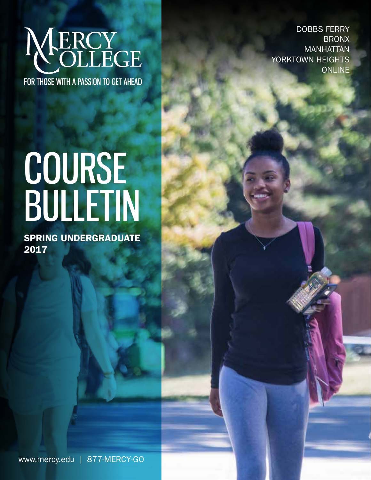

FOR THOSE WITH A PASSION TO GET AHEAD

# COURSE BULLETIN

SPRING UNDERGRADUATE 2017

DOBBS FERRY BRONX MANHATTAN YORKTOWN HEIGHTS ONLINE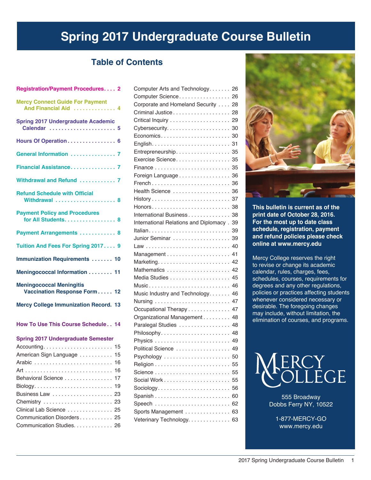# **Spring 2017 Undergraduate Course Bulletin**

# **Table of Contents**

| Registration/Payment Procedures. 2                              |
|-----------------------------------------------------------------|
| <b>Mercy Connect Guide For Payment</b><br>And Financial Aid  4  |
| <b>Spring 2017 Undergraduate Academic</b><br>Calendar  5        |
| Hours Of Operation 6                                            |
| General Information  7                                          |
| Financial Assistance 7                                          |
| Withdrawal and Refund  7                                        |
| <b>Refund Schedule with Official</b><br>Withdrawal  8           |
| <b>Payment Policy and Procedures</b><br>for All Students. 8     |
| Payment Arrangements  8                                         |
| Tuition And Fees For Spring 2017 9                              |
| <b>Immunization Requirements  10</b>                            |
| Meningococcal Information  11                                   |
| <b>Meningococcal Meningitis</b><br>Vaccination Response Form 12 |
| <b>Mercy College Immunization Record. 13</b>                    |
| How To Use This Course Schedule 14                              |
| <b>Spring 2017 Undergraduate Semester</b>                       |
|                                                                 |
| American Sign Language  15                                      |
| 16                                                              |
| 16                                                              |
| Behavioral Science<br>17                                        |
| 19                                                              |
| 23                                                              |
| Chemistry<br>23                                                 |
| Clinical Lab Science<br>25                                      |
| Communication Disorders 25                                      |
| Communication Studies. 26                                       |

| Computer Arts and Technology           | 26 |
|----------------------------------------|----|
| Computer Science                       | 26 |
| Corporate and Homeland Security        | 28 |
|                                        | 28 |
|                                        |    |
|                                        | 30 |
| Economics                              | 30 |
|                                        | 31 |
| Entrepreneurship 35                    |    |
| Exercise Science 35                    |    |
|                                        |    |
| Foreign Language                       | 36 |
|                                        | 36 |
| Health Science                         | 36 |
|                                        | 37 |
|                                        | 38 |
| International Business                 | 38 |
| International Relations and Diplomacy. | 39 |
|                                        | 39 |
| Junior Seminar                         | 39 |
|                                        | 40 |
|                                        | 41 |
| Marketing                              | 42 |
|                                        | 42 |
|                                        | 45 |
|                                        | 46 |
| Music Industry and Technology.         | 46 |
|                                        | 47 |
| Occupational Therapy                   | 47 |
| Organizational Management              | 48 |
| Paralegal Studies                      | 48 |
| $Philosophy \ldots  \ldots  \ldots $   | 48 |
|                                        |    |
| Political Science  49                  |    |
| Psychology                             | 50 |
|                                        | 55 |
|                                        | 55 |
| Social Work                            | 55 |
| Sociology                              | 56 |
|                                        | 60 |
|                                        | 62 |
| Sports Management                      | 63 |
| Veterinary Technology.                 | 63 |
|                                        |    |



**This bulletin is current as of the print date of October 28, 2016. For the most up to date class schedule, registration, payment and refund policies please check online at www.mercy.edu**

Mercy College reserves the right to revise or change its academic calendar, rules, charges, fees, schedules, courses, requirements for degrees and any other regulations, policies or practices affecting students whenever considered necessary or desirable. The foregoing changes may include, without limitation, the elimination of courses, and programs.



555 Broadway Dobbs Ferry NY, 10522

1-877-MERCY-GO www.mercy.edu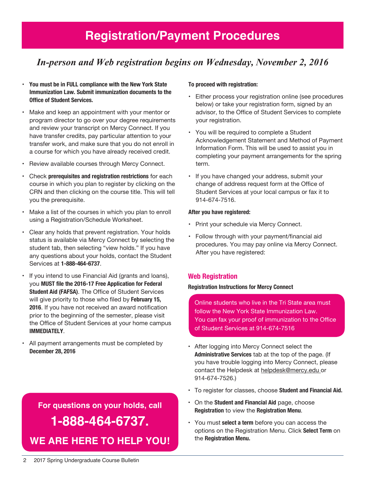# *In-person and Web registration begins on Wednesday, November 2, 2016*

- **You must be in FULL compliance with the New York State Immunization Law. Submit immunization documents to the Office of Student Services.**
- Make and keep an appointment with your mentor or program director to go over your degree requirements and review your transcript on Mercy Connect. If you have transfer credits, pay particular attention to your transfer work, and make sure that you do not enroll in a course for which you have already received credit.
- Review available courses through Mercy Connect.
- Check **prerequisites and registration restrictions** for each course in which you plan to register by clicking on the CRN and then clicking on the course title. This will tell you the prerequisite.
- Make a list of the courses in which you plan to enroll using a Registration/Schedule Worksheet.
- Clear any holds that prevent registration. Your holds status is available via Mercy Connect by selecting the student tab, then selecting "view holds." If you have any questions about your holds, contact the Student Services at **1-888-464-6737**.
- If you intend to use Financial Aid (grants and loans), you **MUST file the 2016-17 Free Application for Federal Student Aid (FAFSA)**. The Office of Student Services will give priority to those who filed by **February 15, 2016**. If you have not received an award notification prior to the beginning of the semester, please visit the Office of Student Services at your home campus **IMMEDIATELY**.
- All payment arrangements must be completed by **December 28, 2016**

# **For questions on your holds, call 1-888-464-6737. We are here to help You!**

## **To proceed with registration:**

- Either process your registration online (see procedures below) or take your registration form, signed by an advisor, to the Office of Student Services to complete your registration.
- You will be required to complete a Student Acknowledgement Statement and Method of Payment Information Form. This will be used to assist you in completing your payment arrangements for the spring term.
- If you have changed your address, submit your change of address request form at the Office of Student Services at your local campus or fax it to 914-674-7516.

## **After you have registered:**

- Print your schedule via Mercy Connect.
- Follow through with your payment/financial aid procedures. You may pay online via Mercy Connect. After you have registered:

# **Web Registration**

## **Registration Instructions for Mercy Connect**

Online students who live in the Tri State area must follow the New York State Immunization Law. You can fax your proof of immunization to the Office of Student Services at 914-674-7516

- After logging into Mercy Connect select the **Administrative Services** tab at the top of the page. (If you have trouble logging into Mercy Connect, please contact the Helpdesk at helpdesk@mercy.edu or 914-674-7526.)
- To register for classes, choose **Student and Financial Aid.**
- On the **Student and Financial Aid** page, choose **Registration** to view the **Registration Menu**.
- You must **select a term** before you can access the options on the Registration Menu. Click **Select Term** on the **Registration Menu.**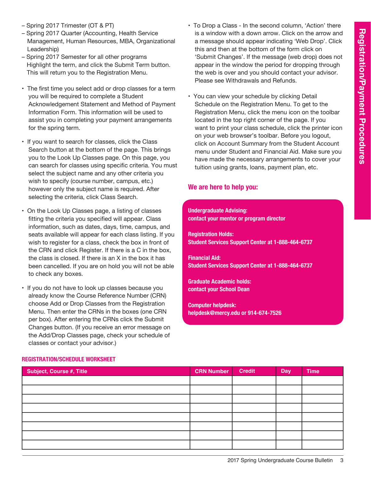- Spring 2017 Trimester (OT & PT)
- Spring 2017 Quarter (Accounting, Health Service Management, Human Resources, MBA, Organizational Leadership)
- Spring 2017 Semester for all other programs Highlight the term, and click the Submit Term button. This will return you to the Registration Menu.
- The first time you select add or drop classes for a term you will be required to complete a Student Acknowledgement Statement and Method of Payment Information Form. This information will be used to assist you in completing your payment arrangements for the spring term.
- If you want to search for classes, click the Class Search button at the bottom of the page. This brings you to the Look Up Classes page. On this page, you can search for classes using specific criteria. You must select the subject name and any other criteria you wish to specify (course number, campus, etc.) however only the subject name is required. After selecting the criteria, click Class Search.
- On the Look Up Classes page, a listing of classes fitting the criteria you specified will appear. Class information, such as dates, days, time, campus, and seats available will appear for each class listing. If you wish to register for a class, check the box in front of the CRN and click Register. If there is a C in the box, the class is closed. If there is an X in the box it has been cancelled. If you are on hold you will not be able to check any boxes.
- If you do not have to look up classes because you already know the Course Reference Number (CRN) choose Add or Drop Classes from the Registration Menu. Then enter the CRNs in the boxes (one CRN per box). After entering the CRNs click the Submit Changes button. (If you receive an error message on the Add/Drop Classes page, check your schedule of classes or contact your advisor.)
- To Drop a Class In the second column, 'Action' there is a window with a down arrow. Click on the arrow and a message should appear indicating 'Web Drop'. Click this and then at the bottom of the form click on 'Submit Changes'. If the message (web drop) does not appear in the window the period for dropping through the web is over and you should contact your advisor. Please see Withdrawals and Refunds.
- You can view your schedule by clicking Detail Schedule on the Registration Menu. To get to the Registration Menu, click the menu icon on the toolbar located in the top right corner of the page. If you want to print your class schedule, click the printer icon on your web browser's toolbar. Before you logout, click on Account Summary from the Student Account menu under Student and Financial Aid. Make sure you have made the necessary arrangements to cover your tuition using grants, loans, payment plan, etc.

# **We are here to help you:**

**Undergraduate Advising: contact your mentor or program director**

**Registration Holds: Student Services Support Center at 1-888-464-6737**

**Financial Aid: Student Services Support Center at 1-888-464-6737**

**Graduate Academic holds: contact your School Dean**

**Computer helpdesk: helpdesk@mercy.edu or 914-674-7526**

| Subject, Course #, Title | <b>CRN Number</b> | <b>Credit</b> | Day | <b>Time</b> |
|--------------------------|-------------------|---------------|-----|-------------|
|                          |                   |               |     |             |
|                          |                   |               |     |             |
|                          |                   |               |     |             |
|                          |                   |               |     |             |
|                          |                   |               |     |             |
|                          |                   |               |     |             |
|                          |                   |               |     |             |
|                          |                   |               |     |             |

# **Registration/Schedule Worksheet**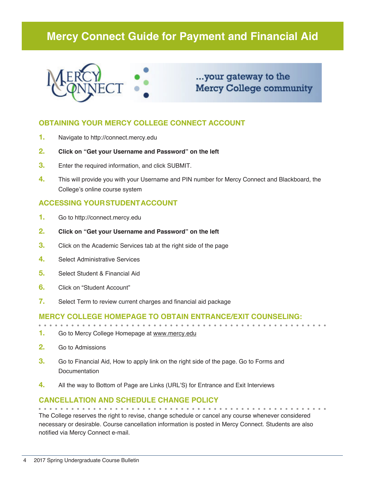# **Mercy Connect Guide for Payment and Financial Aid**



# ...your gateway to the **Mercy College community**

# **OBTAINING YOUR MERCY COLLEGE CONNECT ACCOUNT**

- **1.** Navigate to http://connect.mercy.edu
- **2. Click on "Get your Username and Password" on the left**
- **3.** Enter the required information, and click SUBMIT.
- **4.** This will provide you with your Username and PIN number for Mercy Connect and Blackboard, the College's online course system

# **ACCESSING YOUR STUDENT ACCOUNT**

- **1.** Go to http://connect.mercy.edu
- **2. Click on "Get your Username and Password" on the left**
- **3.** Click on the Academic Services tab at the right side of the page
- **4.** Select Administrative Services
- **5.** Select Student & Financial Aid
- **6.** Click on "Student Account"
- **7.** Select Term to review current charges and financial aid package

# **Mercy College homepage to obtain entrance/exit counseling:**

- **1.** Go to Mercy College Homepage at www.mercy.edu
- **2.** Go to Admissions
- **3.** Go to Financial Aid, How to apply link on the right side of the page. Go to Forms and **Documentation**
- **4.** All the way to Bottom of Page are Links (URL'S) for Entrance and Exit Interviews

# **Cancellation and Schedule Change Policy**

The College reserves the right to revise, change schedule or cancel any course whenever considered necessary or desirable. Course cancellation information is posted in Mercy Connect. Students are also notified via Mercy Connect e-mail.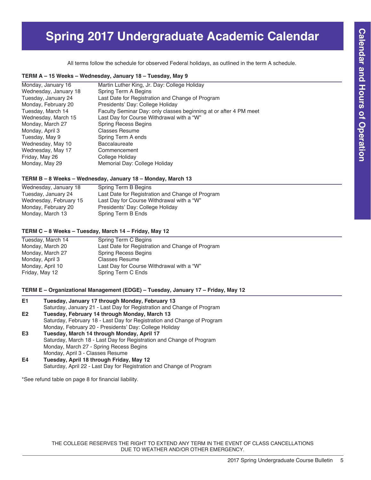# **Spring 2017 Undergraduate Academic Calendar**

All terms follow the schedule for observed Federal holidays, as outlined in the term A schedule.

#### **TERM A – 15 Weeks – Wednesday, January 18 – Tuesday, May 9**

| Monday, January 16    | Martin Luther King, Jr. Day: College Holiday                      |
|-----------------------|-------------------------------------------------------------------|
| Wednesday, January 18 | Spring Term A Begins                                              |
| Tuesday, January 24   | Last Date for Registration and Change of Program                  |
| Monday, February 20   | Presidents' Day: College Holiday                                  |
| Tuesday, March 14     | Faculty Seminar Day: only classes beginning at or after 4 PM meet |
| Wednesday, March 15   | Last Day for Course Withdrawal with a "W"                         |
| Monday, March 27      | <b>Spring Recess Begins</b>                                       |
| Monday, April 3       | <b>Classes Resume</b>                                             |
| Tuesday, May 9        | Spring Term A ends                                                |
| Wednesday, May 10     | Baccalaureate                                                     |
| Wednesday, May 17     | Commencement                                                      |
| Friday, May 26        | College Holiday                                                   |
| Monday, May 29        | Memorial Day: College Holiday                                     |
|                       |                                                                   |

#### **TERM B – 8 Weeks – Wednesday, January 18 – Monday, March 13**

| Wednesday, January 18  | Spring Term B Begins                             |
|------------------------|--------------------------------------------------|
| Tuesday, January 24    | Last Date for Registration and Change of Program |
| Wednesday, February 15 | Last Day for Course Withdrawal with a "W"        |
| Monday, February 20    | Presidents' Day: College Holiday                 |
| Monday, March 13       | Spring Term B Ends                               |

#### **TERM C – 8 Weeks – Tuesday, March 14 – Friday, May 12**

| Tuesday, March 14 | Spring Term C Begins                             |
|-------------------|--------------------------------------------------|
| Monday, March 20  | Last Date for Registration and Change of Program |
| Monday, March 27  | <b>Spring Recess Begins</b>                      |
| Monday, April 3   | <b>Classes Resume</b>                            |
| Monday, April 10  | Last Day for Course Withdrawal with a "W"        |
| Friday, May 12    | Spring Term C Ends                               |
|                   |                                                  |

### **TERM E – Organizational Management (EDGE) – Tuesday, January 17 – Friday, May 12**

| E1 | Tuesday, January 17 through Monday, February 13                         |
|----|-------------------------------------------------------------------------|
|    | Saturday, January 21 - Last Day for Registration and Change of Program  |
| E2 | Tuesday, February 14 through Monday, March 13                           |
|    | Saturday, February 18 - Last Day for Registration and Change of Program |
|    | Monday, February 20 - Presidents' Day: College Holiday                  |
| E3 | Tuesday, March 14 through Monday, April 17                              |
|    | Saturday, March 18 - Last Day for Registration and Change of Program    |
|    | Monday, March 27 - Spring Recess Begins                                 |
|    | Monday, April 3 - Classes Resume                                        |
| E4 | Tuesday, April 18 through Friday, May 12                                |

Saturday, April 22 - Last Day for Registration and Change of Program

\*See refund table on page 8 for financial liability.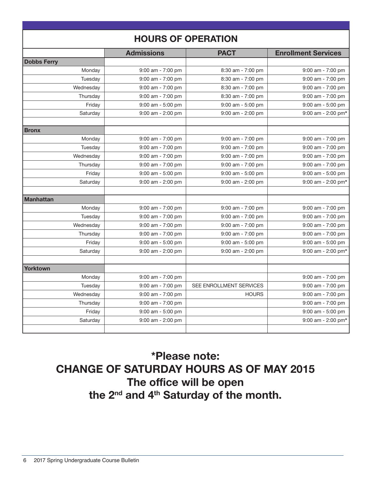|                    | <b>Admissions</b> | <b>PACT</b>             | <b>Enrollment Services</b> |
|--------------------|-------------------|-------------------------|----------------------------|
| <b>Dobbs Ferry</b> |                   |                         |                            |
| Monday             | 9:00 am - 7:00 pm | 8:30 am - 7:00 pm       | 9:00 am - 7:00 pm          |
| Tuesday            | 9:00 am - 7:00 pm | 8:30 am - 7:00 pm       | 9:00 am - 7:00 pm          |
| Wednesday          | 9:00 am - 7:00 pm | 8:30 am - 7:00 pm       | 9:00 am - 7:00 pm          |
| Thursday           | 9:00 am - 7:00 pm | 8:30 am - 7:00 pm       | 9:00 am - 7:00 pm          |
| Friday             | 9:00 am - 5:00 pm | 9:00 am - 5:00 pm       | 9:00 am - 5:00 pm          |
| Saturday           | 9:00 am - 2:00 pm | 9:00 am - 2:00 pm       | 9:00 am - 2:00 pm*         |
|                    |                   |                         |                            |
| <b>Bronx</b>       |                   |                         |                            |
| Monday             | 9:00 am - 7:00 pm | 9:00 am - 7:00 pm       | 9:00 am - 7:00 pm          |
| Tuesday            | 9:00 am - 7:00 pm | 9:00 am - 7:00 pm       | 9:00 am - 7:00 pm          |
| Wednesday          | 9:00 am - 7:00 pm | 9:00 am - 7:00 pm       | 9:00 am - 7:00 pm          |
| Thursday           | 9:00 am - 7:00 pm | 9:00 am - 7:00 pm       | 9:00 am - 7:00 pm          |
| Friday             | 9:00 am - 5:00 pm | 9:00 am - 5:00 pm       | 9:00 am - 5:00 pm          |
| Saturday           | 9:00 am - 2:00 pm | 9:00 am - 2:00 pm       | 9:00 am - 2:00 pm*         |
|                    |                   |                         |                            |
| <b>Manhattan</b>   |                   |                         |                            |
| Monday             | 9:00 am - 7:00 pm | 9:00 am - 7:00 pm       | 9:00 am - 7:00 pm          |
| Tuesday            | 9:00 am - 7:00 pm | 9:00 am - 7:00 pm       | 9:00 am - 7:00 pm          |
| Wednesday          | 9:00 am - 7:00 pm | 9:00 am - 7:00 pm       | 9:00 am - 7:00 pm          |
| Thursday           | 9:00 am - 7:00 pm | 9:00 am - 7:00 pm       | 9:00 am - 7:00 pm          |
| Friday             | 9:00 am - 5:00 pm | 9:00 am - 5:00 pm       | 9:00 am - 5:00 pm          |
| Saturday           | 9:00 am - 2:00 pm | 9:00 am - 2:00 pm       | 9:00 am - 2:00 pm*         |
|                    |                   |                         |                            |
| <b>Yorktown</b>    |                   |                         |                            |
| Monday             | 9:00 am - 7:00 pm |                         | 9:00 am - 7:00 pm          |
| Tuesday            | 9:00 am - 7:00 pm | SEE ENROLLMENT SERVICES | 9:00 am - 7:00 pm          |
| Wednesday          | 9:00 am - 7:00 pm | <b>HOURS</b>            | 9:00 am - 7:00 pm          |
| Thursday           | 9:00 am - 7:00 pm |                         | 9:00 am - 7:00 pm          |
| Friday             | 9:00 am - 5:00 pm |                         | 9:00 am - 5:00 pm          |
| Saturday           | 9:00 am - 2:00 pm |                         | 9:00 am - 2:00 pm*         |
|                    |                   |                         |                            |

# \*Please note: CHANGE OF SATURDAY HOURS AS OF MAY 2015 The office will be open the 2<sup>nd</sup> and 4<sup>th</sup> Saturday of the month.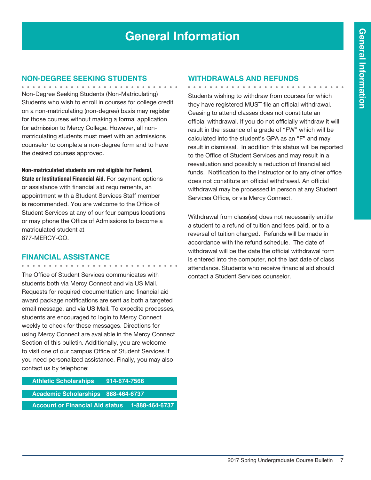# **General Information**

# **Non-Degree Seeking Students**

Non-Degree Seeking Students (Non-Matriculating) Students who wish to enroll in courses for college credit on a non-matriculating (non-degree) basis may register for those courses without making a formal application for admission to Mercy College. However, all nonmatriculating students must meet with an admissions counselor to complete a non-degree form and to have the desired courses approved.

**Non-matriculated students are not eligible for Federal,** 

**State or Institutional Financial Aid.** For payment options or assistance with financial aid requirements, an appointment with a Student Services Staff member is recommended. You are welcome to the Office of Student Services at any of our four campus locations or may phone the Office of Admissions to become a matriculated student at 877-MERCY-GO.

# **Financial Assistance**

. . . . . . . . . . . . . . . . . . .

The Office of Student Services communicates with students both via Mercy Connect and via US Mail. Requests for required documentation and financial aid award package notifications are sent as both a targeted email message, and via US Mail. To expedite processes, students are encouraged to login to Mercy Connect weekly to check for these messages. Directions for using Mercy Connect are available in the Mercy Connect Section of this bulletin. Additionally, you are welcome to visit one of our campus Office of Student Services if you need personalized assistance. Finally, you may also contact us by telephone:

| <b>Athletic Scholarships</b>              | 914-674-7566 |                |
|-------------------------------------------|--------------|----------------|
|                                           |              |                |
| <b>Academic Scholarships 888-464-6737</b> |              |                |
|                                           |              |                |
| <b>Account or Financial Aid status</b>    |              | 1-888-464-6737 |

## **Withdrawals and Refunds**

Students wishing to withdraw from courses for which they have registered MUST file an official withdrawal. Ceasing to attend classes does not constitute an official withdrawal. If you do not officially withdraw it will result in the issuance of a grade of "FW" which will be calculated into the student's GPA as an "F" and may result in dismissal. In addition this status will be reported to the Office of Student Services and may result in a reevaluation and possibly a reduction of financial aid funds. Notification to the instructor or to any other office does not constitute an official withdrawal. An official withdrawal may be processed in person at any Student Services Office, or via Mercy Connect.

Withdrawal from class(es) does not necessarily entitle a student to a refund of tuition and fees paid, or to a reversal of tuition charged. Refunds will be made in accordance with the refund schedule. The date of withdrawal will be the date the official withdrawal form is entered into the computer, not the last date of class attendance. Students who receive financial aid should contact a Student Services counselor.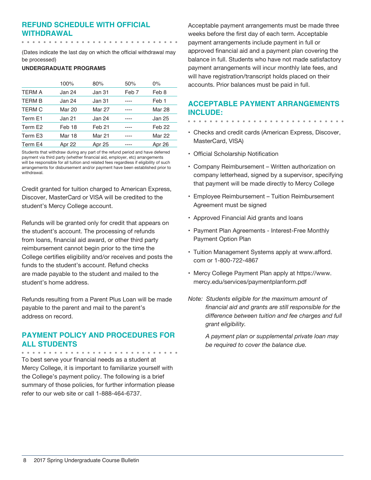# **Refund Schedule with Official Withdrawal**

(Dates indicate the last day on which the official withdrawal may

be processed)

## **UNDERGRADUATE PROGRAMS**

|               | 100%   | 80%               | 50%              | 0%                |
|---------------|--------|-------------------|------------------|-------------------|
| <b>TERM A</b> | Jan 24 | Jan 31            | Feb <sub>7</sub> | Feb 8             |
| <b>TERM B</b> | Jan 24 | Jan 31            |                  | Feb <sub>1</sub>  |
| <b>TERM C</b> | Mar 20 | <b>Mar 27</b>     |                  | <b>Mar 28</b>     |
| Term E1       | Jan 21 | Jan 24            |                  | Jan 25            |
| Term E2       | Feb 18 | Feb <sub>21</sub> |                  | Feb <sub>22</sub> |
| Term E3       | Mar 18 | <b>Mar 21</b>     |                  | <b>Mar 22</b>     |
| Term E4       | Apr 22 | Apr 25            | ----             | <b>Apr 26</b>     |

Students that withdraw during any part of the refund period and have deferred payment via third party (whether financial aid, employer, etc) arrangements will be responsible for all tuition and related fees regardless if eligibility of such arrangements for disbursement and/or payment have been established prior to withdrawal.

Credit granted for tuition charged to American Express, Discover, MasterCard or VISA will be credited to the student's Mercy College account.

Refunds will be granted only for credit that appears on the student's account. The processing of refunds from loans, financial aid award, or other third party reimbursement cannot begin prior to the time the College certifies eligibility and/or receives and posts the funds to the student's account. Refund checks are made payable to the student and mailed to the student's home address.

Refunds resulting from a Parent Plus Loan will be made payable to the parent and mail to the parent's address on record.

# **Payment Policy and Procedures for all Students**

To best serve your financial needs as a student at Mercy College, it is important to familiarize yourself with the College's payment policy. The following is a brief summary of those policies, for further information please refer to our web site or call 1-888-464-6737.

Acceptable payment arrangements must be made three weeks before the first day of each term. Acceptable payment arrangements include payment in full or approved financial aid and a payment plan covering the balance in full. Students who have not made satisfactory payment arrangements will incur monthly late fees, and will have registration/transcript holds placed on their accounts. Prior balances must be paid in full.

# **Acceptable Payment Arrangements include:**

- 
- Checks and credit cards (American Express, Discover, MasterCard, VISA)
- Official Scholarship Notification
- Company Reimbursement Written authorization on company letterhead, signed by a supervisor, specifying that payment will be made directly to Mercy College
- Employee Reimbursement Tuition Reimbursement Agreement must be signed
- Approved Financial Aid grants and loans
- Payment Plan Agreements Interest-Free Monthly Payment Option Plan
- Tuition Management Systems apply at www.afford. com or 1-800-722-4867
- Mercy College Payment Plan apply at https://www. mercy.edu/services/paymentplanform.pdf
- *Note: Students eligible for the maximum amount of financial aid and grants are still responsible for the difference between tuition and fee charges and full grant eligibility.*

*A payment plan or supplemental private loan may be required to cover the balance due.*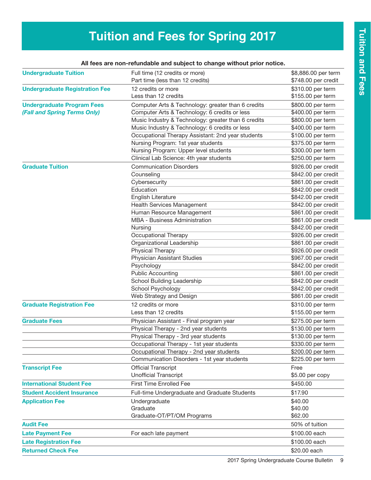# **Tuition and Fees for Spring 2017**

| All fees are non-refundable and subject to change without prior notice. |                                                                    |                                            |  |  |
|-------------------------------------------------------------------------|--------------------------------------------------------------------|--------------------------------------------|--|--|
| <b>Undergraduate Tuition</b>                                            | Full time (12 credits or more)<br>Part time (less than 12 credits) | \$8,886.00 per term<br>\$748.00 per credit |  |  |
| <b>Undergraduate Registration Fee</b>                                   | 12 credits or more                                                 | \$310.00 per term                          |  |  |
|                                                                         | Less than 12 credits                                               | \$155.00 per term                          |  |  |
| <b>Undergraduate Program Fees</b>                                       | Computer Arts & Technology: greater than 6 credits                 | \$800.00 per term                          |  |  |
| (Fall and Spring Terms Only)                                            | Computer Arts & Technology: 6 credits or less                      | \$400.00 per term                          |  |  |
|                                                                         | Music Industry & Technology: greater than 6 credits                | \$800.00 per term                          |  |  |
|                                                                         | Music Industry & Technology: 6 credits or less                     | \$400.00 per term                          |  |  |
|                                                                         | Occupational Therapy Assistant: 2nd year students                  | \$100.00 per term                          |  |  |
|                                                                         | Nursing Program: 1st year students                                 | \$375.00 per term                          |  |  |
|                                                                         | Nursing Program: Upper level students                              | \$300.00 per term                          |  |  |
|                                                                         | Clinical Lab Science: 4th year students                            | \$250.00 per term                          |  |  |
| <b>Graduate Tuition</b>                                                 | <b>Communication Disorders</b>                                     | \$926.00 per credit                        |  |  |
|                                                                         | Counseling                                                         | \$842.00 per credit                        |  |  |
|                                                                         | Cybersecurity                                                      | \$861.00 per credit                        |  |  |
|                                                                         | Education                                                          | \$842.00 per credit                        |  |  |
|                                                                         | English Literature                                                 | \$842.00 per credit                        |  |  |
|                                                                         | Health Services Management                                         | \$842.00 per credit                        |  |  |
|                                                                         | Human Resource Management                                          | \$861.00 per credit                        |  |  |
|                                                                         | <b>MBA - Business Administration</b>                               | \$861.00 per credit                        |  |  |
|                                                                         | Nursing                                                            | \$842.00 per credit                        |  |  |
|                                                                         | Occupational Therapy                                               | \$926.00 per credit                        |  |  |
|                                                                         | Organizational Leadership                                          | \$861.00 per credit                        |  |  |
|                                                                         | Physical Therapy                                                   | \$926.00 per credit                        |  |  |
|                                                                         | <b>Physician Assistant Studies</b>                                 | \$967.00 per credit                        |  |  |
|                                                                         | Psychology                                                         | \$842.00 per credit                        |  |  |
|                                                                         | <b>Public Accounting</b>                                           | \$861.00 per credit                        |  |  |
|                                                                         | School Building Leadership                                         | \$842.00 per credit                        |  |  |
|                                                                         | School Psychology                                                  | \$842.00 per credit                        |  |  |
|                                                                         | Web Strategy and Design                                            | \$861.00 per credit                        |  |  |
| <b>Graduate Registration Fee</b>                                        | 12 credits or more                                                 | \$310.00 per term                          |  |  |
|                                                                         | Less than 12 credits                                               | \$155.00 per term                          |  |  |
| <b>Graduate Fees</b>                                                    | Physician Assistant - Final program year                           | \$275.00 per term                          |  |  |
|                                                                         | Physical Therapy - 2nd year students                               | \$130.00 per term                          |  |  |
|                                                                         | Physical Therapy - 3rd year students                               | \$130.00 per term                          |  |  |
|                                                                         | Occupational Therapy - 1st year students                           | \$330.00 per term                          |  |  |
|                                                                         | Occupational Therapy - 2nd year students                           | \$200.00 per term                          |  |  |
|                                                                         | Communication Disorders - 1st year students                        | \$225.00 per term                          |  |  |
| <b>Transcript Fee</b>                                                   | <b>Official Transcript</b>                                         | Free                                       |  |  |
|                                                                         | <b>Unofficial Transcript</b>                                       | \$5.00 per copy                            |  |  |
| <b>International Student Fee</b>                                        | <b>First Time Enrolled Fee</b>                                     | \$450.00                                   |  |  |
| <b>Student Accident Insurance</b>                                       | Full-time Undergraduate and Graduate Students                      | \$17.90                                    |  |  |
| <b>Application Fee</b>                                                  | Undergraduate                                                      | \$40.00                                    |  |  |
|                                                                         | Graduate                                                           | \$40.00                                    |  |  |
|                                                                         | Graduate-OT/PT/OM Programs                                         | \$62.00                                    |  |  |
| <b>Audit Fee</b>                                                        |                                                                    | 50% of tuition                             |  |  |
|                                                                         |                                                                    |                                            |  |  |
| <b>Late Payment Fee</b>                                                 | For each late payment                                              | \$100.00 each                              |  |  |
| <b>Late Registration Fee</b>                                            |                                                                    | \$100.00 each                              |  |  |
| <b>Returned Check Fee</b>                                               |                                                                    | \$20.00 each                               |  |  |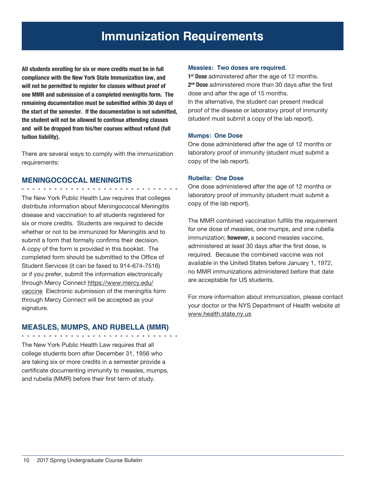# **Immunization Requirements**

**All students enrolling for six or more credits must be in full compliance with the New York State Immunization law, and will not be permitted to register for classes without proof of one MMR and submission of a completed meningitis form. The remaining documentation must be submitted within 30 days of the start of the semester. If the documentation is not submitted, the student will not be allowed to continue attending classes and will be dropped from his/her courses without refund (full tuition liability).**

There are several ways to comply with the immunization requirements:

# **MENINGOCOCCAL MENINGITIS**

The New York Public Health Law requires that colleges distribute information about Meningococcal Meningitis disease and vaccination to *all* students registered for six or more credits. Students are required to decide whether or not to be immunized for Meningitis and to submit a form that formally confirms their decision. A copy of the form is provided in this booklet. The completed form should be submitted to the Office of Student Services (it can be faxed to 914-674-7516) or if you prefer, submit the information electronically through Mercy Connect https://www.mercy.edu/ vaccine Electronic submission of the meningitis form through Mercy Connect will be accepted as your signature.

# **MEASLES, MUMPS, AND RUBELLA (MMR)**

The New York Public Health Law requires that all college students born after December 31, 1956 who are taking six or more credits in a semester provide a certificate documenting immunity to measles, mumps, and rubella (MMR) before their first term of study.

## **Measles: Two doses are required.**

**1st Dose** administered after the age of 12 months. **2nd Dose** administered more than 30 days after the first dose and after the age of 15 months. In the alternative, the student can present medical proof of the disease or laboratory proof of immunity (student must submit a copy of the lab report).

# **Mumps: One Dose**

One dose administered after the age of 12 months or laboratory proof of immunity (student must submit a copy of the lab report).

# **Rubella: One Dose**

One dose administered after the age of 12 months or laboratory proof of immunity (student must submit a copy of the lab report).

The MMR combined vaccination fulfills the requirement for one dose of measles, one mumps, and one rubella immunization; **however,** a second measles vaccine, administered at least 30 days after the first dose, is required. Because the combined vaccine was not available in the United States before January 1, 1972, no MMR immunizations administered before that date are acceptable for US students.

For more information about immunization, please contact your doctor or the NYS Department of Health website at www.health.state.ny.us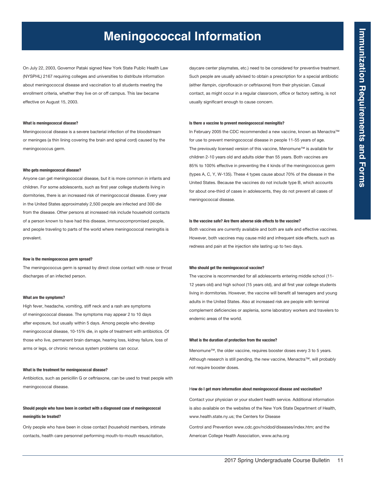# **Meningococcal Information**

On July 22, 2003, Governor Pataki signed New York State Public Health Law (NYSPHL) 2167 requiring colleges and universities to distribute information about meningococcal disease and vaccination to all students meeting the enrollment criteria, whether they live on or off campus. This law became effective on August 15, 2003.

#### **What is meningococcal disease?**

Meningococcal disease is a severe bacterial infection of the bloodstream or meninges (a thin lining covering the brain and spinal cord) caused by the meningococcus germ.

#### **Who gets meningococcal disease?**

Anyone can get meningococcal disease, but it is more common in infants and children. For some adolescents, such as first year college students living in dormitories, there is an increased risk of meningococcal disease. Every year in the United States approximately 2,500 people are infected and 300 die from the disease. Other persons at increased risk include household contacts of a person known to have had this disease, immunocompromised people, and people traveling to parts of the world where meningococcal meningitis is prevalent.

#### **How is the meningococcus germ spread?**

The meningococcus germ is spread by direct close contact with nose or throat discharges of an infected person.

#### **What are the symptoms?**

High fever, headache, vomiting, stiff neck and a rash are symptoms of meningococcal disease. The symptoms may appear 2 to 10 days after exposure, but usually within 5 days. Among people who develop meningococcal disease, 10-15% die, in spite of treatment with antibiotics. Of those who live, permanent brain damage, hearing loss, kidney failure, loss of arms or legs, or chronic nervous system problems can occur.

#### **What is the treatment for meningococcal disease?**

Antibiotics, such as penicillin G or ceftriaxone, can be used to treat people with meningococcal disease.

## **Should people who have been in contact with a diagnosed case of meningococcal meningitis be treated?**

Only people who have been in close contact (household members, intimate contacts, health care personnel performing mouth-to-mouth resuscitation,

daycare center playmates, etc.) need to be considered for preventive treatment. Such people are usually advised to obtain a prescription for a special antibiotic (either ifampin, ciprofloxacin or ceftriaxone) from their physician. Casual contact, as might occur in a regular classroom, office or factory setting, is not usually significant enough to cause concern.

#### **Is there a vaccine to prevent meningococcal meningitis?**

In February 2005 the CDC recommended a new vaccine, known as Menactra™ for use to prevent meningococcal disease in people 11-55 years of age. The previously licensed version of this vaccine, Menomune™ is available for children 2-10 years old and adults older than 55 years. Both vaccines are 85% to 100% effective in preventing the 4 kinds of the meningococcus germ (types A, C, Y, W-135). These 4 types cause about 70% of the disease in the United States. Because the vaccines do not include type B, which accounts for about one-third of cases in adolescents, they do not prevent all cases of meningococcal disease.

#### **Is the vaccine safe? Are there adverse side effects to the vaccine?**

Both vaccines are currently available and both are safe and effective vaccines. However, both vaccines may cause mild and infrequent side effects, such as redness and pain at the injection site lasting up to two days.

#### **Who should get the meningococcal vaccine?**

The vaccine is recommended for all adolescents entering middle school (11- 12 years old) and high school (15 years old), and all first year college students living in dormitories. However, the vaccine will benefit all teenagers and young adults in the United States. Also at increased risk are people with terminal complement deficiencies or asplenia, some laboratory workers and travelers to endemic areas of the world.

#### **What is the duration of protection from the vaccine?**

Menomune™, the older vaccine, requires booster doses every 3 to 5 years. Although research is still pending, the new vaccine, Menactra™, will probably not require booster doses.

#### H**ow do I get more information about meningococcal disease and vaccination?**

Contact your physician or your student health service. Additional information is also available on the websites of the New York State Department of Health, www.health.state.ny.us; the Centers for Disease

Control and Prevention www.cdc.gov/ncidod/diseases/index.htm; and the American College Health Association, www.acha.org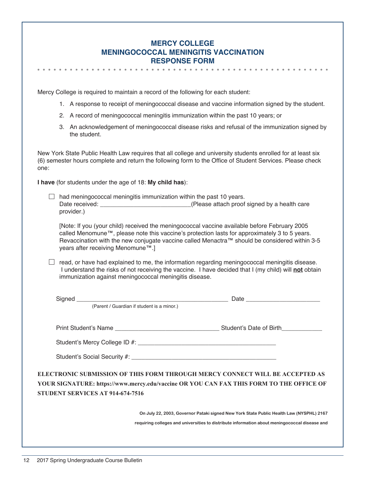| <b>MERCY COLLEGE</b>                        |
|---------------------------------------------|
| <b>MENINGOCOCCAL MENINGITIS VACCINATION</b> |
| <b>RESPONSE FORM</b>                        |

Mercy College is required to maintain a record of the following for each student:

- 1. A response to receipt of meningococcal disease and vaccine information signed by the student.
- 2. A record of meningococcal meningitis immunization within the past 10 years; or
- 3. An acknowledgement of meningococcal disease risks and refusal of the immunization signed by the student.

New York State Public Health Law requires that all college and university students enrolled for at least six (6) semester hours complete and return the following form to the Office of Student Services. Please check one:

**I have** (for students under the age of 18: **My child has**):

 $\Box$  had meningococcal meningitis immunization within the past 10 years. Date received: <br>  $\blacksquare$  (Please attach proof signed by a health care provider.)

[Note: If you (your child) received the meningococcal vaccine available before February 2005 called Menomune™, please note this vaccine's protection lasts for approximately 3 to 5 years. Revaccination with the new conjugate vaccine called Menactra™ should be considered within 3-5 years after receiving Menomune™.]

 $\Box$  read, or have had explained to me, the information regarding meningococcal meningitis disease. I understand the risks of not receiving the vaccine. I have decided that I (my child) will **not** obtain immunization against meningococcal meningitis disease.

|                                         | (Parent / Guardian if student is a minor.)                                                                                                                                               |
|-----------------------------------------|------------------------------------------------------------------------------------------------------------------------------------------------------------------------------------------|
|                                         |                                                                                                                                                                                          |
|                                         |                                                                                                                                                                                          |
|                                         |                                                                                                                                                                                          |
| <b>STUDENT SERVICES AT 914-674-7516</b> | ELECTRONIC SUBMISSION OF THIS FORM THROUGH MERCY CONNECT WILL BE ACCEPTED AS<br>YOUR SIGNATURE: https://www.mercy.edu/vaccine OR YOU CAN FAX THIS FORM TO THE OFFICE OF                  |
|                                         | On July 22, 2003, Governor Pataki signed New York State Public Health Law (NYSPHL) 2167<br>requiring colleges and universities to distribute information about meningococcal disease and |
|                                         |                                                                                                                                                                                          |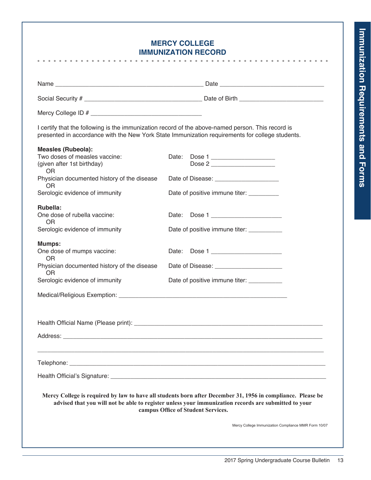$\bullet$ 

# **Mercy College Immunization Record**

|                                                                                                       | I certify that the following is the immunization record of the above-named person. This record is<br>presented in accordance with the New York State Immunization requirements for college students.                                                      |
|-------------------------------------------------------------------------------------------------------|-----------------------------------------------------------------------------------------------------------------------------------------------------------------------------------------------------------------------------------------------------------|
| <b>Measles (Rubeola):</b><br>Two doses of measles vaccine:<br>(given after 1st birthday)<br><b>OR</b> | Date: Dose 1<br>Dose 2                                                                                                                                                                                                                                    |
| Physician documented history of the disease<br>OR.                                                    |                                                                                                                                                                                                                                                           |
| Serologic evidence of immunity                                                                        | Date of positive immune titer:                                                                                                                                                                                                                            |
| Rubella:<br>One dose of rubella vaccine:<br><b>OR</b>                                                 | Date: Dose 1                                                                                                                                                                                                                                              |
| Serologic evidence of immunity                                                                        | Date of positive immune titer: __________                                                                                                                                                                                                                 |
| <b>Mumps:</b><br>One dose of mumps vaccine:<br><b>OR</b>                                              | Date: Dose 1                                                                                                                                                                                                                                              |
| Physician documented history of the disease<br>OR.                                                    | Date of Disease: ________________________                                                                                                                                                                                                                 |
| Serologic evidence of immunity                                                                        | Date of positive immune titer: __________                                                                                                                                                                                                                 |
|                                                                                                       |                                                                                                                                                                                                                                                           |
|                                                                                                       |                                                                                                                                                                                                                                                           |
| Address:                                                                                              |                                                                                                                                                                                                                                                           |
|                                                                                                       |                                                                                                                                                                                                                                                           |
|                                                                                                       |                                                                                                                                                                                                                                                           |
|                                                                                                       | Mercy College is required by law to have all students born after December 31, 1956 in compliance. Please be<br>advised that you will not be able to register unless your immunization records are submitted to your<br>campus Office of Student Services. |
|                                                                                                       | Mercy College Immunization Compliance MMR Form 10/07                                                                                                                                                                                                      |
|                                                                                                       |                                                                                                                                                                                                                                                           |
|                                                                                                       |                                                                                                                                                                                                                                                           |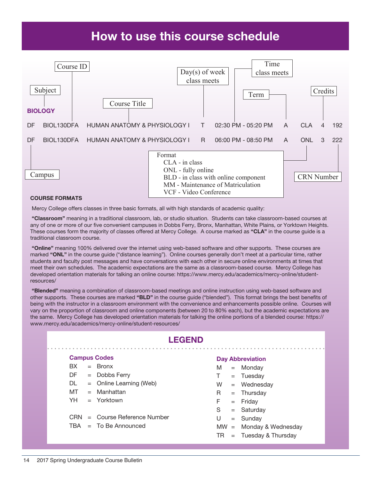# How to use this course schedule



#### Course Formats

Mercy College offers classes in three basic formats, all with high standards of academic quality:

 "Classroom" meaning in a traditional classroom, lab, or studio situation. Students can take classroom-based courses at any of one or more of our five convenient campuses in Dobbs Ferry, Bronx, Manhattan, White Plains, or Yorktown Heights. These courses form the majority of classes offered at Mercy College. A course marked as "CLA" in the course guide is a traditional classroom course.

"Online" meaning 100% delivered over the internet using web-based software and other supports. These courses are marked "ONL" in the course guide ("distance learning"). Online courses generally don't meet at a particular time, rather students and faculty post messages and have conversations with each other in secure online environments at times that meet their own schedules. The academic expectations are the same as a classroom-based course. Mercy College has developed orientation materials for talking an online course: https://www.mercy.edu/academics/mercy-online/studentresources/

 "Blended" meaning a combination of classroom-based meetings and online instruction using web-based software and other supports. These courses are marked "BLD" in the course guide ("blended"). This format brings the best benefits of being with the instructor in a classroom environment with the convenience and enhancements possible online. Courses will vary on the proportion of classroom and online components (between 20 to 80% each), but the academic expectations are the same. Mercy College has developed orientation materials for talking the online portions of a blended course: https:// www.mercy.edu/academics/mercy-online/student-resources/

| <b>LEGEND</b> |                     |                             |    |     |                           |  |  |  |  |  |
|---------------|---------------------|-----------------------------|----|-----|---------------------------|--|--|--|--|--|
|               | <b>Campus Codes</b> |                             |    |     | <b>Day Abbreviation</b>   |  |  |  |  |  |
| BX.           |                     | $=$ Bronx                   | M  |     | $=$ Monday                |  |  |  |  |  |
| DF.           |                     | $=$ Dobbs Ferry             | T. |     | $=$ Tuesday               |  |  |  |  |  |
| DL.           |                     | $=$ Online Learning (Web)   | W  |     | $=$ Wednesday             |  |  |  |  |  |
| MT            |                     | $=$ Manhattan               | R. |     | $=$ Thursday              |  |  |  |  |  |
| YH -          |                     | $=$ Yorktown                | F. |     | $=$ Friday                |  |  |  |  |  |
|               |                     |                             | S  |     | $=$ Saturday              |  |  |  |  |  |
| <b>CRN</b>    |                     | $=$ Course Reference Number | U  |     | $=$ Sunday                |  |  |  |  |  |
| TBA           |                     | $=$ To Be Announced         |    |     | $MW =$ Monday & Wednesday |  |  |  |  |  |
|               |                     |                             | TR | $=$ | Tuesday & Thursday        |  |  |  |  |  |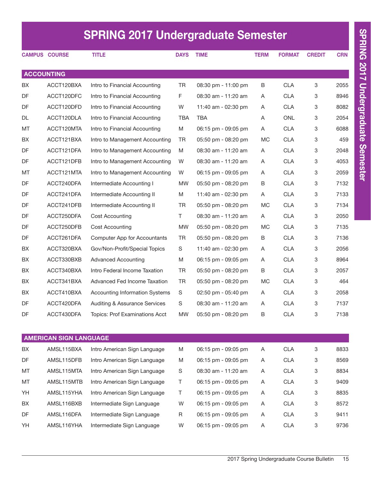|     | <b>SPRING 2017 Undergraduate Semester</b> |                                          |             |                     |             |               |               |            |  |  |  |
|-----|-------------------------------------------|------------------------------------------|-------------|---------------------|-------------|---------------|---------------|------------|--|--|--|
|     | <b>CAMPUS COURSE</b>                      | <b>TITLE</b>                             | <b>DAYS</b> | <b>TIME</b>         | <b>TERM</b> | <b>FORMAT</b> | <b>CREDIT</b> | <b>CRN</b> |  |  |  |
|     | <b>ACCOUNTING</b>                         |                                          |             |                     |             |               |               |            |  |  |  |
| BХ  | ACCT120BXA                                | Intro to Financial Accounting            | <b>TR</b>   | 08:30 pm - 11:00 pm | B           | <b>CLA</b>    | 3             | 2055       |  |  |  |
| DF  | ACCT120DFC                                | Intro to Financial Accounting            | F.          | 08:30 am - 11:20 am | A           | <b>CLA</b>    | 3             | 8946       |  |  |  |
| DF  | ACCT120DFD                                | Intro to Financial Accounting            | W           | 11:40 am - 02:30 pm | A           | <b>CLA</b>    | 3             | 8082       |  |  |  |
| DL  | ACCT120DLA                                | Intro to Financial Accounting            | <b>TBA</b>  | <b>TBA</b>          | Α           | <b>ONL</b>    | 3             | 2054       |  |  |  |
| MT  | ACCT120MTA                                | Intro to Financial Accounting            | M           | 06:15 pm - 09:05 pm | A           | <b>CLA</b>    | 3             | 6088       |  |  |  |
| BX. | ACCT121BXA                                | Intro to Management Accounting           | TR          | 05:50 pm - 08:20 pm | <b>MC</b>   | <b>CLA</b>    | 3             | 459        |  |  |  |
| DF  | ACCT121DFA                                | Intro to Management Accounting           | M           | 08:30 am - 11:20 am | A           | <b>CLA</b>    | 3             | 2048       |  |  |  |
| DF  | ACCT121DFB                                | Intro to Management Accounting           | W           | 08:30 am - 11:20 am | A           | <b>CLA</b>    | 3             | 4053       |  |  |  |
| MT  | ACCT121MTA                                | Intro to Management Accounting           | W           | 06:15 pm - 09:05 pm | A           | <b>CLA</b>    | 3             | 2059       |  |  |  |
| DF  | ACCT240DFA                                | Intermediate Accounting I                | MW.         | 05:50 pm - 08:20 pm | B           | <b>CLA</b>    | 3             | 7132       |  |  |  |
| DF  | ACCT241DFA                                | Intermediate Accounting II               | M           | 11:40 am - 02:30 pm | A           | <b>CLA</b>    | 3             | 7133       |  |  |  |
| DF  | ACCT241DFB                                | Intermediate Accounting II               | TR          | 05:50 pm - 08:20 pm | <b>MC</b>   | <b>CLA</b>    | 3             | 7134       |  |  |  |
| DF  | ACCT250DFA                                | Cost Accounting                          | T.          | 08:30 am - 11:20 am | A           | <b>CLA</b>    | 3             | 2050       |  |  |  |
| DF  | ACCT250DFB                                | Cost Accounting                          | <b>MW</b>   | 05:50 pm - 08:20 pm | <b>MC</b>   | <b>CLA</b>    | 3             | 7135       |  |  |  |
| DF  | ACCT261DFA                                | Computer App for Accountants             | TR          | 05:50 pm - 08:20 pm | B           | <b>CLA</b>    | 3             | 7136       |  |  |  |
| BX. | ACCT320BXA                                | Gov/Non-Profit/Special Topics            | S           | 11:40 am - 02:30 pm | A           | <b>CLA</b>    | 3             | 2056       |  |  |  |
| BX  | ACCT330BXB                                | <b>Advanced Accounting</b>               | M           | 06:15 pm - 09:05 pm | A           | <b>CLA</b>    | 3             | 8964       |  |  |  |
| BX. | ACCT340BXA                                | Intro Federal Income Taxation            | TR          | 05:50 pm - 08:20 pm | B           | <b>CLA</b>    | 3             | 2057       |  |  |  |
| BX  | ACCT341BXA                                | Advanced Fed Income Taxation             | TR          | 05:50 pm - 08:20 pm | MC.         | <b>CLA</b>    | 3             | 464        |  |  |  |
| BХ  | ACCT410BXA                                | <b>Accounting Information Systems</b>    | S           | 02:50 pm - 05:40 pm | A           | <b>CLA</b>    | 3             | 2058       |  |  |  |
| DF  | ACCT420DFA                                | <b>Auditing &amp; Assurance Services</b> | S           | 08:30 am - 11:20 am | Α           | <b>CLA</b>    | 3             | 7137       |  |  |  |
| DF  | ACCT430DFA                                | Topics: Prof Examinations Acct           | <b>MW</b>   | 05:50 pm - 08:20 pm | B           | <b>CLA</b>    | 3             | 7138       |  |  |  |
|     | <b>AMERICAN SIGN LANGUAGE</b>             |                                          |             |                     |             |               |               |            |  |  |  |
| BX  | AMSL115BXA                                | Intro American Sign Language             | M           | 06:15 pm - 09:05 pm | A           | <b>CLA</b>    | 3             | 8833       |  |  |  |
| DF  | AMSL115DFB                                | Intro American Sign Language             | M           | 06:15 pm - 09:05 pm | A           | <b>CLA</b>    | 3             | 8569       |  |  |  |
| МT  | AMSL115MTA                                | Intro American Sign Language             | S           | 08:30 am - 11:20 am | A           | <b>CLA</b>    | 3             | 8834       |  |  |  |
| МT  | AMSL115MTB                                | Intro American Sign Language             | Τ           | 06:15 pm - 09:05 pm | A           | <b>CLA</b>    | 3             | 9409       |  |  |  |
| YH  | AMSL115YHA                                | Intro American Sign Language             | Τ           | 06:15 pm - 09:05 pm | A           | <b>CLA</b>    | 3             | 8835       |  |  |  |
| BX  | AMSL116BXB                                | Intermediate Sign Language               | W           | 06:15 pm - 09:05 pm | A           | <b>CLA</b>    | 3             | 8572       |  |  |  |
| DF  | AMSL116DFA                                | Intermediate Sign Language               | R           | 06:15 pm - 09:05 pm | A           | <b>CLA</b>    | 3             | 9411       |  |  |  |

YH AMSL116YHA Intermediate Sign Language W 06:15 pm - 09:05 pm A CLA 3 9736

SPRING 2017 Undergraduate Semester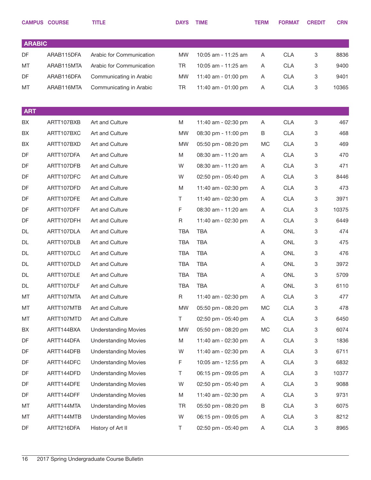|               | <b>CAMPUS COURSE</b> | <b>TITLE</b>                | <b>DAYS</b> | <b>TIME</b>         | <b>TERM</b> | <b>FORMAT</b> | <b>CREDIT</b> | <b>CRN</b> |
|---------------|----------------------|-----------------------------|-------------|---------------------|-------------|---------------|---------------|------------|
|               |                      |                             |             |                     |             |               |               |            |
| <b>ARABIC</b> |                      |                             |             |                     |             |               |               |            |
| DF            | ARAB115DFA           | Arabic for Communication    | <b>MW</b>   | 10:05 am - 11:25 am | Α           | <b>CLA</b>    | 3             | 8836       |
| MT            | ARAB115MTA           | Arabic for Communication    | <b>TR</b>   | 10:05 am - 11:25 am | Α           | <b>CLA</b>    | 3             | 9400       |
| DF            | ARAB116DFA           | Communicating in Arabic     | <b>MW</b>   | 11:40 am - 01:00 pm | A           | <b>CLA</b>    | 3             | 9401       |
| МT            | ARAB116MTA           | Communicating in Arabic     | <b>TR</b>   | 11:40 am - 01:00 pm | Α           | <b>CLA</b>    | 3             | 10365      |
|               |                      |                             |             |                     |             |               |               |            |
| <b>ART</b>    |                      |                             |             |                     |             |               |               |            |
| BX            | ARTT107BXB           | Art and Culture             | M           | 11:40 am - 02:30 pm | A           | <b>CLA</b>    | 3             | 467        |
| BX            | ARTT107BXC           | Art and Culture             | <b>MW</b>   | 08:30 pm - 11:00 pm | B           | <b>CLA</b>    | 3             | 468        |
| BX            | ARTT107BXD           | Art and Culture             | <b>MW</b>   | 05:50 pm - 08:20 pm | MC          | <b>CLA</b>    | 3             | 469        |
| DF            | ARTT107DFA           | Art and Culture             | M           | 08:30 am - 11:20 am | Α           | <b>CLA</b>    | 3             | 470        |
| DF            | ARTT107DFB           | Art and Culture             | W           | 08:30 am - 11:20 am | Α           | <b>CLA</b>    | 3             | 471        |
| DF            | ARTT107DFC           | Art and Culture             | W           | 02:50 pm - 05:40 pm | Α           | <b>CLA</b>    | 3             | 8446       |
| DF            | ARTT107DFD           | Art and Culture             | M           | 11:40 am - 02:30 pm | Α           | <b>CLA</b>    | 3             | 473        |
| DF            | ARTT107DFE           | Art and Culture             | Τ           | 11:40 am - 02:30 pm | Α           | <b>CLA</b>    | 3             | 3971       |
| DF            | ARTT107DFF           | Art and Culture             | $\mathsf F$ | 08:30 am - 11:20 am | Α           | <b>CLA</b>    | 3             | 10375      |
| DF            | ARTT107DFH           | Art and Culture             | R           | 11:40 am - 02:30 pm | Α           | <b>CLA</b>    | 3             | 6449       |
| <b>DL</b>     | ARTT107DLA           | Art and Culture             | <b>TBA</b>  | <b>TBA</b>          | Α           | <b>ONL</b>    | 3             | 474        |
| DL            | ARTT107DLB           | Art and Culture             | <b>TBA</b>  | <b>TBA</b>          | A           | <b>ONL</b>    | 3             | 475        |
| <b>DL</b>     | ARTT107DLC           | Art and Culture             | <b>TBA</b>  | <b>TBA</b>          | Α           | <b>ONL</b>    | 3             | 476        |
| DL            | ARTT107DLD           | Art and Culture             | <b>TBA</b>  | <b>TBA</b>          | Α           | <b>ONL</b>    | 3             | 3972       |
| <b>DL</b>     | ARTT107DLE           | Art and Culture             | <b>TBA</b>  | <b>TBA</b>          | Α           | <b>ONL</b>    | 3             | 5709       |
| DL            | ARTT107DLF           | Art and Culture             | TBA         | TBA                 | A           | <b>ONL</b>    | 3             | 6110       |
| MT            | ARTT107MTA           | Art and Culture             | R           | 11:40 am - 02:30 pm | A           | <b>CLA</b>    | 3             | 477        |
| МT            | ARTT107MTB           | Art and Culture             | <b>MW</b>   | 05:50 pm - 08:20 pm | МC          | <b>CLA</b>    | 3             | 478        |
| МT            | ARTT107MTD           | Art and Culture             | T.          | 02:50 pm - 05:40 pm | A           | <b>CLA</b>    | 3             | 6450       |
| BX            | ARTT144BXA           | <b>Understanding Movies</b> | <b>MW</b>   | 05:50 pm - 08:20 pm | МC          | <b>CLA</b>    | 3             | 6074       |
| DF            | ARTT144DFA           | <b>Understanding Movies</b> | M           | 11:40 am - 02:30 pm | A           | <b>CLA</b>    | 3             | 1836       |
| DF            | ARTT144DFB           | <b>Understanding Movies</b> | W           | 11:40 am - 02:30 pm | Α           | <b>CLA</b>    | 3             | 6711       |
| DF            | ARTT144DFC           | <b>Understanding Movies</b> | F           | 10:05 am - 12:55 pm | A           | <b>CLA</b>    | 3             | 6832       |
| DF            | ARTT144DFD           | <b>Understanding Movies</b> | Τ           | 06:15 pm - 09:05 pm | Α           | <b>CLA</b>    | 3             | 10377      |
| DF            | ARTT144DFE           | <b>Understanding Movies</b> | W           | 02:50 pm - 05:40 pm | A           | <b>CLA</b>    | 3             | 9088       |
| DF            | ARTT144DFF           | <b>Understanding Movies</b> | M           | 11:40 am - 02:30 pm | Α           | <b>CLA</b>    | 3             | 9731       |
| MT            | ARTT144MTA           | <b>Understanding Movies</b> | TR          | 05:50 pm - 08:20 pm | В           | <b>CLA</b>    | 3             | 6075       |
| MT            | ARTT144MTB           | <b>Understanding Movies</b> | W           | 06:15 pm - 09:05 pm | Α           | <b>CLA</b>    | 3             | 8212       |
| DF            | ARTT216DFA           | History of Art II           | T.          | 02:50 pm - 05:40 pm | Α           | <b>CLA</b>    | 3             | 8965       |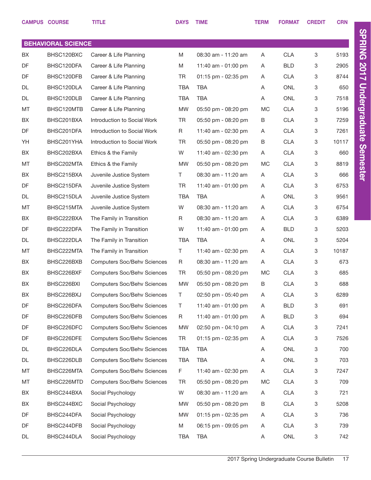|    | <b>CAMPUS COURSE</b>      | <b>TITLE</b>                       | <b>DAYS</b> | <b>TIME</b>         | <b>TERM</b> | <b>FORMAT</b> | <b>CREDIT</b> | <b>CRN</b> |  |  |  |
|----|---------------------------|------------------------------------|-------------|---------------------|-------------|---------------|---------------|------------|--|--|--|
|    |                           |                                    |             |                     |             |               |               |            |  |  |  |
|    | <b>BEHAVIORAL SCIENCE</b> |                                    |             |                     |             |               |               |            |  |  |  |
| BX | BHSC120BXC                | Career & Life Planning             | M           | 08:30 am - 11:20 am | A           | <b>CLA</b>    | 3             | 5193       |  |  |  |
| DF | BHSC120DFA                | Career & Life Planning             | M           | 11:40 am - 01:00 pm | A           | <b>BLD</b>    | 3             | 2905       |  |  |  |
| DF | BHSC120DFB                | Career & Life Planning             | TR          | 01:15 pm - 02:35 pm | A           | <b>CLA</b>    | 3             | 8744       |  |  |  |
| DL | BHSC120DLA                | Career & Life Planning             | <b>TBA</b>  | <b>TBA</b>          | A           | <b>ONL</b>    | 3             | 650        |  |  |  |
| DL | BHSC120DLB                | Career & Life Planning             | <b>TBA</b>  | <b>TBA</b>          | Α           | <b>ONL</b>    | 3             | 7518       |  |  |  |
| MT | BHSC120MTB                | Career & Life Planning             | <b>MW</b>   | 05:50 pm - 08:20 pm | МC          | <b>CLA</b>    | 3             | 5196       |  |  |  |
| BX | BHSC201BXA                | Introduction to Social Work        | TR          | 05:50 pm - 08:20 pm | В           | <b>CLA</b>    | 3             | 7259       |  |  |  |
| DF | BHSC201DFA                | Introduction to Social Work        | R           | 11:40 am - 02:30 pm | A           | <b>CLA</b>    | 3             | 7261       |  |  |  |
| YH | BHSC201YHA                | Introduction to Social Work        | TR          | 05:50 pm - 08:20 pm | B           | <b>CLA</b>    | 3             | 10117      |  |  |  |
| BX | BHSC202BXA                | Ethics & the Family                | W           | 11:40 am - 02:30 pm | A           | <b>CLA</b>    | 3             | 660        |  |  |  |
| MT | BHSC202MTA                | Ethics & the Family                | <b>MW</b>   | 05:50 pm - 08:20 pm | МC          | <b>CLA</b>    | 3             | 8819       |  |  |  |
| BX | BHSC215BXA                | Juvenile Justice System            | T.          | 08:30 am - 11:20 am | A           | <b>CLA</b>    | 3             | 666        |  |  |  |
| DF | BHSC215DFA                | Juvenile Justice System            | TR          | 11:40 am - 01:00 pm | A           | <b>CLA</b>    | 3             | 6753       |  |  |  |
| DL | BHSC215DLA                | Juvenile Justice System            | TBA         | <b>TBA</b>          | A           | <b>ONL</b>    | 3             | 9561       |  |  |  |
| MT | BHSC215MTA                | Juvenile Justice System            | W           | 08:30 am - 11:20 am | Α           | <b>CLA</b>    | 3             | 6754       |  |  |  |
| BX | BHSC222BXA                | The Family in Transition           | R           | 08:30 am - 11:20 am | A           | <b>CLA</b>    | 3             | 6389       |  |  |  |
| DF | BHSC222DFA                | The Family in Transition           | W           | 11:40 am - 01:00 pm | A           | <b>BLD</b>    | 3             | 5203       |  |  |  |
| DL | BHSC222DLA                | The Family in Transition           | TBA         | TBA                 | A           | <b>ONL</b>    | 3             | 5204       |  |  |  |
| MT | BHSC222MTA                | The Family in Transition           | T.          | 11:40 am - 02:30 pm | Α           | <b>CLA</b>    | 3             | 10187      |  |  |  |
| BX | BHSC226BXB                | <b>Computers Soc/Behv Sciences</b> | R           | 08:30 am - 11:20 am | A           | <b>CLA</b>    | 3             | 673        |  |  |  |
| BX | BHSC226BXF                | <b>Computers Soc/Behv Sciences</b> | <b>TR</b>   | 05:50 pm - 08:20 pm | МC          | <b>CLA</b>    | 3             | 685        |  |  |  |
| BX | BHSC226BXI                | <b>Computers Soc/Behv Sciences</b> | <b>MW</b>   | 05:50 pm - 08:20 pm | В           | <b>CLA</b>    | 3             | 688        |  |  |  |
| BX | BHSC226BXJ                | <b>Computers Soc/Behv Sciences</b> | Τ           | 02:50 pm - 05:40 pm | Α           | CLA           | 3             | 6289       |  |  |  |
| DF | BHSC226DFA                | <b>Computers Soc/Behv Sciences</b> | Τ           | 11:40 am - 01:00 pm | Α           | <b>BLD</b>    | 3             | 691        |  |  |  |
| DF | BHSC226DFB                | <b>Computers Soc/Behv Sciences</b> | R           | 11:40 am - 01:00 pm | Α           | <b>BLD</b>    | 3             | 694        |  |  |  |
| DF | BHSC226DFC                | <b>Computers Soc/Behv Sciences</b> | MW          | 02:50 pm - 04:10 pm | Α           | <b>CLA</b>    | 3             | 7241       |  |  |  |
| DF | BHSC226DFE                | <b>Computers Soc/Behv Sciences</b> | TR          | 01:15 pm - 02:35 pm | A           | CLA           | 3             | 7526       |  |  |  |
| DL | BHSC226DLA                | <b>Computers Soc/Behv Sciences</b> | TBA         | TBA                 | A           | ONL           | 3             | 700        |  |  |  |
| DL | BHSC226DLB                | <b>Computers Soc/Behv Sciences</b> | TBA         | <b>TBA</b>          | Α           | ONL           | 3             | 703        |  |  |  |
| MT | BHSC226MTA                | <b>Computers Soc/Behv Sciences</b> | F           | 11:40 am - 02:30 pm | Α           | <b>CLA</b>    | 3             | 7247       |  |  |  |
| MT | BHSC226MTD                | <b>Computers Soc/Behv Sciences</b> | TR          | 05:50 pm - 08:20 pm | MC          | CLA           | 3             | 709        |  |  |  |
| BX | BHSC244BXA                | Social Psychology                  | W           | 08:30 am - 11:20 am | A           | <b>CLA</b>    | 3             | 721        |  |  |  |
| BX | BHSC244BXC                | Social Psychology                  | MW          | 05:50 pm - 08:20 pm | В           | <b>CLA</b>    | 3             | 5208       |  |  |  |
| DF | BHSC244DFA                | Social Psychology                  | MW          | 01:15 pm - 02:35 pm | A           | <b>CLA</b>    | 3             | 736        |  |  |  |
| DF | BHSC244DFB                | Social Psychology                  | Μ           | 06:15 pm - 09:05 pm | A           | CLA           | 3             | 739        |  |  |  |
| DL | BHSC244DLA                | Social Psychology                  | TBA         | <b>TBA</b>          | A           | ONL           | 3             | 742        |  |  |  |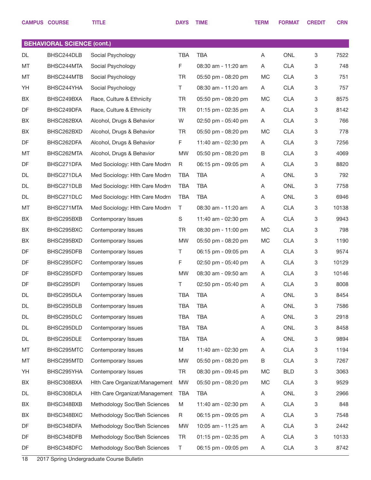|                                   | <b>CAMPUS COURSE</b> | <b>TITLE</b>                   | <b>DAYS</b> | <b>TIME</b>             | <b>TERM</b> | <b>FORMAT</b> | <b>CREDIT</b> | <b>CRN</b> |  |  |
|-----------------------------------|----------------------|--------------------------------|-------------|-------------------------|-------------|---------------|---------------|------------|--|--|
|                                   |                      |                                |             |                         |             |               |               |            |  |  |
| <b>BEHAVIORAL SCIENCE (cont.)</b> |                      |                                |             |                         |             |               |               |            |  |  |
| DL                                | BHSC244DLB           | Social Psychology              | <b>TBA</b>  | <b>TBA</b>              | Α           | <b>ONL</b>    | 3             | 7522       |  |  |
| MT                                | BHSC244MTA           | Social Psychology              | F           | 08:30 am - 11:20 am     | A           | <b>CLA</b>    | 3             | 748        |  |  |
| MT                                | BHSC244MTB           | Social Psychology              | <b>TR</b>   | 05:50 pm - 08:20 pm     | <b>MC</b>   | <b>CLA</b>    | 3             | 751        |  |  |
| YH                                | BHSC244YHA           | Social Psychology              | T.          | 08:30 am - 11:20 am     | A           | <b>CLA</b>    | 3             | 757        |  |  |
| BX                                | BHSC249BXA           | Race, Culture & Ethnicity      | <b>TR</b>   | 05:50 pm - 08:20 pm     | <b>MC</b>   | <b>CLA</b>    | 3             | 8575       |  |  |
| DF                                | BHSC249DFA           | Race, Culture & Ethnicity      | TR          | 01:15 pm - 02:35 pm     | A           | <b>CLA</b>    | 3             | 8142       |  |  |
| BX                                | BHSC262BXA           | Alcohol, Drugs & Behavior      | W           | 02:50 pm - 05:40 pm     | A           | <b>CLA</b>    | 3             | 766        |  |  |
| BX                                | BHSC262BXD           | Alcohol, Drugs & Behavior      | TR          | 05:50 pm - 08:20 pm     | MC          | <b>CLA</b>    | 3             | 778        |  |  |
| DF                                | BHSC262DFA           | Alcohol, Drugs & Behavior      | F.          | 11:40 am - 02:30 pm     | A           | <b>CLA</b>    | 3             | 7256       |  |  |
| MT                                | BHSC262MTA           | Alcohol, Drugs & Behavior      | <b>MW</b>   | 05:50 pm - 08:20 pm     | B           | <b>CLA</b>    | 3             | 4069       |  |  |
| DF                                | BHSC271DFA           | Med Sociology: Hlth Care Modrn | R           | 06:15 pm - 09:05 pm     | A           | <b>CLA</b>    | 3             | 8820       |  |  |
| DL                                | BHSC271DLA           | Med Sociology: Hlth Care Modrn | <b>TBA</b>  | <b>TBA</b>              | Α           | <b>ONL</b>    | 3             | 792        |  |  |
| DL                                | BHSC271DLB           | Med Sociology: Hlth Care Modrn | <b>TBA</b>  | <b>TBA</b>              | Α           | <b>ONL</b>    | 3             | 7758       |  |  |
| DL                                | BHSC271DLC           | Med Sociology: Hlth Care Modrn | <b>TBA</b>  | <b>TBA</b>              | Α           | <b>ONL</b>    | 3             | 6946       |  |  |
| MT                                | BHSC271MTA           | Med Sociology: Hlth Care Modrn | T           | 08:30 am - 11:20 am     | A           | <b>CLA</b>    | 3             | 10138      |  |  |
| BX                                | BHSC295BXB           | Contemporary Issues            | S           | 11:40 am - 02:30 pm     | A           | <b>CLA</b>    | 3             | 9943       |  |  |
| BX                                | BHSC295BXC           | Contemporary Issues            | TR          | 08:30 pm - 11:00 pm     | <b>MC</b>   | <b>CLA</b>    | 3             | 798        |  |  |
| BX                                | BHSC295BXD           | Contemporary Issues            | <b>MW</b>   | 05:50 pm - 08:20 pm     | MC          | <b>CLA</b>    | 3             | 1190       |  |  |
| DF                                | BHSC295DFB           | Contemporary Issues            | Τ           | 06:15 pm - 09:05 pm     | A           | <b>CLA</b>    | 3             | 9574       |  |  |
| DF                                | BHSC295DFC           | Contemporary Issues            | F           | 02:50 pm - 05:40 pm     | A           | <b>CLA</b>    | 3             | 10129      |  |  |
| DF                                | BHSC295DFD           | Contemporary Issues            | <b>MW</b>   | 08:30 am - 09:50 am     | A           | <b>CLA</b>    | 3             | 10146      |  |  |
| DF                                | BHSC295DFI           | Contemporary Issues            | T           | $02:50$ pm - $05:40$ pm | A           | <b>CLA</b>    | 3             | 8008       |  |  |
| DL                                | BHSC295DLA           | Contemporary Issues            | <b>TBA</b>  | <b>TBA</b>              | Α           | ONL           | 3             | 8454       |  |  |
| DL                                | BHSC295DLB           | Contemporary Issues            | TBA         | <b>TBA</b>              | Α           | <b>ONL</b>    | 3             | 7586       |  |  |
| DL                                | BHSC295DLC           | Contemporary Issues            | TBA         | <b>TBA</b>              | Α           | ONL           | 3             | 2918       |  |  |
| DL                                | BHSC295DLD           | Contemporary Issues            | TBA         | <b>TBA</b>              | A           | <b>ONL</b>    | 3             | 8458       |  |  |
| DL                                | BHSC295DLE           | Contemporary Issues            | <b>TBA</b>  | <b>TBA</b>              | Α           | ONL           | 3             | 9894       |  |  |
| МT                                | BHSC295MTC           | Contemporary Issues            | M           | 11:40 am - 02:30 pm     | A           | <b>CLA</b>    | 3             | 1194       |  |  |
| MT                                | BHSC295MTD           | Contemporary Issues            | <b>MW</b>   | 05:50 pm - 08:20 pm     | B           | <b>CLA</b>    | 3             | 7267       |  |  |
| YH                                | BHSC295YHA           | Contemporary Issues            | TR          | 08:30 pm - 09:45 pm     | <b>MC</b>   | <b>BLD</b>    | 3             | 3063       |  |  |
| BX                                | BHSC308BXA           | Hith Care Organizat/Management | <b>MW</b>   | 05:50 pm - 08:20 pm     | MC          | <b>CLA</b>    | 3             | 9529       |  |  |
| DL                                | BHSC308DLA           | Hith Care Organizat/Management | <b>TBA</b>  | <b>TBA</b>              | Α           | ONL           | 3             | 2966       |  |  |
| BX                                | BHSC348BXB           | Methodology Soc/Beh Sciences   | M           | 11:40 am - 02:30 pm     | A           | <b>CLA</b>    | 3             | 848        |  |  |
| BX                                | BHSC348BXC           | Methodology Soc/Beh Sciences   | R           | 06:15 pm - 09:05 pm     | A           | <b>CLA</b>    | 3             | 7548       |  |  |
| DF                                | BHSC348DFA           | Methodology Soc/Beh Sciences   | <b>MW</b>   | 10:05 am - 11:25 am     | A           | <b>CLA</b>    | 3             | 2442       |  |  |
| DF                                | BHSC348DFB           | Methodology Soc/Beh Sciences   | TR          | 01:15 pm - 02:35 pm     | A           | <b>CLA</b>    | 3             | 10133      |  |  |
| DF                                | BHSC348DFC           | Methodology Soc/Beh Sciences   | T           | 06:15 pm - 09:05 pm     | A           | <b>CLA</b>    | 3             | 8742       |  |  |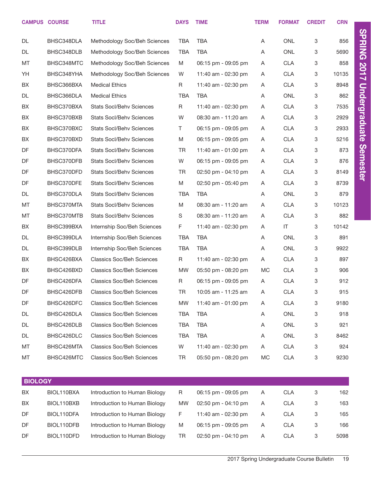|                | <b>CAMPUS COURSE</b> | <b>TITLE</b>                     | <b>DAYS</b>  | <b>TIME</b>         | <b>TERM</b> | <b>FORMAT</b>          | <b>CREDIT</b> | <b>CRN</b> |                      |
|----------------|----------------------|----------------------------------|--------------|---------------------|-------------|------------------------|---------------|------------|----------------------|
|                |                      |                                  |              |                     |             |                        |               |            |                      |
| <b>DL</b>      | BHSC348DLA           | Methodology Soc/Beh Sciences     | <b>TBA</b>   | <b>TBA</b>          | Α           | ONL                    | 3             | 856        | <b>SPRING 2017</b>   |
| <b>DL</b>      | BHSC348DLB           | Methodology Soc/Beh Sciences     | <b>TBA</b>   | <b>TBA</b>          | Α           | <b>ONL</b>             | 3             | 5690       |                      |
| MT             | BHSC348MTC           | Methodology Soc/Beh Sciences     | M            | 06:15 pm - 09:05 pm | A           | <b>CLA</b>             | 3             | 858        |                      |
| YH             | BHSC348YHA           | Methodology Soc/Beh Sciences     | W            | 11:40 am - 02:30 pm | A           | <b>CLA</b>             | 3             | 10135      |                      |
| BX             | BHSC366BXA           | <b>Medical Ethics</b>            | $\mathsf{R}$ | 11:40 am - 02:30 pm | A           | <b>CLA</b>             | 3             | 8948       |                      |
| DL             | BHSC366DLA           | <b>Medical Ethics</b>            | <b>TBA</b>   | <b>TBA</b>          | A           | ONL                    | 3             | 862        |                      |
| BX             | BHSC370BXA           | <b>Stats Socl/Behv Sciences</b>  | R            | 11:40 am - 02:30 pm | A           | <b>CLA</b>             | 3             | 7535       | <b>Undergraduate</b> |
| BX             | BHSC370BXB           | <b>Stats Socl/Behv Sciences</b>  | W            | 08:30 am - 11:20 am | A           | <b>CLA</b>             | 3             | 2929       |                      |
| BX             | BHSC370BXC           | <b>Stats Socl/Behv Sciences</b>  | T            | 06:15 pm - 09:05 pm | A           | <b>CLA</b>             | 3             | 2933       |                      |
| BX             | BHSC370BXD           | <b>Stats Socl/Behy Sciences</b>  | M            | 06:15 pm - 09:05 pm | A           | <b>CLA</b>             | 3             | 5216       |                      |
| DF             | BHSC370DFA           | <b>Stats Socl/Behv Sciences</b>  | <b>TR</b>    | 11:40 am - 01:00 pm | A           | <b>CLA</b>             | 3             | 873        |                      |
| DF             | BHSC370DFB           | <b>Stats Socl/Behv Sciences</b>  | W            | 06:15 pm - 09:05 pm | A           | <b>CLA</b>             | 3             | 876        | <b>Semester</b>      |
| DF             | BHSC370DFD           | <b>Stats Socl/Behv Sciences</b>  | TR           | 02:50 pm - 04:10 pm | A           | <b>CLA</b>             | 3             | 8149       |                      |
| DF             | BHSC370DFE           | <b>Stats Socl/Behy Sciences</b>  | M            | 02:50 pm - 05:40 pm | A           | <b>CLA</b>             | 3             | 8739       |                      |
| DL             | BHSC370DLA           | <b>Stats Socl/Behv Sciences</b>  | <b>TBA</b>   | <b>TBA</b>          | A           | ONL                    | 3             | 879        |                      |
| MT             | BHSC370MTA           | <b>Stats Socl/Behv Sciences</b>  | M            | 08:30 am - 11:20 am | A           | <b>CLA</b>             | 3             | 10123      |                      |
| MT             | BHSC370MTB           | <b>Stats Socl/Behv Sciences</b>  | $\mathsf S$  | 08:30 am - 11:20 am | A           | <b>CLA</b>             | 3             | 882        |                      |
| BX             | BHSC399BXA           | Internship Soc/Beh Sciences      | F.           | 11:40 am - 02:30 pm | A           | $\mathsf{I}\mathsf{T}$ | 3             | 10142      |                      |
| <b>DL</b>      | BHSC399DLA           | Internship Soc/Beh Sciences      | TBA          | <b>TBA</b>          | A           | ONL                    | 3             | 891        |                      |
| DL             | BHSC399DLB           | Internship Soc/Beh Sciences      | <b>TBA</b>   | <b>TBA</b>          | A           | ONL                    | 3             | 9922       |                      |
| BX             | BHSC426BXA           | <b>Classics Soc/Beh Sciences</b> | $\mathsf{R}$ | 11:40 am - 02:30 pm | A           | <b>CLA</b>             | 3             | 897        |                      |
| BX             | BHSC426BXD           | <b>Classics Soc/Beh Sciences</b> | <b>MW</b>    | 05:50 pm - 08:20 pm | МC          | <b>CLA</b>             | 3             | 906        |                      |
| DF             | BHSC426DFA           | <b>Classics Soc/Beh Sciences</b> | R            | 06:15 pm - 09:05 pm | A           | <b>CLA</b>             | 3             | 912        |                      |
| DF             | BHSC426DFB           | <b>Classics Soc/Beh Sciences</b> | TR           | 10:05 am - 11:25 am | Α           | <b>CLA</b>             | 3             | 915        |                      |
| DF             | BHSC426DFC           | <b>Classics Soc/Beh Sciences</b> | MW           | 11:40 am - 01:00 pm | A           | <b>CLA</b>             | 3             | 9180       |                      |
| DL             | BHSC426DLA           | <b>Classics Soc/Beh Sciences</b> | TBA          | TBA                 | A           | ONL                    | 3             | 918        |                      |
| DL             | BHSC426DLB           | <b>Classics Soc/Beh Sciences</b> | TBA          | <b>TBA</b>          | A           | ONL                    | 3             | 921        |                      |
| DL             | BHSC426DLC           | <b>Classics Soc/Beh Sciences</b> | TBA          | <b>TBA</b>          | A           | ONL                    | 3             | 8462       |                      |
| МT             | BHSC426MTA           | <b>Classics Soc/Beh Sciences</b> | W            | 11:40 am - 02:30 pm | A           | <b>CLA</b>             | 3             | 924        |                      |
| МT             | BHSC426MTC           | <b>Classics Soc/Beh Sciences</b> | TR           | 05:50 pm - 08:20 pm | МC          | <b>CLA</b>             | 3             | 9230       |                      |
|                |                      |                                  |              |                     |             |                        |               |            |                      |
| <b>BIOLOGY</b> |                      |                                  |              |                     |             |                        |               |            |                      |
|                |                      |                                  |              |                     |             |                        |               |            |                      |

| BX  | BIOL110BXA | Introduction to Human Biology | R         | 06:15 pm - 09:05 pm     | A | <b>CLA</b> | 3 | 162  |
|-----|------------|-------------------------------|-----------|-------------------------|---|------------|---|------|
| BX  | BIOL110BXB | Introduction to Human Biology | <b>MW</b> | $02:50$ pm - $04:10$ pm | A | <b>CLA</b> | 3 | 163  |
| DF. | BIOL110DFA | Introduction to Human Biology | F         | 11:40 am - 02:30 pm     | A | <b>CLA</b> |   | 165  |
| DF  | BIOL110DFB | Introduction to Human Biology | M         | 06:15 pm - 09:05 pm     | A | <b>CLA</b> | 3 | 166  |
| DF  | BIOL110DFD | Introduction to Human Biology | TR        | 02:50 pm - 04:10 pm     | A | <b>CLA</b> | 3 | 5098 |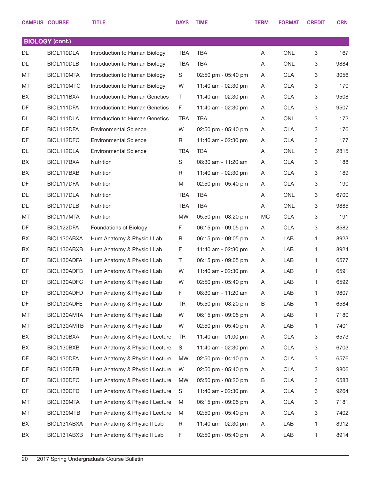|           | <b>CAMPUS COURSE</b>   | <b>TITLE</b>                   | <b>DAYS</b> | <b>TIME</b>             | <b>TERM</b> | <b>FORMAT</b> | <b>CREDIT</b> | <b>CRN</b> |
|-----------|------------------------|--------------------------------|-------------|-------------------------|-------------|---------------|---------------|------------|
|           | <b>BIOLOGY (cont.)</b> |                                |             |                         |             |               |               |            |
| <b>DL</b> | BIOL110DLA             | Introduction to Human Biology  | <b>TBA</b>  | <b>TBA</b>              | Α           | <b>ONL</b>    | 3             | 167        |
| DL        | BIOL110DLB             | Introduction to Human Biology  | <b>TBA</b>  | <b>TBA</b>              | A           | <b>ONL</b>    | 3             | 9884       |
| МT        | BIOL110MTA             | Introduction to Human Biology  | S           | 02:50 pm - 05:40 pm     | A           | <b>CLA</b>    | 3             | 3056       |
| MT        | BIOL110MTC             | Introduction to Human Biology  | W           | 11:40 am - 02:30 pm     | A           | <b>CLA</b>    | 3             | 170        |
| BX        | BIOL111BXA             | Introduction to Human Genetics | Τ           | 11:40 am - 02:30 pm     | A           | <b>CLA</b>    | 3             | 9508       |
| DF        | BIOL111DFA             | Introduction to Human Genetics | F           | 11:40 am - 02:30 pm     | A           | <b>CLA</b>    | 3             | 9507       |
| DL        | BIOL111DLA             | Introduction to Human Genetics | <b>TBA</b>  | <b>TBA</b>              | A           | <b>ONL</b>    | 3             | 172        |
| DF        | BIOL112DFA             | <b>Environmental Science</b>   | W           | $02:50$ pm - $05:40$ pm | A           | <b>CLA</b>    | 3             | 176        |
| DF        | BIOL112DFC             | <b>Environmental Science</b>   | R           | 11:40 am - 02:30 pm     | A           | <b>CLA</b>    | 3             | 177        |
| DL        | BIOL112DLA             | <b>Environmental Science</b>   | <b>TBA</b>  | <b>TBA</b>              | A           | <b>ONL</b>    | 3             | 2815       |
| BX        | BIOL117BXA             | Nutrition                      | $\mathbf S$ | 08:30 am - 11:20 am     | A           | <b>CLA</b>    | 3             | 188        |
| BX        | BIOL117BXB             | Nutrition                      | R           | 11:40 am - 02:30 pm     | A           | <b>CLA</b>    | 3             | 189        |
| DF        | BIOL117DFA             | Nutrition                      | M           | 02:50 pm - 05:40 pm     | A           | <b>CLA</b>    | 3             | 190        |
| DL        | BIOL117DLA             | Nutrition                      | <b>TBA</b>  | <b>TBA</b>              | A           | <b>ONL</b>    | 3             | 6700       |
| DL        | BIOL117DLB             | Nutrition                      | <b>TBA</b>  | <b>TBA</b>              | A           | <b>ONL</b>    | 3             | 9885       |
| MT        | BIOL117MTA             | Nutrition                      | <b>MW</b>   | 05:50 pm - 08:20 pm     | <b>MC</b>   | <b>CLA</b>    | 3             | 191        |
| DF        | BIOL122DFA             | <b>Foundations of Biology</b>  | F           | 06:15 pm - 09:05 pm     | Α           | <b>CLA</b>    | 3             | 8582       |
| BX        | BIOL130ABXA            | Hum Anatomy & Physio I Lab     | R           | 06:15 pm - 09:05 pm     | A           | LAB           | 1             | 8923       |
| BX        | BIOL130ABXB            | Hum Anatomy & Physio I Lab     | F           | 11:40 am - 02:30 pm     | A           | LAB           | 1             | 8924       |
| DF        | BIOL130ADFA            | Hum Anatomy & Physio I Lab     | Τ           | 06:15 pm - 09:05 pm     | A           | LAB           | 1             | 6577       |
| DF        | BIOL130ADFB            | Hum Anatomy & Physio I Lab     | W           | 11:40 am - 02:30 pm     | A           | LAB           | 1             | 6591       |
| DF        | BIOL130ADFC            | Hum Anatomy & Physio I Lab     | W           | 02:50 pm - 05:40 pm     | Α           | LAB           | 1             | 6592       |
| DF        | BIOL130ADFD            | Hum Anatomy & Physio I Lab     | F           | 08:30 am - 11:20 am     | A           | LAB           | 1             | 9807       |
| DF        | BIOL130ADFE            | Hum Anatomy & Physio I Lab     | TR          | 05:50 pm - 08:20 pm     | B           | LAB           | 1             | 6584       |
| MT        | BIOL130AMTA            | Hum Anatomy & Physio I Lab     | W           | 06:15 pm - 09:05 pm     | A           | LAB           | 1             | 7180       |
| МT        | BIOL130AMTB            | Hum Anatomy & Physio I Lab     | W           | 02:50 pm - 05:40 pm     | A           | LAB           | 1             | 7401       |
| BX        | BIOL130BXA             | Hum Anatomy & Physio I Lecture | TR          | 11:40 am - 01:00 pm     | A           | <b>CLA</b>    | 3             | 6573       |
| BX        | BIOL130BXB             | Hum Anatomy & Physio I Lecture | S           | 11:40 am - 02:30 pm     | A           | <b>CLA</b>    | 3             | 6703       |
| DF        | BIOL130DFA             | Hum Anatomy & Physio I Lecture | MW          | 02:50 pm - 04:10 pm     | A           | <b>CLA</b>    | 3             | 6576       |
| DF        | BIOL130DFB             | Hum Anatomy & Physio I Lecture | W           | 02:50 pm - 05:40 pm     | A           | <b>CLA</b>    | 3             | 9806       |
| DF        | BIOL130DFC             | Hum Anatomy & Physio I Lecture | MW          | 05:50 pm - 08:20 pm     | B           | <b>CLA</b>    | 3             | 6583       |
| DF        | BIOL130DFD             | Hum Anatomy & Physio I Lecture | S           | 11:40 am - 02:30 pm     | A           | <b>CLA</b>    | 3             | 9264       |
| МT        | BIOL130MTA             | Hum Anatomy & Physio I Lecture | M           | 06:15 pm - 09:05 pm     | A           | <b>CLA</b>    | 3             | 7181       |
| МT        | BIOL130MTB             | Hum Anatomy & Physio I Lecture | M           | 02:50 pm - 05:40 pm     | A           | <b>CLA</b>    | 3             | 7402       |
| BX        | BIOL131ABXA            | Hum Anatomy & Physio II Lab    | R           | 11:40 am - 02:30 pm     | A           | LAB           | 1             | 8912       |
| BX        | BIOL131ABXB            | Hum Anatomy & Physio II Lab    | F           | 02:50 pm - 05:40 pm     | A           | LAB           | 1             | 8914       |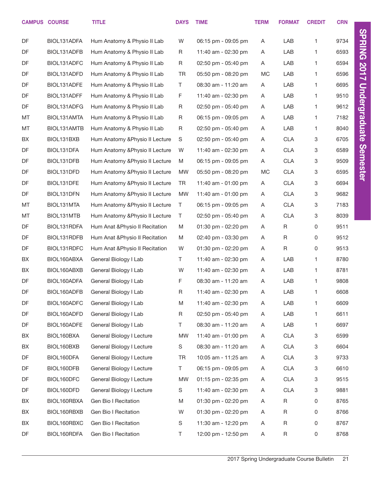|    | <b>CAMPUS COURSE</b> | <b>TITLE</b>                    | <b>DAYS</b> | <b>TIME</b>         | <b>TERM</b> | <b>FORMAT</b> | <b>CREDIT</b> | <b>CRN</b> |
|----|----------------------|---------------------------------|-------------|---------------------|-------------|---------------|---------------|------------|
| DF | BIOL131ADFA          | Hum Anatomy & Physio II Lab     | W           | 06:15 pm - 09:05 pm | A           | LAB           | 1             | 9734       |
| DF | BIOL131ADFB          | Hum Anatomy & Physio II Lab     | R           | 11:40 am - 02:30 pm | A           | LAB           | 1             | 6593       |
| DF | BIOL131ADFC          | Hum Anatomy & Physio II Lab     | R           | 02:50 pm - 05:40 pm | A           | LAB           | 1.            | 6594       |
| DF | BIOL131ADFD          | Hum Anatomy & Physio II Lab     | TR          | 05:50 pm - 08:20 pm | <b>MC</b>   | LAB           | 1             | 6596       |
| DF | BIOL131ADFE          | Hum Anatomy & Physio II Lab     | T           | 08:30 am - 11:20 am | A           | LAB           | 1.            | 6695       |
| DF | BIOL131ADFF          | Hum Anatomy & Physio II Lab     | F           | 11:40 am - 02:30 pm | A           | LAB           | 1             | 9510       |
| DF | BIOL131ADFG          | Hum Anatomy & Physio II Lab     | R           | 02:50 pm - 05:40 pm | A           | LAB           | 1.            | 9612       |
| MT | BIOL131AMTA          | Hum Anatomy & Physio II Lab     | R           | 06:15 pm - 09:05 pm | A           | LAB           | 1             | 7182       |
| MT | BIOL131AMTB          | Hum Anatomy & Physio II Lab     | R           | 02:50 pm - 05:40 pm | A           | LAB           | 1.            | 8040       |
| BX | BIOL131BXB           | Hum Anatomy & Physio II Lecture | S           | 02:50 pm - 05:40 pm | A           | <b>CLA</b>    | 3             | 6705       |
| DF | BIOL131DFA           | Hum Anatomy & Physio II Lecture | W           | 11:40 am - 02:30 pm | A           | <b>CLA</b>    | 3             | 6589       |
| DF | BIOL131DFB           | Hum Anatomy & Physio II Lecture | M           | 06:15 pm - 09:05 pm | A           | <b>CLA</b>    | 3             | 9509       |
| DF | BIOL131DFD           | Hum Anatomy & Physio II Lecture | <b>MW</b>   | 05:50 pm - 08:20 pm | <b>MC</b>   | <b>CLA</b>    | 3             | 6595       |
| DF | BIOL131DFE           | Hum Anatomy & Physio II Lecture | TR          | 11:40 am - 01:00 pm | A           | <b>CLA</b>    | 3             | 6694       |
| DF | BIOL131DFN           | Hum Anatomy & Physio II Lecture | <b>MW</b>   | 11:40 am - 01:00 pm | A           | <b>CLA</b>    | 3             | 9682       |
| MT | BIOL131MTA           | Hum Anatomy & Physio II Lecture | T           | 06:15 pm - 09:05 pm | A           | <b>CLA</b>    | 3             | 7183       |
| MT | BIOL131MTB           | Hum Anatomy & Physio II Lecture | T.          | 02:50 pm - 05:40 pm | A           | <b>CLA</b>    | 3             | 8039       |
| DF | BIOL131RDFA          | Hum Anat & Physio II Recitation | Μ           | 01:30 pm - 02:20 pm | A           | R             | 0             | 9511       |
| DF | BIOL131RDFB          | Hum Anat & Physio II Recitation | M           | 02:40 pm - 03:30 pm | A           | R             | 0             | 9512       |
| DF | BIOL131RDFC          | Hum Anat & Physio II Recitation | W           | 01:30 pm - 02:20 pm | A           | $\mathsf R$   | 0             | 9513       |
| BX | BIOL160ABXA          | General Biology I Lab           | T.          | 11:40 am - 02:30 pm | A           | LAB           | 1             | 8780       |
| BX | BIOL160ABXB          | General Biology I Lab           | W           | 11:40 am - 02:30 pm | A           | LAB           | 1             | 8781       |
| DF | BIOL160ADFA          | General Biology I Lab           | F           | 08:30 am - 11:20 am | A           | LAB           | 1             | 9808       |
| DF | BIOL160ADFB          | General Biology I Lab           | R           | 11:40 am - 02:30 pm | Α           | LAB           | 1             | 6608       |
| DF | BIOL160ADFC          | General Biology I Lab           | Μ           | 11:40 am - 02:30 pm | A           | LAB           | 1             | 6609       |
| DF | BIOL160ADFD          | General Biology I Lab           | R           | 02:50 pm - 05:40 pm | A           | LAB           | 1             | 6611       |
| DF | BIOL160ADFE          | General Biology I Lab           | Τ           | 08:30 am - 11:20 am | A           | LAB           | 1             | 6697       |
| BX | BIOL160BXA           | General Biology I Lecture       | MW          | 11:40 am - 01:00 pm | A           | <b>CLA</b>    | 3             | 6599       |
| BX | BIOL160BXB           | General Biology I Lecture       | S           | 08:30 am - 11:20 am | A           | <b>CLA</b>    | 3             | 6604       |
| DF | BIOL160DFA           | General Biology I Lecture       | TR          | 10:05 am - 11:25 am | A           | <b>CLA</b>    | 3             | 9733       |
| DF | BIOL160DFB           | General Biology I Lecture       | T.          | 06:15 pm - 09:05 pm | A           | <b>CLA</b>    | 3             | 6610       |
| DF | BIOL160DFC           | General Biology I Lecture       | MW          | 01:15 pm - 02:35 pm | A           | <b>CLA</b>    | 3             | 9515       |
| DF | BIOL160DFD           | General Biology I Lecture       | S           | 11:40 am - 02:30 pm | A           | <b>CLA</b>    | 3             | 9881       |
| BX | BIOL160RBXA          | Gen Bio I Recitation            | M           | 01:30 pm - 02:20 pm | A           | R             | 0             | 8765       |
| BX | BIOL160RBXB          | Gen Bio I Recitation            | W           | 01:30 pm - 02:20 pm | A           | R             | 0             | 8766       |
| BX | BIOL160RBXC          | Gen Bio I Recitation            | S           | 11:30 am - 12:20 pm | A           | R             | 0             | 8767       |
| DF | BIOL160RDFA          | Gen Bio I Recitation            | Τ           | 12:00 pm - 12:50 pm | A           | R             | 0             | 8768       |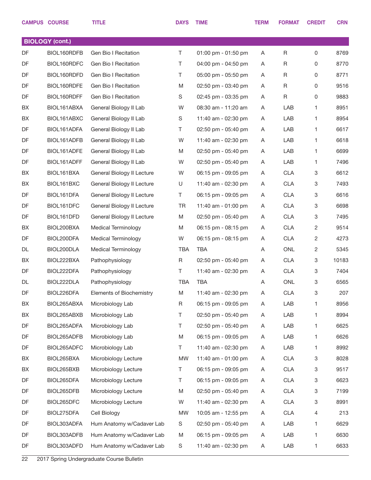|           | <b>CAMPUS COURSE</b>   | <b>TITLE</b>               | <b>DAYS</b> | <b>TIME</b>             | <b>TERM</b> | <b>FORMAT</b> | <b>CREDIT</b>  | <b>CRN</b> |
|-----------|------------------------|----------------------------|-------------|-------------------------|-------------|---------------|----------------|------------|
|           | <b>BIOLOGY (cont.)</b> |                            |             |                         |             |               |                |            |
| DF        | BIOL160RDFB            | Gen Bio I Recitation       | T.          | 01:00 pm - 01:50 pm     | A           | R             | $\mathbf 0$    | 8769       |
| <b>DF</b> | BIOL160RDFC            | Gen Bio I Recitation       | T.          | 04:00 pm - 04:50 pm     | A           | R             | $\mathbf 0$    | 8770       |
| DF        | BIOL160RDFD            | Gen Bio I Recitation       | T.          | 05:00 pm - 05:50 pm     | A           | R             | $\mathbf 0$    | 8771       |
| DF        | BIOL160RDFE            | Gen Bio I Recitation       | M           | $02:50$ pm - $03:40$ pm | A           | R             | $\mathbf 0$    | 9516       |
| DF        | BIOL160RDFF            | Gen Bio I Recitation       | S           | 02:45 pm - 03:35 pm     | A           | R             | 0              | 9883       |
| BX        | BIOL161ABXA            | General Biology II Lab     | W           | 08:30 am - 11:20 am     | A           | LAB           | 1              | 8951       |
| BX        | BIOL161ABXC            | General Biology II Lab     | S           | 11:40 am - 02:30 pm     | A           | LAB           | 1              | 8954       |
| DF        | BIOL161ADFA            | General Biology II Lab     | T.          | 02:50 pm - 05:40 pm     | A           | LAB           | 1              | 6617       |
| DF        | BIOL161ADFB            | General Biology II Lab     | W           | 11:40 am - 02:30 pm     | A           | LAB           | 1              | 6618       |
| DF        | BIOL161ADFE            | General Biology II Lab     | M           | $02:50$ pm - $05:40$ pm | A           | LAB           | $\mathbf{1}$   | 6699       |
| DF        | BIOL161ADFF            | General Biology II Lab     | W           | 02:50 pm - 05:40 pm     | A           | LAB           | 1              | 7496       |
| BX        | BIOL161BXA             | General Biology II Lecture | W           | 06:15 pm - 09:05 pm     | A           | <b>CLA</b>    | 3              | 6612       |
| BX        | BIOL161BXC             | General Biology II Lecture | U           | 11:40 am - 02:30 pm     | A           | <b>CLA</b>    | 3              | 7493       |
| DF        | BIOL161DFA             | General Biology II Lecture | T.          | 06:15 pm - 09:05 pm     | A           | <b>CLA</b>    | 3              | 6616       |
| DF        | BIOL161DFC             | General Biology II Lecture | TR          | 11:40 am - 01:00 pm     | A           | <b>CLA</b>    | 3              | 6698       |
| DF        | BIOL161DFD             | General Biology II Lecture | M           | $02:50$ pm - $05:40$ pm | A           | <b>CLA</b>    | 3              | 7495       |
| BX        | BIOL200BXA             | <b>Medical Terminology</b> | M           | 06:15 pm - 08:15 pm     | A           | <b>CLA</b>    | $\overline{2}$ | 9514       |
| DF        | BIOL200DFA             | <b>Medical Terminology</b> | W           | 06:15 pm - 08:15 pm     | A           | <b>CLA</b>    | $\overline{2}$ | 4273       |
| DL        | BIOL200DLA             | <b>Medical Terminology</b> | <b>TBA</b>  | TBA                     | A           | <b>ONL</b>    | $\overline{c}$ | 5345       |
| BX        | BIOL222BXA             | Pathophysiology            | R           | $02:50$ pm - $05:40$ pm | A           | <b>CLA</b>    | 3              | 10183      |
| DF        | BIOL222DFA             | Pathophysiology            | T.          | 11:40 am - 02:30 pm     | A           | <b>CLA</b>    | 3              | 7404       |
| DL        | BIOL222DLA             | Pathophysiology            | <b>TBA</b>  | <b>TBA</b>              | A           | <b>ONL</b>    | 3              | 6565       |
| DF        | BIOL226DFA             | Elements of Biochemistry   | M           | 11:40 am - 02:30 pm     | A           | <b>CLA</b>    | 3              | 207        |
| BX        | BIOL265ABXA            | Microbiology Lab           | R           | 06:15 pm - 09:05 pm     | Α           | LAB           | 1              | 8956       |
| BX        | BIOL265ABXB            | Microbiology Lab           | T.          | 02:50 pm - 05:40 pm     | A           | LAB           | $\mathbf{1}$   | 8994       |
| DF        | BIOL265ADFA            | Microbiology Lab           | Τ           | 02:50 pm - 05:40 pm     | A           | LAB           | 1              | 6625       |
| DF        | BIOL265ADFB            | Microbiology Lab           | M           | 06:15 pm - 09:05 pm     | A           | LAB           | $\mathbf{1}$   | 6626       |
| DF        | BIOL265ADFC            | Microbiology Lab           | T.          | 11:40 am - 02:30 pm     | A           | LAB           | 1              | 8992       |
| BX        | BIOL265BXA             | Microbiology Lecture       | <b>MW</b>   | 11:40 am - 01:00 pm     | A           | <b>CLA</b>    | 3              | 8028       |
| BX        | BIOL265BXB             | Microbiology Lecture       | T.          | 06:15 pm - 09:05 pm     | A           | <b>CLA</b>    | 3              | 9517       |
| DF        | BIOL265DFA             | Microbiology Lecture       | T.          | 06:15 pm - 09:05 pm     | A           | <b>CLA</b>    | 3              | 6623       |
| DF        | BIOL265DFB             | Microbiology Lecture       | M           | 02:50 pm - 05:40 pm     | A           | <b>CLA</b>    | 3              | 7199       |
| DF        | BIOL265DFC             | Microbiology Lecture       | W           | 11:40 am - 02:30 pm     | A           | <b>CLA</b>    | 3              | 8991       |
| DF        | BIOL275DFA             | Cell Biology               | <b>MW</b>   | 10:05 am - 12:55 pm     | A           | <b>CLA</b>    | 4              | 213        |
| DF        | BIOL303ADFA            | Hum Anatomy w/Cadaver Lab  | S           | 02:50 pm - 05:40 pm     | A           | LAB           | $\mathbf{1}$   | 6629       |
| DF        | BIOL303ADFB            | Hum Anatomy w/Cadaver Lab  | M           | 06:15 pm - 09:05 pm     | A           | LAB           | 1              | 6630       |
| DF        | BIOL303ADFD            | Hum Anatomy w/Cadaver Lab  | S           | 11:40 am - 02:30 pm     | A           | LAB           | $\mathbf{1}$   | 6633       |
|           |                        |                            |             |                         |             |               |                |            |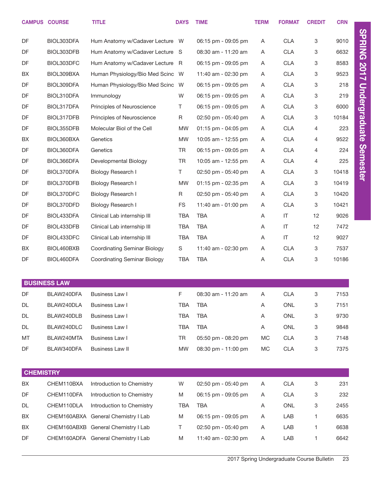|                  | <b>CAMPUS COURSE</b> | <b>TITLE</b>                        | <b>DAYS</b> | <b>TIME</b>         | <b>TERM</b> | <b>FORMAT</b>          | <b>CREDIT</b> | <b>CRN</b> |
|------------------|----------------------|-------------------------------------|-------------|---------------------|-------------|------------------------|---------------|------------|
| DF               | BIOL303DFA           | Hum Anatomy w/Cadaver Lecture       | - W         | 06:15 pm - 09:05 pm | A           | <b>CLA</b>             | 3             | 9010       |
| DF               | BIOL303DFB           | Hum Anatomy w/Cadaver Lecture       | - S         | 08:30 am - 11:20 am | A           | <b>CLA</b>             | 3             | 6632       |
| DF               | BIOL303DFC           | Hum Anatomy w/Cadaver Lecture       | - R         | 06:15 pm - 09:05 pm | A           | <b>CLA</b>             | 3             | 8583       |
| BX               | BIOL309BXA           | Human Physiology/Bio Med Scinc      | W           | 11:40 am - 02:30 pm | A           | <b>CLA</b>             | 3             | 9523       |
| DF               | BIOL309DFA           | Human Physiology/Bio Med Scinc      | W           | 06:15 pm - 09:05 pm | A           | <b>CLA</b>             | 3             | 218        |
| DF               | BIOL310DFA           | Immunology                          | W           | 06:15 pm - 09:05 pm | A           | <b>CLA</b>             | 3             | 219        |
| DF               | BIOL317DFA           | Principles of Neuroscience          | Τ           | 06:15 pm - 09:05 pm | A           | <b>CLA</b>             | 3             | 6000       |
| DF               | BIOL317DFB           | Principles of Neuroscience          | R           | 02:50 pm - 05:40 pm | A           | <b>CLA</b>             | 3             | 10184      |
| DF               | BIOL355DFB           | Molecular Biol of the Cell          | <b>MW</b>   | 01:15 pm - 04:05 pm | A           | <b>CLA</b>             | 4             | 223        |
| BX               | BIOL360BXA           | Genetics                            | <b>MW</b>   | 10:05 am - 12:55 pm | A           | <b>CLA</b>             | 4             | 9522       |
| DF               | BIOL360DFA           | Genetics                            | <b>TR</b>   | 06:15 pm - 09:05 pm | A           | <b>CLA</b>             | 4             | 224        |
| DF               | BIOL366DFA           | Developmental Biology               | <b>TR</b>   | 10:05 am - 12:55 pm | A           | <b>CLA</b>             | 4             | 225        |
| DF               | BIOL370DFA           | Biology Research I                  | Τ           | 02:50 pm - 05:40 pm | A           | <b>CLA</b>             | 3             | 10418      |
| DF               | BIOL370DFB           | Biology Research I                  | <b>MW</b>   | 01:15 pm - 02:35 pm | A           | <b>CLA</b>             | 3             | 10419      |
| DF               | BIOL370DFC           | Biology Research I                  | R           | 02:50 pm - 05:40 pm | A           | <b>CLA</b>             | 3             | 10420      |
| DF               | BIOL370DFD           | Biology Research I                  | <b>FS</b>   | 11:40 am - 01:00 pm | A           | <b>CLA</b>             | 3             | 10421      |
| DF               | BIOL433DFA           | Clinical Lab internship III         | <b>TBA</b>  | <b>TBA</b>          | Α           | IT                     | 12            | 9026       |
| DF               | BIOL433DFB           | Clinical Lab internship III         | <b>TBA</b>  | <b>TBA</b>          | Α           | $\mathsf{I}\mathsf{T}$ | 12            | 7472       |
| DF               | BIOL433DFC           | Clinical Lab internship III         | <b>TBA</b>  | <b>TBA</b>          | Α           | $\mathsf{I}\mathsf{T}$ | 12            | 9027       |
| BX               | BIOL460BXB           | <b>Coordinating Seminar Biology</b> | $\mathbb S$ | 11:40 am - 02:30 pm | Α           | <b>CLA</b>             | 3             | 7537       |
| DF               | BIOL460DFA           | <b>Coordinating Seminar Biology</b> | <b>TBA</b>  | <b>TBA</b>          | Α           | <b>CLA</b>             | 3             | 10186      |
|                  |                      |                                     |             |                     |             |                        |               |            |
|                  | <b>BUSINESS LAW</b>  |                                     |             |                     |             |                        |               |            |
| DF               | BLAW240DFA           | <b>Business Law I</b>               | F           | 08:30 am - 11:20 am | Α           | <b>CLA</b>             | 3             | 7153       |
| DL               | BLAW240DLA           | <b>Business Law I</b>               | <b>TBA</b>  | <b>TBA</b>          | Α           | ONL                    | 3             | 7151       |
| DL               | BLAW240DLB           | <b>Business Law I</b>               | <b>TBA</b>  | <b>TBA</b>          | Α           | <b>ONL</b>             | 3             | 9730       |
| DL               | BLAW240DLC           | Business Law I                      | <b>TBA</b>  | <b>TBA</b>          | Α           | ONL                    | 3             | 9848       |
| MT               | BLAW240MTA           | <b>Business Law I</b>               | TR          | 05:50 pm - 08:20 pm | <b>MC</b>   | <b>CLA</b>             | 3             | 7148       |
| DF               | BLAW340DFA           | <b>Business Law II</b>              | <b>MW</b>   | 08:30 pm - 11:00 pm | MC          | <b>CLA</b>             | 3             | 7375       |
|                  |                      |                                     |             |                     |             |                        |               |            |
| <b>CHEMISTRY</b> |                      |                                     |             |                     |             |                        |               |            |
| BX               | CHEM110BXA           | Introduction to Chemistry           | W           | 02:50 pm - 05:40 pm | A           | <b>CLA</b>             | 3             | 231        |
| DF               | CHEM110DFA           | Introduction to Chemistry           | M           | 06:15 pm - 09:05 pm | A           | <b>CLA</b>             | 3             | 232        |
| DL               | CHEM110DLA           | Introduction to Chemistry           | TBA         | TBA                 | Α           | ONL                    | 3             | 2455       |
| BX               |                      | CHEM160ABXA General Chemistry I Lab | M           | 06:15 pm - 09:05 pm | Α           | LAB                    | 1.            | 6635       |
| BX               |                      | CHEM160ABXB General Chemistry I Lab | T.          | 02:50 pm - 05:40 pm | A           | LAB                    | 1.            | 6638       |
| DF               |                      | CHEM160ADFA General Chemistry I Lab | M           | 11:40 am - 02:30 pm | Α           | LAB                    | 1             | 6642       |
|                  |                      |                                     |             |                     |             |                        |               |            |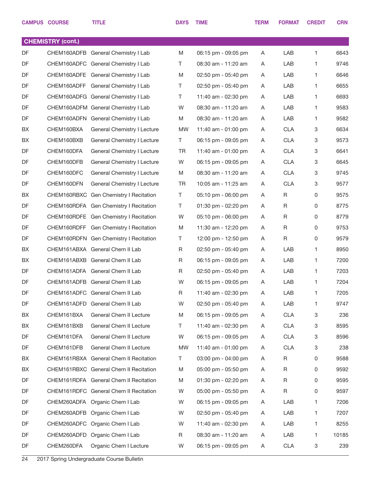|           | <b>CAMPUS COURSE</b>     | <b>TITLE</b>                           | <b>DAYS</b> | <b>TIME</b>         | <b>TERM</b> | <b>FORMAT</b> | <b>CREDIT</b>             | <b>CRN</b> |
|-----------|--------------------------|----------------------------------------|-------------|---------------------|-------------|---------------|---------------------------|------------|
|           | <b>CHEMISTRY (cont.)</b> |                                        |             |                     |             |               |                           |            |
| <b>DF</b> |                          | CHEM160ADFB General Chemistry I Lab    | M           | 06:15 pm - 09:05 pm | A           | LAB           | 1                         | 6643       |
| DF        |                          | CHEM160ADFC General Chemistry I Lab    | T           | 08:30 am - 11:20 am | A           | LAB           | 1                         | 9746       |
| DF        |                          | CHEM160ADFE General Chemistry I Lab    | M           | 02:50 pm - 05:40 pm | Α           | LAB           | 1                         | 6646       |
| DF        |                          | CHEM160ADFF General Chemistry I Lab    | T.          | 02:50 pm - 05:40 pm | A           | LAB           | 1                         | 6655       |
| DF        |                          | CHEM160ADFG General Chemistry I Lab    | T           | 11:40 am - 02:30 pm | Α           | LAB           | 1                         | 6693       |
| DF        |                          | CHEM160ADFM General Chemistry I Lab    | W           | 08:30 am - 11:20 am | A           | LAB           | 1                         | 9583       |
| DF        |                          | CHEM160ADFN General Chemistry I Lab    | M           | 08:30 am - 11:20 am | Α           | LAB           | 1                         | 9582       |
| BX        | CHEM160BXA               | General Chemistry I Lecture            | <b>MW</b>   | 11:40 am - 01:00 pm | A           | <b>CLA</b>    | 3                         | 6634       |
| BX        | CHEM160BXB               | General Chemistry I Lecture            | T.          | 06:15 pm - 09:05 pm | Α           | <b>CLA</b>    | 3                         | 9573       |
| DF        | CHEM160DFA               | General Chemistry I Lecture            | TR          | 11:40 am - 01:00 pm | A           | <b>CLA</b>    | 3                         | 6641       |
| DF        | CHEM160DFB               | General Chemistry I Lecture            | W           | 06:15 pm - 09:05 pm | Α           | <b>CLA</b>    | 3                         | 6645       |
| DF        | CHEM160DFC               | General Chemistry I Lecture            | M           | 08:30 am - 11:20 am | A           | <b>CLA</b>    | 3                         | 9745       |
| DF        | CHEM160DFN               | General Chemistry I Lecture            | TR          | 10:05 am - 11:25 am | Α           | <b>CLA</b>    | 3                         | 9577       |
| BX        |                          | CHEM160RBXC Gen Chemistry I Recitation | T.          | 05:10 pm - 06:00 pm | A           | R             | 0                         | 9575       |
| DF        |                          | CHEM160RDFA Gen Chemistry I Recitation | T           | 01:30 pm - 02:20 pm | Α           | R             | 0                         | 8775       |
| DF        |                          | CHEM160RDFE Gen Chemistry I Recitation | W           | 05:10 pm - 06:00 pm | A           | R             | 0                         | 8779       |
| DF        |                          | CHEM160RDFF Gen Chemistry I Recitation | M           | 11:30 am - 12:20 pm | Α           | R             | $\mathbf 0$               | 9753       |
| DF        |                          | CHEM160RDFN Gen Chemistry I Recitation | T           | 12:00 pm - 12:50 pm | A           | R             | 0                         | 9579       |
| BX        |                          | CHEM161ABXA General Chem II Lab        | R           | 02:50 pm - 05:40 pm | Α           | LAB           | 1                         | 8950       |
| BX        |                          | CHEM161ABXB General Chem II Lab        | R           | 06:15 pm - 09:05 pm | A           | LAB           | 1                         | 7200       |
| DF        |                          | CHEM161ADFA General Chem II Lab        | R           | 02:50 pm - 05:40 pm | Α           | LAB           | 1                         | 7203       |
| DF        |                          | CHEM161ADFB General Chem II Lab        | W           | 06:15 pm - 09:05 pm | Α           | LAB           | 1                         | 7204       |
| DF        |                          | CHEM161ADFC General Chem II Lab        | R           | 11:40 am - 02:30 pm | A           | LAB           | 1.                        | 7205       |
| DF        |                          | CHEM161ADFD General Chem II Lab        | W           | 02:50 pm - 05:40 pm | A           | LAB           | 1.                        | 9747       |
| BX        | CHEM161BXA               | General Chem II Lecture                | M           | 06:15 pm - 09:05 pm | A           | <b>CLA</b>    | $\ensuremath{\mathsf{3}}$ | 236        |
| BX        | CHEM161BXB               | General Chem II Lecture                | T.          | 11:40 am - 02:30 pm | A           | <b>CLA</b>    | 3                         | 8595       |
| DF        | CHEM161DFA               | General Chem II Lecture                | W           | 06:15 pm - 09:05 pm | A           | <b>CLA</b>    | 3                         | 8596       |
| DF        | CHEM161DFB               | General Chem II Lecture                | <b>MW</b>   | 11:40 am - 01:00 pm | A           | <b>CLA</b>    | $\ensuremath{\mathsf{3}}$ | 238        |
| BX        |                          | CHEM161RBXA General Chem II Recitation | T.          | 03:00 pm - 04:00 pm | A           | R             | 0                         | 9588       |
| BX        |                          | CHEM161RBXC General Chem II Recitation | M           | 05:00 pm - 05:50 pm | A           | R             | 0                         | 9592       |
| DF        |                          | CHEM161RDFA General Chem II Recitation | M           | 01:30 pm - 02:20 pm | A           | R             | 0                         | 9595       |
| DF        |                          | CHEM161RDFC General Chem II Recitation | W           | 05:00 pm - 05:50 pm | A           | $\mathsf R$   | 0                         | 9597       |
| DF        |                          | CHEM260ADFA Organic Chem I Lab         | W           | 06:15 pm - 09:05 pm | A           | LAB           | 1.                        | 7206       |
| DF        |                          | CHEM260ADFB Organic Chem I Lab         | W           | 02:50 pm - 05:40 pm | A           | LAB           | 1                         | 7207       |
| DF        |                          | CHEM260ADFC Organic Chem I Lab         | W           | 11:40 am - 02:30 pm | A           | LAB           | 1.                        | 8255       |
| DF        |                          | CHEM260ADFD Organic Chem I Lab         | R           | 08:30 am - 11:20 am | Α           | LAB           | 1                         | 10185      |
| DF        | CHEM260DFA               | Organic Chem I Lecture                 | W           | 06:15 pm - 09:05 pm | A           | <b>CLA</b>    | 3                         | 239        |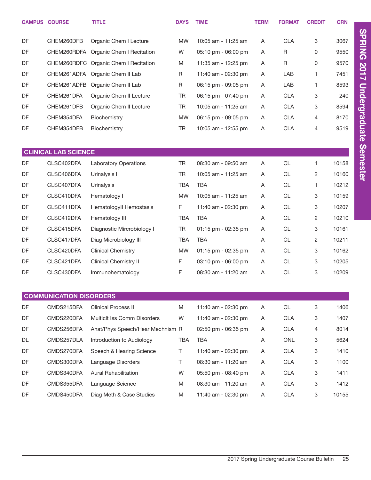|           | <b>CAMPUS COURSE</b>           | <b>TITLE</b>                          | <b>DAYS</b> | <b>TIME</b>                           | <b>TERM</b> | <b>FORMAT</b> | <b>CREDIT</b>  | <b>CRN</b> |
|-----------|--------------------------------|---------------------------------------|-------------|---------------------------------------|-------------|---------------|----------------|------------|
| DF        | CHEM260DFB                     | Organic Chem I Lecture                | <b>MW</b>   | 10:05 am - 11:25 am                   | A           | <b>CLA</b>    | 3              | 3067       |
| DF        | CHEM260RDFA                    | Organic Chem I Recitation             | W           | $05:10 \text{ pm} - 06:00 \text{ pm}$ | A           | R             | 0              | 9550       |
| <b>DF</b> |                                | CHEM260RDFC Organic Chem I Recitation | M           | 11:35 am - 12:25 pm                   | Α           | R             | 0              | 9570       |
| <b>DF</b> | CHEM261ADFA                    | Organic Chem II Lab                   | R           | 11:40 am - 02:30 pm                   | Α           | LAB           | 1              | 7451       |
| <b>DF</b> | CHEM261ADFB                    | Organic Chem II Lab                   | R           | 06:15 pm - 09:05 pm                   | Α           | LAB           | 1              | 8593       |
| DF        | CHEM261DFA                     | Organic Chem II Lecture               | <b>TR</b>   | 06:15 pm - 07:40 pm                   | A           | <b>CLA</b>    | 3              | 240        |
| DF        | CHEM261DFB                     | Organic Chem II Lecture               | TR.         | 10:05 am - 11:25 am                   | A           | <b>CLA</b>    | 3              | 8594       |
| DF        | CHEM354DFA                     | Biochemistry                          | <b>MW</b>   | 06:15 pm - 09:05 pm                   | A           | CLA           | 4              | 8170       |
| DF        | CHEM354DFB                     | Biochemistry                          | <b>TR</b>   | 10:05 am - 12:55 pm                   | Α           | <b>CLA</b>    | 4              | 9519       |
|           |                                |                                       |             |                                       |             |               |                |            |
|           | <b>CLINICAL LAB SCIENCE</b>    |                                       |             |                                       |             |               |                |            |
| DF        | CLSC402DFA                     | <b>Laboratory Operations</b>          | <b>TR</b>   | 08:30 am - 09:50 am                   | A           | CL            | 1              | 10158      |
| <b>DF</b> | CLSC406DFA                     | Urinalysis I                          | <b>TR</b>   | 10:05 am - 11:25 am                   | Α           | CL            | $\overline{c}$ | 10160      |
| DF        | CLSC407DFA                     | Urinalysis                            | <b>TBA</b>  | <b>TBA</b>                            | A           | <b>CL</b>     | 1              | 10212      |
| DF        | CLSC410DFA                     | Hematology I                          | <b>MW</b>   | 10:05 am - 11:25 am                   | A           | <b>CL</b>     | 3              | 10159      |
| DF        | CLSC411DFA                     | HematologyII Hemostasis               | F           | 11:40 am - 02:30 pm                   | A           | <b>CL</b>     | 3              | 10207      |
| DF        | CLSC412DFA                     | Hematology III                        | <b>TBA</b>  | <b>TBA</b>                            | A           | <b>CL</b>     | $\overline{2}$ | 10210      |
| DF        | CLSC415DFA                     | Diagnostic Mircrobiology I            | <b>TR</b>   | 01:15 pm - 02:35 pm                   | Α           | CL            | 3              | 10161      |
| <b>DF</b> | CLSC417DFA                     | Diag Microbiology III                 | <b>TBA</b>  | <b>TBA</b>                            | Α           | CL            | $\overline{2}$ | 10211      |
| <b>DF</b> | CLSC420DFA                     | <b>Clinical Chemistry</b>             | <b>MW</b>   | 01:15 pm - 02:35 pm                   | A           | CL            | 3              | 10162      |
| <b>DF</b> | CLSC421DFA                     | <b>Clinical Chemistry II</b>          | $\mathsf F$ | 03:10 pm - 06:00 pm                   | Α           | CL            | 3              | 10205      |
| <b>DF</b> | CLSC430DFA                     | Immunohematology                      | F           | 08:30 am - 11:20 am                   | A           | <b>CL</b>     | 3              | 10209      |
|           |                                |                                       |             |                                       |             |               |                |            |
|           | <b>COMMUNICATION DISORDERS</b> |                                       |             |                                       |             |               |                |            |
| DF        | CMDS215DFA                     | <b>Clinical Process II</b>            | M           | 11:40 am - 02:30 pm                   | A           | CL            | 3              | 1406       |

| DF        | CMDS215DFA | Clinical Process II              | M   | 11:40 am - 02:30 pm | A | <b>CL</b>  | 3 | 1406  |
|-----------|------------|----------------------------------|-----|---------------------|---|------------|---|-------|
| DF        | CMDS220DFA | Multiclt Iss Comm Disorders      | W   | 11:40 am - 02:30 pm | A | <b>CLA</b> | 3 | 1407  |
| DF        | CMDS256DFA | Anat/Phys Speech/Hear Mechnism R |     | 02:50 pm - 06:35 pm | A | <b>CLA</b> | 4 | 8014  |
| <b>DL</b> | CMDS257DLA | Introduction to Audiology        | TBA | <b>TBA</b>          | A | <b>ONL</b> | 3 | 5624  |
| DF        | CMDS270DFA | Speech & Hearing Science         |     | 11:40 am - 02:30 pm | A | <b>CLA</b> | 3 | 1410  |
| DF        | CMDS300DFA | Language Disorders               |     | 08:30 am - 11:20 am | A | <b>CLA</b> | 3 | 1100  |
| DF        | CMDS340DFA | <b>Aural Rehabilitation</b>      | W   | 05:50 pm - 08:40 pm | A | <b>CLA</b> | 3 | 1411  |
| DF        | CMDS355DFA | Language Science                 | M   | 08:30 am - 11:20 am | A | <b>CLA</b> | 3 | 1412  |
| DF        | CMDS450DFA | Diag Meth & Case Studies         | M   | 11:40 am - 02:30 pm | A | <b>CLA</b> | 3 | 10155 |
|           |            |                                  |     |                     |   |            |   |       |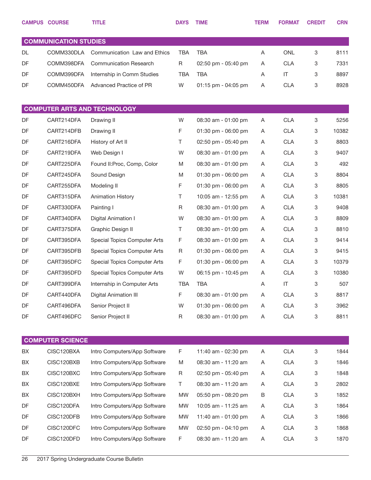|    | <b>CAMPUS COURSE</b>         | <b>TITLE</b>                        | <b>DAYS</b> | <b>TIME</b>         | <b>TERM</b> | <b>FORMAT</b> | <b>CREDIT</b> | <b>CRN</b> |
|----|------------------------------|-------------------------------------|-------------|---------------------|-------------|---------------|---------------|------------|
|    |                              |                                     |             |                     |             |               |               |            |
|    | <b>COMMUNICATION STUDIES</b> |                                     |             |                     |             |               |               |            |
| DL | COMM330DLA                   | Communication Law and Ethics        | <b>TBA</b>  | <b>TBA</b>          | Α           | <b>ONL</b>    | 3             | 8111       |
| DF | COMM398DFA                   | <b>Communication Research</b>       | R           | 02:50 pm - 05:40 pm | A           | <b>CLA</b>    | 3             | 7331       |
| DF | COMM399DFA                   | Internship in Comm Studies          | <b>TBA</b>  | <b>TBA</b>          | Α           | IT            | 3             | 8897       |
| DF | COMM450DFA                   | Advanced Practice of PR             | W           | 01:15 pm - 04:05 pm | Α           | <b>CLA</b>    | 3             | 8928       |
|    |                              |                                     |             |                     |             |               |               |            |
|    |                              | <b>COMPUTER ARTS AND TECHNOLOGY</b> |             |                     |             |               |               |            |
| DF | CART214DFA                   | Drawing II                          | W           | 08:30 am - 01:00 pm | A           | <b>CLA</b>    | 3             | 5256       |
| DF | CART214DFB                   | Drawing II                          | F           | 01:30 pm - 06:00 pm | A           | <b>CLA</b>    | 3             | 10382      |
| DF | CART216DFA                   | History of Art II                   | Τ           | 02:50 pm - 05:40 pm | A           | <b>CLA</b>    | 3             | 8803       |
| DF | CART219DFA                   | Web Design I                        | W           | 08:30 am - 01:00 pm | A           | <b>CLA</b>    | 3             | 9407       |
| DF | CART225DFA                   | Found II: Proc, Comp, Color         | M           | 08:30 am - 01:00 pm | Α           | <b>CLA</b>    | 3             | 492        |
| DF | CART245DFA                   | Sound Design                        | M           | 01:30 pm - 06:00 pm | A           | <b>CLA</b>    | 3             | 8804       |
| DF | CART255DFA                   | Modeling II                         | F           | 01:30 pm - 06:00 pm | Α           | <b>CLA</b>    | 3             | 8805       |
| DF | CART315DFA                   | <b>Animation History</b>            | Τ           | 10:05 am - 12:55 pm | A           | <b>CLA</b>    | 3             | 10381      |
| DF | CART330DFA                   | Painting I                          | R           | 08:30 am - 01:00 pm | Α           | <b>CLA</b>    | 3             | 9408       |
| DF | CART340DFA                   | Digital Animation I                 | W           | 08:30 am - 01:00 pm | A           | <b>CLA</b>    | 3             | 8809       |
| DF | CART375DFA                   | Graphic Design II                   | Τ           | 08:30 am - 01:00 pm | Α           | <b>CLA</b>    | 3             | 8810       |
| DF | CART395DFA                   | Special Topics Computer Arts        | F           | 08:30 am - 01:00 pm | A           | <b>CLA</b>    | 3             | 9414       |
| DF | CART395DFB                   | Special Topics Computer Arts        | $\mathsf R$ | 01:30 pm - 06:00 pm | Α           | <b>CLA</b>    | 3             | 9415       |
| DF | CART395DFC                   | Special Topics Computer Arts        | F           | 01:30 pm - 06:00 pm | A           | <b>CLA</b>    | 3             | 10379      |
| DF | CART395DFD                   | Special Topics Computer Arts        | W           | 06:15 pm - 10:45 pm | Α           | <b>CLA</b>    | 3             | 10380      |
| DF | CART399DFA                   | Internship in Computer Arts         | <b>TBA</b>  | <b>TBA</b>          | A           | IT            | 3             | 507        |
| DF | CART440DFA                   | <b>Digital Animation III</b>        | F           | 08:30 am - 01:00 pm | Α           | <b>CLA</b>    | 3             | 8817       |
| DF | CART496DFA                   | Senior Project II                   | W           | 01:30 pm - 06:00 pm | Α           | <b>CLA</b>    | 3             | 3962       |
| DF | CART496DFC                   | Senior Project II                   | $\mathsf R$ | 08:30 am - 01:00 pm | Α           | <b>CLA</b>    | 3             | 8811       |
|    |                              |                                     |             |                     |             |               |               |            |
|    | <b>COMPUTER SCIENCE</b>      |                                     |             |                     |             |               |               |            |
| BX | CISC120BXA                   | Intro Computers/App Software        | F           | 11:40 am - 02:30 pm | A           | <b>CLA</b>    | 3             | 1844       |
| BX | CISC120BXB                   | Intro Computers/App Software        | M           | 08:30 am - 11:20 am | Α           | <b>CLA</b>    | 3             | 1846       |
| BX | CISC120BXC                   | Intro Computers/App Software        | R           | 02:50 pm - 05:40 pm | Α           | <b>CLA</b>    | 3             | 1848       |
| BX | CISC120BXE                   | Intro Computers/App Software        | T           | 08:30 am - 11:20 am | Α           | <b>CLA</b>    | 3             | 2802       |
| BX | CISC120BXH                   | Intro Computers/App Software        | MW          | 05:50 pm - 08:20 pm | В           | <b>CLA</b>    | 3             | 1852       |
| DF | CISC120DFA                   | Intro Computers/App Software        | MW          | 10:05 am - 11:25 am | Α           | <b>CLA</b>    | 3             | 1864       |
| DF | CISC120DFB                   | Intro Computers/App Software        | MW          | 11:40 am - 01:00 pm | Α           | <b>CLA</b>    | 3             | 1866       |
| DF | CISC120DFC                   | Intro Computers/App Software        | <b>MW</b>   | 02:50 pm - 04:10 pm | Α           | <b>CLA</b>    | 3             | 1868       |
| DF | CISC120DFD                   | Intro Computers/App Software        | F           | 08:30 am - 11:20 am | Α           | <b>CLA</b>    | 3             | 1870       |
|    |                              |                                     |             |                     |             |               |               |            |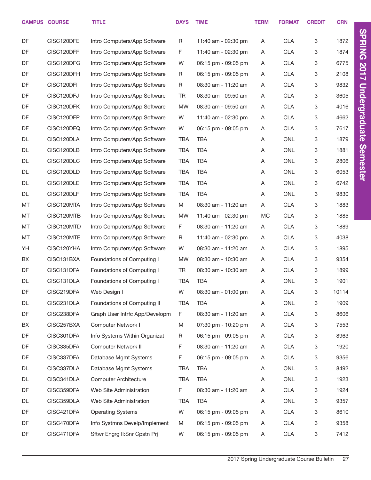|           | <b>CAMPUS COURSE</b> | <b>TITLE</b>                   | <b>DAYS</b> | <b>TIME</b>         | <b>TERM</b> | <b>FORMAT</b> | <b>CREDIT</b> | <b>CRN</b> |
|-----------|----------------------|--------------------------------|-------------|---------------------|-------------|---------------|---------------|------------|
| DF        | CISC120DFE           | Intro Computers/App Software   | R           | 11:40 am - 02:30 pm | A           | <b>CLA</b>    | 3             | 1872       |
| DF        | CISC120DFF           | Intro Computers/App Software   | F.          | 11:40 am - 02:30 pm | A           | <b>CLA</b>    | 3             | 1874       |
| DF        | CISC120DFG           | Intro Computers/App Software   | W           | 06:15 pm - 09:05 pm | A           | <b>CLA</b>    | 3             | 6775       |
| DF        | CISC120DFH           | Intro Computers/App Software   | R           | 06:15 pm - 09:05 pm | Α           | <b>CLA</b>    | 3             | 2108       |
| DF        | CISC120DFI           | Intro Computers/App Software   | R           | 08:30 am - 11:20 am | Α           | <b>CLA</b>    | 3             | 9832       |
| DF        | CISC120DFJ           | Intro Computers/App Software   | TR          | 08:30 am - 09:50 am | Α           | <b>CLA</b>    | $\mathbf 3$   | 3605       |
| DF        | CISC120DFK           | Intro Computers/App Software   | <b>MW</b>   | 08:30 am - 09:50 am | Α           | <b>CLA</b>    | 3             | 4016       |
| DF        | CISC120DFP           | Intro Computers/App Software   | W           | 11:40 am - 02:30 pm | A           | <b>CLA</b>    | 3             | 4662       |
| DF        | CISC120DFQ           | Intro Computers/App Software   | W           | 06:15 pm - 09:05 pm | A           | <b>CLA</b>    | 3             | 7617       |
| DL        | CISC120DLA           | Intro Computers/App Software   | TBA         | <b>TBA</b>          | A           | <b>ONL</b>    | 3             | 1879       |
| DL        | CISC120DLB           | Intro Computers/App Software   | TBA         | <b>TBA</b>          | Α           | <b>ONL</b>    | 3             | 1881       |
| DL        | CISC120DLC           | Intro Computers/App Software   | TBA         | <b>TBA</b>          | Α           | <b>ONL</b>    | 3             | 2806       |
| DL        | CISC120DLD           | Intro Computers/App Software   | TBA         | <b>TBA</b>          | Α           | <b>ONL</b>    | 3             | 6053       |
| <b>DL</b> | CISC120DLE           | Intro Computers/App Software   | <b>TBA</b>  | <b>TBA</b>          | Α           | <b>ONL</b>    | 3             | 6742       |
| DL        | CISC120DLF           | Intro Computers/App Software   | <b>TBA</b>  | <b>TBA</b>          | Α           | <b>ONL</b>    | 3             | 9830       |
| MT        | CISC120MTA           | Intro Computers/App Software   | M           | 08:30 am - 11:20 am | A           | <b>CLA</b>    | 3             | 1883       |
| MT        | CISC120MTB           | Intro Computers/App Software   | <b>MW</b>   | 11:40 am - 02:30 pm | MC          | <b>CLA</b>    | 3             | 1885       |
| MT        | CISC120MTD           | Intro Computers/App Software   | F.          | 08:30 am - 11:20 am | A           | <b>CLA</b>    | 3             | 1889       |
| MT        | CISC120MTE           | Intro Computers/App Software   | R           | 11:40 am - 02:30 pm | A           | <b>CLA</b>    | 3             | 4038       |
| YH        | CISC120YHA           | Intro Computers/App Software   | W           | 08:30 am - 11:20 am | Α           | <b>CLA</b>    | 3             | 1895       |
| BX        | CISC131BXA           | Foundations of Computing I     | <b>MW</b>   | 08:30 am - 10:30 am | A           | <b>CLA</b>    | 3             | 9354       |
| DF        | CISC131DFA           | Foundations of Computing I     | TR          | 08:30 am - 10:30 am | Α           | <b>CLA</b>    | 3             | 1899       |
| DL        | CISC131DLA           | Foundations of Computing I     | <b>TBA</b>  | <b>TBA</b>          | Α           | ONL           | 3             | 1901       |
| DF        | CISC219DFA           | Web Design I                   | W           | 08:30 am - 01:00 pm | A           | <b>CLA</b>    | $\mathbf 3$   | 10114      |
| DL        | CISC231DLA           | Foundations of Computing II    | <b>TBA</b>  | TBA                 | A           | ONL           | 3             | 1909       |
| DF        | CISC238DFA           | Graph User Intrfc App/Developm | F           | 08:30 am - 11:20 am | A           | <b>CLA</b>    | 3             | 8606       |
| BX        | CISC257BXA           | Computer Network I             | M           | 07:30 pm - 10:20 pm | A           | <b>CLA</b>    | 3             | 7553       |
| DF        | CISC301DFA           | Info Systems Within Organizat  | R           | 06:15 pm - 09:05 pm | A           | <b>CLA</b>    | 3             | 8963       |
| DF        | CISC335DFA           | Computer Network II            | F           | 08:30 am - 11:20 am | A           | <b>CLA</b>    | 3             | 1920       |
| DF        | CISC337DFA           | Database Mgmt Systems          | F           | 06:15 pm - 09:05 pm | A           | <b>CLA</b>    | 3             | 9356       |
| DL        | CISC337DLA           | Database Mgmt Systems          | TBA         | <b>TBA</b>          | A           | ONL           | 3             | 8492       |
| DL        | CISC341DLA           | <b>Computer Architecture</b>   | <b>TBA</b>  | TBA                 | A           | ONL           | 3             | 1923       |
| DF        | CISC359DFA           | Web Site Administration        | F           | 08:30 am - 11:20 am | A           | <b>CLA</b>    | 3             | 1924       |
| DL        | CISC359DLA           | Web Site Administration        | TBA         | <b>TBA</b>          | A           | ONL           | 3             | 9357       |
| DF        | CISC421DFA           | <b>Operating Systems</b>       | W           | 06:15 pm - 09:05 pm | Α           | <b>CLA</b>    | 3             | 8610       |
| DF        | CISC470DFA           | Info Systmns Develp/Implement  | M           | 06:15 pm - 09:05 pm | Α           | <b>CLA</b>    | 3             | 9358       |
| DF        | CISC471DFA           | Sftwr Engrg II: Snr Cpstn Prj  | W           | 06:15 pm - 09:05 pm | A           | <b>CLA</b>    | 3             | 7412       |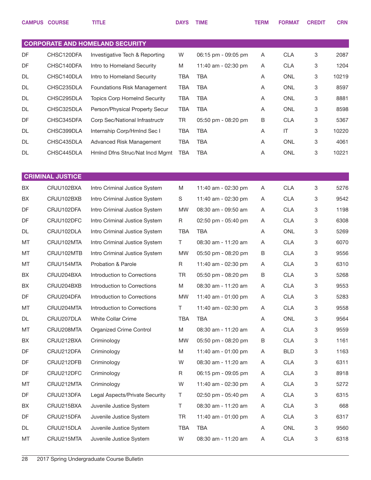|    | <b>CAMPUS COURSE</b>    | <b>TITLE</b>                           | <b>DAYS</b> | <b>TIME</b>         | <b>TERM</b> | <b>FORMAT</b> | <b>CREDIT</b> | <b>CRN</b> |
|----|-------------------------|----------------------------------------|-------------|---------------------|-------------|---------------|---------------|------------|
|    |                         |                                        |             |                     |             |               |               |            |
|    |                         | <b>CORPORATE AND HOMELAND SECURITY</b> |             |                     |             |               |               |            |
| DF | CHSC120DFA              | Investigative Tech & Reporting         | W           | 06:15 pm - 09:05 pm | A           | <b>CLA</b>    | 3             | 2087       |
| DF | CHSC140DFA              | Intro to Homeland Security             | M           | 11:40 am - 02:30 pm | A           | <b>CLA</b>    | 3             | 1204       |
| DL | CHSC140DLA              | Intro to Homeland Security             | TBA         | <b>TBA</b>          | A           | <b>ONL</b>    | 3             | 10219      |
| DL | CHSC235DLA              | Foundations Risk Management            | <b>TBA</b>  | <b>TBA</b>          | A           | <b>ONL</b>    | 3             | 8597       |
| DL | CHSC295DLA              | <b>Topics Corp HomeInd Security</b>    | <b>TBA</b>  | <b>TBA</b>          | A           | <b>ONL</b>    | 3             | 8881       |
| DL | CHSC325DLA              | Person/Physical Property Secur         | <b>TBA</b>  | <b>TBA</b>          | A           | <b>ONL</b>    | 3             | 8598       |
| DF | CHSC345DFA              | Corp Sec/National Infrastructr         | TR          | 05:50 pm - 08:20 pm | B           | <b>CLA</b>    | 3             | 5367       |
| DL | CHSC399DLA              | Internship Corp/Hmlnd Sec I            | <b>TBA</b>  | <b>TBA</b>          | A           | IT            | 3             | 10220      |
| DL | CHSC435DLA              | Advanced Risk Management               | <b>TBA</b>  | <b>TBA</b>          | A           | <b>ONL</b>    | 3             | 4061       |
| DL | CHSC445DLA              | Hmlnd Dfns Struc/Nat Incd Mgmt         | <b>TBA</b>  | <b>TBA</b>          | A           | <b>ONL</b>    | 3             | 10221      |
|    |                         |                                        |             |                     |             |               |               |            |
|    | <b>CRIMINAL JUSTICE</b> |                                        |             |                     |             |               |               |            |
| BХ | CRJU102BXA              | Intro Criminal Justice System          | M           | 11:40 am - 02:30 pm | Α           | <b>CLA</b>    | 3             | 5276       |
| BX | CRJU102BXB              | Intro Criminal Justice System          | S           | 11:40 am - 02:30 pm | Α           | <b>CLA</b>    | 3             | 9542       |
| DF | CRJU102DFA              | Intro Criminal Justice System          | <b>MW</b>   | 08:30 am - 09:50 am | A           | <b>CLA</b>    | 3             | 1198       |
| DF | CRJU102DFC              | Intro Criminal Justice System          | R           | 02:50 pm - 05:40 pm | Α           | <b>CLA</b>    | 3             | 6308       |
| DL | CRJU102DLA              | Intro Criminal Justice System          | <b>TBA</b>  | <b>TBA</b>          | A           | ONL           | 3             | 5269       |
| MT | CRJU102MTA              | Intro Criminal Justice System          | Τ           | 08:30 am - 11:20 am | Α           | <b>CLA</b>    | 3             | 6070       |
| MT | CRJU102MTB              | Intro Criminal Justice System          | <b>MW</b>   | 05:50 pm - 08:20 pm | B           | <b>CLA</b>    | 3             | 9556       |
| MT | CRJU154MTA              | Probation & Parole                     | R           | 11:40 am - 02:30 pm | Α           | <b>CLA</b>    | 3             | 6310       |
| BX | CRJU204BXA              | Introduction to Corrections            | TR          | 05:50 pm - 08:20 pm | B           | <b>CLA</b>    | 3             | 5268       |
| BX | CRJU204BXB              | Introduction to Corrections            | M           | 08:30 am - 11:20 am | Α           | <b>CLA</b>    | 3             | 9553       |
| DF | CRJU204DFA              | Introduction to Corrections            | <b>MW</b>   | 11:40 am - 01:00 pm | Α           | <b>CLA</b>    | 3             | 5283       |
| MT | CRJU204MTA              | Introduction to Corrections            | T.          | 11:40 am - 02:30 pm | A           | <b>CLA</b>    | 3             | 9558       |
| DL | CRJU207DLA              | White Collar Crime                     | <b>TBA</b>  | <b>TBA</b>          | Α           | ONL           | 3             | 9564       |
| МT | CRJU208MTA              | <b>Organized Crime Control</b>         | M           | 08:30 am - 11:20 am | Α           | <b>CLA</b>    | 3             | 9559       |
| BX | CRJU212BXA              | Criminology                            | <b>MW</b>   | 05:50 pm - 08:20 pm | B           | <b>CLA</b>    | 3             | 1161       |
| DF | CRJU212DFA              | Criminology                            | M           | 11:40 am - 01:00 pm | Α           | <b>BLD</b>    | 3             | 1163       |
| DF | CRJU212DFB              | Criminology                            | W           | 08:30 am - 11:20 am | Α           | <b>CLA</b>    | 3             | 6311       |
| DF | CRJU212DFC              | Criminology                            | R           | 06:15 pm - 09:05 pm | A           | <b>CLA</b>    | 3             | 8918       |
| МT | CRJU212MTA              | Criminology                            | W           | 11:40 am - 02:30 pm | Α           | <b>CLA</b>    | 3             | 5272       |
| DF | CRJU213DFA              | Legal Aspects/Private Security         | Τ           | 02:50 pm - 05:40 pm | A           | <b>CLA</b>    | 3             | 6315       |
| BX | CRJU215BXA              | Juvenile Justice System                | Τ           | 08:30 am - 11:20 am | Α           | <b>CLA</b>    | 3             | 668        |
| DF | CRJU215DFA              | Juvenile Justice System                | <b>TR</b>   | 11:40 am - 01:00 pm | A           | <b>CLA</b>    | 3             | 6317       |
| DL | CRJU215DLA              | Juvenile Justice System                | TBA         | TBA                 | Α           | ONL           | 3             | 9560       |
| МT | CRJU215MTA              | Juvenile Justice System                | W           | 08:30 am - 11:20 am | A           | <b>CLA</b>    | 3             | 6318       |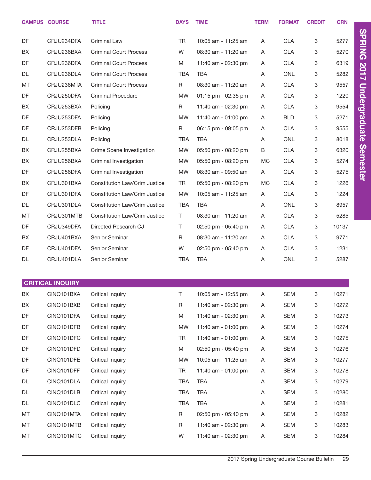|    | <b>CAMPUS COURSE</b>    | <b>TITLE</b>                         | <b>DAYS</b> | <b>TIME</b>         | <b>TERM</b> | <b>FORMAT</b> | <b>CREDIT</b> | <b>CRN</b> |                      |
|----|-------------------------|--------------------------------------|-------------|---------------------|-------------|---------------|---------------|------------|----------------------|
| DF | CRJU234DFA              | Criminal Law                         | TR.         | 10:05 am - 11:25 am | Α           | <b>CLA</b>    | 3             | 5277       | <b>SPRING</b>        |
| BX | CRJU236BXA              | <b>Criminal Court Process</b>        | W           | 08:30 am - 11:20 am | A           | <b>CLA</b>    | 3             | 5270       |                      |
| DF | CRJU236DFA              | <b>Criminal Court Process</b>        | M           | 11:40 am - 02:30 pm | Α           | <b>CLA</b>    | 3             | 6319       |                      |
| DL | CRJU236DLA              | <b>Criminal Court Process</b>        | <b>TBA</b>  | <b>TBA</b>          | A           | <b>ONL</b>    | 3             | 5282       | 2017                 |
| MT | CRJU236MTA              | <b>Criminal Court Process</b>        | R           | 08:30 am - 11:20 am | Α           | <b>CLA</b>    | 3             | 9557       |                      |
| DF | CRJU250DFA              | <b>Criminal Procedure</b>            | <b>MW</b>   | 01:15 pm - 02:35 pm | A           | <b>CLA</b>    | 3             | 1220       | <b>Undergraduate</b> |
| BX | CRJU253BXA              | Policing                             | R           | 11:40 am - 02:30 pm | Α           | <b>CLA</b>    | 3             | 9554       |                      |
| DF | CRJU253DFA              | Policing                             | <b>MW</b>   | 11:40 am - 01:00 pm | Α           | <b>BLD</b>    | 3             | 5271       |                      |
| DF | CRJU253DFB              | Policing                             | R           | 06:15 pm - 09:05 pm | Α           | <b>CLA</b>    | 3             | 9555       |                      |
| DL | CRJU253DLA              | Policing                             | <b>TBA</b>  | <b>TBA</b>          | A           | <b>ONL</b>    | 3             | 8018       |                      |
| BX | CRJU255BXA              | Crime Scene Investigation            | <b>MW</b>   | 05:50 pm - 08:20 pm | B           | <b>CLA</b>    | 3             | 6320       | Semester             |
| BX | CRJU256BXA              | Criminal Investigation               | <b>MW</b>   | 05:50 pm - 08:20 pm | MC          | <b>CLA</b>    | 3             | 5274       |                      |
| DF | CRJU256DFA              | Criminal Investigation               | <b>MW</b>   | 08:30 am - 09:50 am | A           | <b>CLA</b>    | 3             | 5275       |                      |
| BX | CRJU301BXA              | <b>Constitution Law/Crim Justice</b> | TR          | 05:50 pm - 08:20 pm | MC          | <b>CLA</b>    | 3             | 1226       |                      |
| DF | CRJU301DFA              | <b>Constitution Law/Crim Justice</b> | <b>MW</b>   | 10:05 am - 11:25 am | Α           | <b>CLA</b>    | 3             | 1224       |                      |
| DL | CRJU301DLA              | <b>Constitution Law/Crim Justice</b> | <b>TBA</b>  | <b>TBA</b>          | Α           | <b>ONL</b>    | 3             | 8957       |                      |
| MT | CRJU301MTB              | <b>Constitution Law/Crim Justice</b> | T.          | 08:30 am - 11:20 am | Α           | <b>CLA</b>    | 3             | 5285       |                      |
| DF | CRJU349DFA              | Directed Research CJ                 | Τ           | 02:50 pm - 05:40 pm | A           | <b>CLA</b>    | 3             | 10137      |                      |
| BX | CRJU401BXA              | Senior Seminar                       | R           | 08:30 am - 11:20 am | Α           | <b>CLA</b>    | 3             | 9771       |                      |
| DF | CRJU401DFA              | Senior Seminar                       | W           | 02:50 pm - 05:40 pm | A           | <b>CLA</b>    | 3             | 1231       |                      |
| DL | CRJU401DLA              | Senior Seminar                       | <b>TBA</b>  | <b>TBA</b>          | Α           | <b>ONL</b>    | 3             | 5287       |                      |
|    |                         |                                      |             |                     |             |               |               |            |                      |
|    | <b>CRITICAL INQUIRY</b> |                                      |             |                     |             |               |               |            |                      |
| BX | CINQ101BXA              | <b>Critical Inquiry</b>              | T.          | 10:05 am - 12:55 pm | Α           | <b>SEM</b>    | 3             | 10271      |                      |
| BX | CINQ101BXB              | <b>Critical Inquiry</b>              | $\mathsf R$ | 11:40 am - 02:30 pm | Α           | <b>SEM</b>    | 3             | 10272      |                      |
| DF | CINQ101DFA              | <b>Critical Inquiry</b>              | M           | 11:40 am - 02:30 pm | A           | <b>SEM</b>    | 3             | 10273      |                      |
| DF | CINQ101DFB              | <b>Critical Inquiry</b>              | <b>MW</b>   | 11:40 am - 01:00 pm | Α           | <b>SEM</b>    | 3             | 10274      |                      |
| DF | CINQ101DFC              | <b>Critical Inquiry</b>              | TR          | 11:40 am - 01:00 pm | A           | <b>SEM</b>    | 3             | 10275      |                      |
| DF | CINQ101DFD              | <b>Critical Inquiry</b>              | M           | 02:50 pm - 05:40 pm | Α           | <b>SEM</b>    | 3             | 10276      |                      |
| DF | CINQ101DFE              | <b>Critical Inquiry</b>              | <b>MW</b>   | 10:05 am - 11:25 am | A           | <b>SEM</b>    | 3             | 10277      |                      |
| DF | CINQ101DFF              | <b>Critical Inquiry</b>              | <b>TR</b>   | 11:40 am - 01:00 pm | Α           | <b>SEM</b>    | 3             | 10278      |                      |
| DL | CINQ101DLA              | <b>Critical Inquiry</b>              | <b>TBA</b>  | <b>TBA</b>          | Α           | <b>SEM</b>    | 3             | 10279      |                      |
| DL | CINQ101DLB              | <b>Critical Inquiry</b>              | <b>TBA</b>  | <b>TBA</b>          | Α           | <b>SEM</b>    | 3             | 10280      |                      |
| DL | CINQ101DLC              | <b>Critical Inquiry</b>              | <b>TBA</b>  | <b>TBA</b>          | Α           | <b>SEM</b>    | 3             | 10281      |                      |
| MT | CINQ101MTA              | <b>Critical Inquiry</b>              | $\mathsf R$ | 02:50 pm - 05:40 pm | Α           | <b>SEM</b>    | 3             | 10282      |                      |
| MT | CINQ101MTB              | <b>Critical Inquiry</b>              | $\mathsf R$ | 11:40 am - 02:30 pm | Α           | <b>SEM</b>    | 3             | 10283      |                      |
| MT | CINQ101MTC              | <b>Critical Inquiry</b>              | W           | 11:40 am - 02:30 pm | A           | <b>SEM</b>    | 3             | 10284      |                      |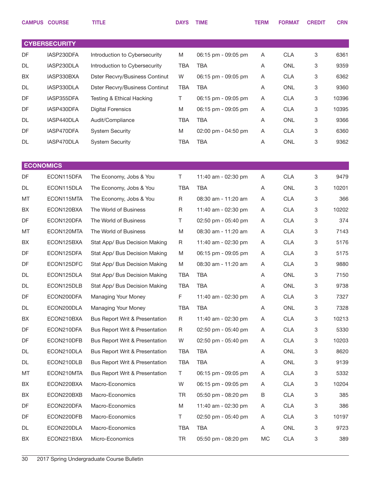|                  | <b>CAMPUS COURSE</b> | <b>TITLE</b>                              | <b>DAYS</b> | <b>TIME</b>         | <b>TERM</b> | <b>FORMAT</b> | <b>CREDIT</b> | <b>CRN</b> |
|------------------|----------------------|-------------------------------------------|-------------|---------------------|-------------|---------------|---------------|------------|
|                  |                      |                                           |             |                     |             |               |               |            |
|                  | <b>CYBERSECURITY</b> |                                           |             |                     |             |               |               |            |
| DF               | IASP230DFA           | Introduction to Cybersecurity             | M           | 06:15 pm - 09:05 pm | Α           | <b>CLA</b>    | 3             | 6361       |
| DL               | IASP230DLA           | Introduction to Cybersecurity             | <b>TBA</b>  | <b>TBA</b>          | Α           | <b>ONL</b>    | 3             | 9359       |
| BX               | IASP330BXA           | <b>Dster Recvry/Business Continut</b>     | W           | 06:15 pm - 09:05 pm | Α           | <b>CLA</b>    | 3             | 6362       |
| DL               | IASP330DLA           | <b>Dster Recvry/Business Continut</b>     | TBA         | TBA                 | Α           | <b>ONL</b>    | 3             | 9360       |
| DF               | IASP355DFA           | Testing & Ethical Hacking                 | T.          | 06:15 pm - 09:05 pm | Α           | <b>CLA</b>    | 3             | 10396      |
| DF               | IASP430DFA           | <b>Digital Forensics</b>                  | M           | 06:15 pm - 09:05 pm | Α           | <b>CLA</b>    | 3             | 10395      |
| DL               | IASP440DLA           | Audit/Compliance                          | <b>TBA</b>  | <b>TBA</b>          | Α           | ONL           | 3             | 9366       |
| DF               | IASP470DFA           | <b>System Security</b>                    | M           | 02:00 pm - 04:50 pm | Α           | <b>CLA</b>    | 3             | 6360       |
| DL               | IASP470DLA           | <b>System Security</b>                    | TBA         | <b>TBA</b>          | Α           | ONL           | 3             | 9362       |
|                  |                      |                                           |             |                     |             |               |               |            |
| <b>ECONOMICS</b> |                      |                                           |             |                     |             |               |               |            |
| DF               | ECON115DFA           | The Economy, Jobs & You                   | T           | 11:40 am - 02:30 pm | Α           | <b>CLA</b>    | 3             | 9479       |
| DL               | ECON115DLA           | The Economy, Jobs & You                   | TBA         | <b>TBA</b>          | Α           | ONL           | 3             | 10201      |
| MT               | ECON115MTA           | The Economy, Jobs & You                   | $\mathsf R$ | 08:30 am - 11:20 am | Α           | <b>CLA</b>    | 3             | 366        |
| BX               | ECON120BXA           | The World of Business                     | R           | 11:40 am - 02:30 pm | A           | <b>CLA</b>    | 3             | 10202      |
| DF               | ECON120DFA           | The World of Business                     | Т           | 02:50 pm - 05:40 pm | Α           | <b>CLA</b>    | 3             | 374        |
| MT               | ECON120MTA           | The World of Business                     | M           | 08:30 am - 11:20 am | A           | <b>CLA</b>    | 3             | 7143       |
| BX               | ECON125BXA           | Stat App/ Bus Decision Making             | R           | 11:40 am - 02:30 pm | Α           | <b>CLA</b>    | 3             | 5176       |
| DF               | ECON125DFA           | Stat App/ Bus Decision Making             | M           | 06:15 pm - 09:05 pm | A           | <b>CLA</b>    | 3             | 5175       |
| DF               | ECON125DFC           | Stat App/ Bus Decision Making             | M           | 08:30 am - 11:20 am | Α           | <b>CLA</b>    | 3             | 9880       |
| DL               | ECON125DLA           | Stat App/ Bus Decision Making             | <b>TBA</b>  | <b>TBA</b>          | A           | ONL           | 3             | 7150       |
| DL               | ECON125DLB           | Stat App/ Bus Decision Making             | TBA         | TBA                 | Α           | <b>ONL</b>    | 3             | 9738       |
| DF               | ECON200DFA           | <b>Managing Your Money</b>                | F           | 11:40 am - 02:30 pm | A           | <b>CLA</b>    | 3             | 7327       |
| DL               | ECON200DLA           | <b>Managing Your Money</b>                | TBA         | <b>TBA</b>          | A           | ONL           | 3             | 7328       |
| BX               | ECON210BXA           | Bus Report Writ & Presentation            | R           | 11:40 am - 02:30 pm | A           | <b>CLA</b>    | 3             | 10213      |
| DF               | ECON210DFA           | <b>Bus Report Writ &amp; Presentation</b> | R           | 02:50 pm - 05:40 pm | A           | <b>CLA</b>    | 3             | 5330       |
| DF               | ECON210DFB           | <b>Bus Report Writ &amp; Presentation</b> | W           | 02:50 pm - 05:40 pm | A           | <b>CLA</b>    | 3             | 10203      |
| DL               | ECON210DLA           | <b>Bus Report Writ &amp; Presentation</b> | TBA         | <b>TBA</b>          | A           | ONL           | 3             | 8620       |
| DL               | ECON210DLB           | <b>Bus Report Writ &amp; Presentation</b> | <b>TBA</b>  | <b>TBA</b>          | A           | ONL           | 3             | 9139       |
| МT               | ECON210MTA           | Bus Report Writ & Presentation            | T.          | 06:15 pm - 09:05 pm | A           | <b>CLA</b>    | 3             | 5332       |
| BX               | ECON220BXA           | Macro-Economics                           | W           | 06:15 pm - 09:05 pm | A           | <b>CLA</b>    | 3             | 10204      |
| BX               | ECON220BXB           | Macro-Economics                           | TR          | 05:50 pm - 08:20 pm | B           | <b>CLA</b>    | 3             | 385        |
| DF               | ECON220DFA           | Macro-Economics                           | M           | 11:40 am - 02:30 pm | A           | <b>CLA</b>    | 3             | 386        |
| DF               | ECON220DFB           | Macro-Economics                           | Τ           | 02:50 pm - 05:40 pm | A           | <b>CLA</b>    | 3             | 10197      |
| DL               | ECON220DLA           | Macro-Economics                           | TBA         | <b>TBA</b>          | A           | ONL           | 3             | 9723       |
| BX               | ECON221BXA           | Micro-Economics                           | TR          | 05:50 pm - 08:20 pm | MC          | <b>CLA</b>    | 3             | 389        |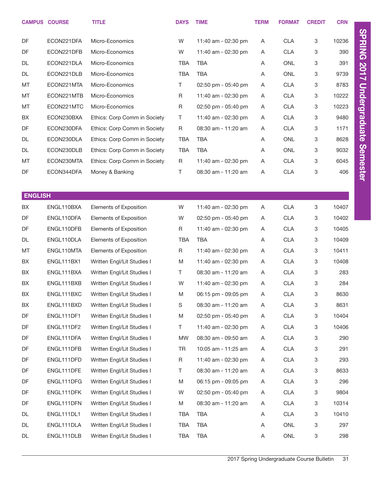|                | <b>CAMPUS COURSE</b> | <b>TITLE</b>                 | <b>DAYS</b> | <b>TIME</b>         | <b>TERM</b> | <b>FORMAT</b> | <b>CREDIT</b> | <b>CRN</b> |
|----------------|----------------------|------------------------------|-------------|---------------------|-------------|---------------|---------------|------------|
| DF             | ECON221DFA           | Micro-Economics              | W           | 11:40 am - 02:30 pm | Α           | <b>CLA</b>    | 3             | 10236      |
| DF             | ECON221DFB           | Micro-Economics              | W           | 11:40 am - 02:30 pm | Α           | <b>CLA</b>    | 3             | 390        |
| DL             | ECON221DLA           | Micro-Economics              | <b>TBA</b>  | <b>TBA</b>          | A           | <b>ONL</b>    | 3             | 391        |
| <b>DL</b>      | ECON221DLB           | Micro-Economics              | <b>TBA</b>  | <b>TBA</b>          | Α           | <b>ONL</b>    | 3             | 9739       |
| MT             | ECON221MTA           | Micro-Economics              | $\top$      | 02:50 pm - 05:40 pm | Α           | <b>CLA</b>    | 3             | 8783       |
| MT             | ECON221MTB           | Micro-Economics              | $\mathsf R$ | 11:40 am - 02:30 pm | Α           | <b>CLA</b>    | 3             | 10222      |
| MT             | ECON221MTC           | Micro-Economics              | $\mathsf R$ | 02:50 pm - 05:40 pm | A           | <b>CLA</b>    | 3             | 10223      |
| BX             | ECON230BXA           | Ethics: Corp Comm in Society | T           | 11:40 am - 02:30 pm | Α           | <b>CLA</b>    | 3             | 9480       |
| DF             | ECON230DFA           | Ethics: Corp Comm in Society | $\mathsf R$ | 08:30 am - 11:20 am | Α           | <b>CLA</b>    | 3             | 1171       |
| <b>DL</b>      | ECON230DLA           | Ethics: Corp Comm in Society | <b>TBA</b>  | <b>TBA</b>          | Α           | <b>ONL</b>    | 3             | 8628       |
| <b>DL</b>      | ECON230DLB           | Ethics: Corp Comm in Society | <b>TBA</b>  | <b>TBA</b>          | Α           | <b>ONL</b>    | 3             | 9032       |
| MT             | ECON230MTA           | Ethics: Corp Comm in Society | $\mathsf R$ | 11:40 am - 02:30 pm | Α           | <b>CLA</b>    | 3             | 6045       |
| DF             | ECON344DFA           | Money & Banking              | $\top$      | 08:30 am - 11:20 am | Α           | <b>CLA</b>    | 3             | 406        |
|                |                      |                              |             |                     |             |               |               |            |
| <b>ENGLISH</b> |                      |                              |             |                     |             |               |               |            |
| BX             | ENGL110BXA           | Elements of Exposition       | W           | 11:40 am - 02:30 pm | A           | <b>CLA</b>    | 3             | 10407      |
| DF             | ENGL110DFA           | Elements of Exposition       | W           | 02:50 pm - 05:40 pm | A           | <b>CLA</b>    | 3             | 10402      |
| DF             | ENGL110DFB           | Elements of Exposition       | $\mathsf R$ | 11:40 am - 02:30 pm | A           | <b>CLA</b>    | 3             | 10405      |
| <b>DL</b>      | ENGL110DLA           | Elements of Exposition       | <b>TBA</b>  | <b>TBA</b>          | A           | <b>CLA</b>    | 3             | 10409      |
| MT             | ENGL110MTA           | Elements of Exposition       | $\mathsf R$ | 11:40 am - 02:30 pm | A           | <b>CLA</b>    | 3             | 10411      |
| BX             | ENGL111BX1           | Written Engl/Lit Studies I   | M           | 11:40 am - 02:30 pm | A           | <b>CLA</b>    | 3             | 10408      |
| BX             | ENGL111BXA           | Written Engl/Lit Studies I   | Τ           | 08:30 am - 11:20 am | A           | <b>CLA</b>    | 3             | 283        |
| BX             | ENGL111BXB           | Written Engl/Lit Studies I   | W           | 11:40 am - 02:30 pm | A           | <b>CLA</b>    | 3             | 284        |
| BX             | ENGL111BXC           | Written Engl/Lit Studies I   | M           | 06:15 pm - 09:05 pm | A           | <b>CLA</b>    | 3             | 8630       |
| BX             | ENGL111BXD           | Written Engl/Lit Studies I   | S           | 08:30 am - 11:20 am | A           | <b>CLA</b>    | 3             | 8631       |
| DF             | ENGL111DF1           | Written Engl/Lit Studies I   | M           | 02:50 pm - 05:40 pm | A           | <b>CLA</b>    | 3             | 10404      |
| DF             | ENGL111DF2           | Written Engl/Lit Studies I   | $\top$      | 11:40 am - 02:30 pm | A           | <b>CLA</b>    | 3             | 10406      |
| DF             | ENGL111DFA           | Written Engl/Lit Studies I   | MW          | 08:30 am - 09:50 am | A           | <b>CLA</b>    | 3             | 290        |
| DF             | ENGL111DFB           | Written Engl/Lit Studies I   | TR          | 10:05 am - 11:25 am | A           | <b>CLA</b>    | 3             | 291        |
| DF             | ENGL111DFD           | Written Engl/Lit Studies I   | R           | 11:40 am - 02:30 pm | A           | <b>CLA</b>    | 3             | 293        |
| DF             | ENGL111DFE           | Written Engl/Lit Studies I   | Τ           | 08:30 am - 11:20 am | A           | <b>CLA</b>    | 3             | 8633       |
| DF             | ENGL111DFG           | Written Engl/Lit Studies I   | M           | 06:15 pm - 09:05 pm | A           | <b>CLA</b>    | 3             | 296        |
| DF             | ENGL111DFK           | Written Engl/Lit Studies I   | W           | 02:50 pm - 05:40 pm | A           | <b>CLA</b>    | 3             | 9804       |
| DF             | ENGL111DFN           | Written Engl/Lit Studies I   | M           | 08:30 am - 11:20 am | A           | <b>CLA</b>    | 3             | 10314      |
| DL             | ENGL111DL1           | Written Engl/Lit Studies I   | TBA         | TBA                 | A           | <b>CLA</b>    | 3             | 10410      |
| DL             | ENGL111DLA           | Written Engl/Lit Studies I   | <b>TBA</b>  | <b>TBA</b>          | A           | ONL           | 3             | 297        |
| DL             | ENGL111DLB           | Written Engl/Lit Studies I   | <b>TBA</b>  | TBA                 | A           | ONL           | 3             | 298        |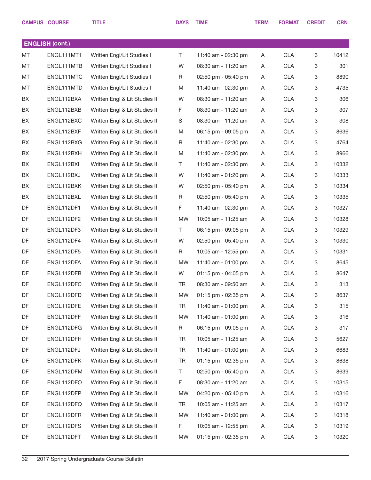|    | <b>CAMPUS COURSE</b>   | <b>TITLE</b>                  | <b>DAYS</b> | <b>TIME</b>         | <b>TERM</b> | <b>FORMAT</b> | <b>CREDIT</b> | <b>CRN</b> |
|----|------------------------|-------------------------------|-------------|---------------------|-------------|---------------|---------------|------------|
|    |                        |                               |             |                     |             |               |               |            |
|    | <b>ENGLISH (cont.)</b> |                               |             |                     |             |               |               |            |
| MT | ENGL111MT1             | Written Engl/Lit Studies I    | T.          | 11:40 am - 02:30 pm | A           | <b>CLA</b>    | 3             | 10412      |
| MT | ENGL111MTB             | Written Engl/Lit Studies I    | W           | 08:30 am - 11:20 am | A           | <b>CLA</b>    | 3             | 301        |
| MT | ENGL111MTC             | Written Engl/Lit Studies I    | R           | 02:50 pm - 05:40 pm | Α           | <b>CLA</b>    | 3             | 8890       |
| MT | ENGL111MTD             | Written Engl/Lit Studies I    | M           | 11:40 am - 02:30 pm | A           | <b>CLA</b>    | 3             | 4735       |
| BX | ENGL112BXA             | Written Engl & Lit Studies II | W           | 08:30 am - 11:20 am | Α           | <b>CLA</b>    | 3             | 306        |
| BX | ENGL112BXB             | Written Engl & Lit Studies II | F           | 08:30 am - 11:20 am | A           | <b>CLA</b>    | 3             | 307        |
| BX | ENGL112BXC             | Written Engl & Lit Studies II | S           | 08:30 am - 11:20 am | Α           | <b>CLA</b>    | 3             | 308        |
| BX | ENGL112BXF             | Written Engl & Lit Studies II | M           | 06:15 pm - 09:05 pm | A           | <b>CLA</b>    | 3             | 8636       |
| BX | ENGL112BXG             | Written Engl & Lit Studies II | R           | 11:40 am - 02:30 pm | Α           | <b>CLA</b>    | 3             | 4764       |
| BX | ENGL112BXH             | Written Engl & Lit Studies II | M           | 11:40 am - 02:30 pm | A           | <b>CLA</b>    | 3             | 8966       |
| BX | ENGL112BXI             | Written Engl & Lit Studies II | T.          | 11:40 am - 02:30 pm | Α           | <b>CLA</b>    | 3             | 10332      |
| BX | ENGL112BXJ             | Written Engl & Lit Studies II | W           | 11:40 am - 01:20 pm | A           | <b>CLA</b>    | 3             | 10333      |
| BX | ENGL112BXK             | Written Engl & Lit Studies II | W           | 02:50 pm - 05:40 pm | Α           | <b>CLA</b>    | 3             | 10334      |
| BX | ENGL112BXL             | Written Engl & Lit Studies II | R           | 02:50 pm - 05:40 pm | A           | <b>CLA</b>    | 3             | 10335      |
| DF | ENGL112DF1             | Written Engl & Lit Studies II | F           | 11:40 am - 02:30 pm | Α           | <b>CLA</b>    | 3             | 10327      |
| DF | ENGL112DF2             | Written Engl & Lit Studies II | MW          | 10:05 am - 11:25 am | A           | <b>CLA</b>    | 3             | 10328      |
| DF | ENGL112DF3             | Written Engl & Lit Studies II | T.          | 06:15 pm - 09:05 pm | Α           | <b>CLA</b>    | 3             | 10329      |
| DF | ENGL112DF4             | Written Engl & Lit Studies II | W           | 02:50 pm - 05:40 pm | A           | <b>CLA</b>    | 3             | 10330      |
| DF | ENGL112DF5             | Written Engl & Lit Studies II | R           | 10:05 am - 12:55 pm | Α           | <b>CLA</b>    | 3             | 10331      |
| DF | ENGL112DFA             | Written Engl & Lit Studies II | MW          | 11:40 am - 01:00 pm | A           | <b>CLA</b>    | 3             | 8645       |
| DF | ENGL112DFB             | Written Engl & Lit Studies II | W           | 01:15 pm - 04:05 pm | Α           | <b>CLA</b>    | 3             | 8647       |
| DF | ENGL112DFC             | Written Engl & Lit Studies II | <b>TR</b>   | 08:30 am - 09:50 am | Α           | <b>CLA</b>    | 3             | 313        |
| DF | ENGL112DFD             | Written Engl & Lit Studies II | MW          | 01:15 pm - 02:35 pm | A           | <b>CLA</b>    | 3             | 8637       |
| DF | ENGL112DFE             | Written Engl & Lit Studies II | TR          | 11:40 am - 01:00 pm | A           | <b>CLA</b>    | 3             | 315        |
| DF | ENGL112DFF             | Written Engl & Lit Studies II | MW          | 11:40 am - 01:00 pm | A           | <b>CLA</b>    | 3             | 316        |
| DF | ENGL112DFG             | Written Engl & Lit Studies II | R           | 06:15 pm - 09:05 pm | Α           | <b>CLA</b>    | 3             | 317        |
| DF | ENGL112DFH             | Written Engl & Lit Studies II | TR          | 10:05 am - 11:25 am | A           | <b>CLA</b>    | 3             | 5627       |
| DF | ENGL112DFJ             | Written Engl & Lit Studies II | TR          | 11:40 am - 01:00 pm | Α           | <b>CLA</b>    | 3             | 6683       |
| DF | ENGL112DFK             | Written Engl & Lit Studies II | TR          | 01:15 pm - 02:35 pm | A           | <b>CLA</b>    | 3             | 8638       |
| DF | ENGL112DFM             | Written Engl & Lit Studies II | T.          | 02:50 pm - 05:40 pm | A           | <b>CLA</b>    | 3             | 8639       |
| DF | ENGL112DFO             | Written Engl & Lit Studies II | F           | 08:30 am - 11:20 am | A           | <b>CLA</b>    | 3             | 10315      |
| DF | ENGL112DFP             | Written Engl & Lit Studies II | MW          | 04:20 pm - 05:40 pm | A           | <b>CLA</b>    | 3             | 10316      |
| DF | ENGL112DFQ             | Written Engl & Lit Studies II | TR          | 10:05 am - 11:25 am | A           | <b>CLA</b>    | 3             | 10317      |
| DF | ENGL112DFR             | Written Engl & Lit Studies II | MW          | 11:40 am - 01:00 pm | A           | <b>CLA</b>    | 3             | 10318      |
| DF | ENGL112DFS             | Written Engl & Lit Studies II | F.          | 10:05 am - 12:55 pm | A           | <b>CLA</b>    | 3             | 10319      |
| DF | ENGL112DFT             | Written Engl & Lit Studies II | MW          | 01:15 pm - 02:35 pm | A           | <b>CLA</b>    | 3             | 10320      |
|    |                        |                               |             |                     |             |               |               |            |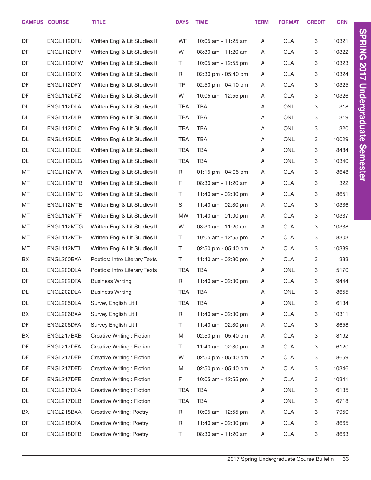|           | <b>CAMPUS COURSE</b> | <b>TITLE</b>                    | <b>DAYS</b> | <b>TIME</b>         | <b>TERM</b> | <b>FORMAT</b> | <b>CREDIT</b> | <b>CRN</b> |                      |
|-----------|----------------------|---------------------------------|-------------|---------------------|-------------|---------------|---------------|------------|----------------------|
| DF        | ENGL112DFU           | Written Engl & Lit Studies II   | WF          | 10:05 am - 11:25 am | Α           | <b>CLA</b>    | 3             | 10321      | <b>SPRING 2017</b>   |
| DF        | ENGL112DFV           | Written Engl & Lit Studies II   | W           | 08:30 am - 11:20 am | Α           | <b>CLA</b>    | 3             | 10322      |                      |
| DF        | ENGL112DFW           | Written Engl & Lit Studies II   | T           | 10:05 am - 12:55 pm | Α           | <b>CLA</b>    | 3             | 10323      |                      |
| DF        | ENGL112DFX           | Written Engl & Lit Studies II   | $\mathsf R$ | 02:30 pm - 05:40 pm | Α           | <b>CLA</b>    | 3             | 10324      |                      |
| DF        | ENGL112DFY           | Written Engl & Lit Studies II   | <b>TR</b>   | 02:50 pm - 04:10 pm | Α           | <b>CLA</b>    | 3             | 10325      |                      |
| DF        | ENGL112DFZ           | Written Engl & Lit Studies II   | W           | 10:05 am - 12:55 pm | Α           | <b>CLA</b>    | 3             | 10326      | <b>Undergraduate</b> |
| <b>DL</b> | ENGL112DLA           | Written Engl & Lit Studies II   | TBA         | <b>TBA</b>          | Α           | ONL           | 3             | 318        |                      |
| DL        | ENGL112DLB           | Written Engl & Lit Studies II   | <b>TBA</b>  | <b>TBA</b>          | Α           | ONL           | 3             | 319        |                      |
| <b>DL</b> | ENGL112DLC           |                                 | <b>TBA</b>  | <b>TBA</b>          |             | ONL           | 3             | 320        |                      |
|           |                      | Written Engl & Lit Studies II   |             |                     | Α           |               |               |            |                      |
| DL        | ENGL112DLD           | Written Engl & Lit Studies II   | <b>TBA</b>  | <b>TBA</b>          | Α           | <b>ONL</b>    | 3             | 10029      |                      |
| <b>DL</b> | ENGL112DLE           | Written Engl & Lit Studies II   | <b>TBA</b>  | <b>TBA</b>          | Α           | ONL           | 3             | 8484       | Semester             |
| DL        | ENGL112DLG           | Written Engl & Lit Studies II   | <b>TBA</b>  | <b>TBA</b>          | Α           | ONL           | 3             | 10340      |                      |
| MT        | ENGL112MTA           | Written Engl & Lit Studies II   | R           | 01:15 pm - 04:05 pm | Α           | <b>CLA</b>    | 3             | 8648       |                      |
| MT        | ENGL112MTB           | Written Engl & Lit Studies II   | F           | 08:30 am - 11:20 am | Α           | <b>CLA</b>    | 3             | 322        |                      |
| MT        | ENGL112MTC           | Written Engl & Lit Studies II   | Τ           | 11:40 am - 02:30 pm | A           | <b>CLA</b>    | 3             | 8651       |                      |
| MT        | ENGL112MTE           | Written Engl & Lit Studies II   | S           | 11:40 am - 02:30 pm | Α           | <b>CLA</b>    | 3             | 10336      |                      |
| MT        | ENGL112MTF           | Written Engl & Lit Studies II   | <b>MW</b>   | 11:40 am - 01:00 pm | Α           | <b>CLA</b>    | 3             | 10337      |                      |
| MT        | ENGL112MTG           | Written Engl & Lit Studies II   | W           | 08:30 am - 11:20 am | Α           | <b>CLA</b>    | 3             | 10338      |                      |
| MT        | ENGL112MTH           | Written Engl & Lit Studies II   | T           | 10:05 am - 12:55 pm | Α           | <b>CLA</b>    | 3             | 8303       |                      |
| MT        | ENGL112MTI           | Written Engl & Lit Studies II   | T.          | 02:50 pm - 05:40 pm | Α           | <b>CLA</b>    | 3             | 10339      |                      |
| BX        | ENGL200BXA           | Poetics: Intro Literary Texts   | T.          | 11:40 am - 02:30 pm | Α           | <b>CLA</b>    | 3             | 333        |                      |
| DL        | ENGL200DLA           | Poetics: Intro Literary Texts   | TBA         | <b>TBA</b>          | Α           | ONL           | 3             | 5170       |                      |
| DF        | ENGL202DFA           | <b>Business Writing</b>         | R           | 11:40 am - 02:30 pm | Α           | <b>CLA</b>    | 3             | 9444       |                      |
| DL        | ENGL202DLA           | <b>Business Writing</b>         | TBA         | <b>TBA</b>          | Α           | ONL           | $\mathbf 3$   | 8655       |                      |
| DL        | ENGL205DLA           | Survey English Lit I            | TBA         | <b>TBA</b>          | Α           | ONL           | 3             | 6134       |                      |
| BX        | ENGL206BXA           | Survey English Lit II           | R           | 11:40 am - 02:30 pm | A           | <b>CLA</b>    | 3             | 10311      |                      |
| DF        | ENGL206DFA           | Survey English Lit II           | T.          | 11:40 am - 02:30 pm | A           | <b>CLA</b>    | 3             | 8658       |                      |
| BX        | ENGL217BXB           | Creative Writing: Fiction       | M           | 02:50 pm - 05:40 pm | A           | CLA           | 3             | 8192       |                      |
| DF        | ENGL217DFA           | Creative Writing: Fiction       | T           | 11:40 am - 02:30 pm | A           | <b>CLA</b>    | 3             | 6120       |                      |
| DF        | ENGL217DFB           | Creative Writing: Fiction       | W           | 02:50 pm - 05:40 pm | A           | <b>CLA</b>    | 3             | 8659       |                      |
| DF        | ENGL217DFD           | Creative Writing: Fiction       | M           | 02:50 pm - 05:40 pm | A           | <b>CLA</b>    | 3             | 10346      |                      |
| DF        | ENGL217DFE           | Creative Writing: Fiction       | F           | 10:05 am - 12:55 pm | A           | <b>CLA</b>    | 3             | 10341      |                      |
| DL        | ENGL217DLA           | Creative Writing: Fiction       | TBA         | TBA                 | Α           | ONL           | 3             | 6135       |                      |
| DL        | ENGL217DLB           | Creative Writing: Fiction       | TBA         | TBA                 | Α           | ONL           | 3             | 6718       |                      |
| BX        | ENGL218BXA           | Creative Writing: Poetry        | R           | 10:05 am - 12:55 pm | A           | <b>CLA</b>    | 3             | 7950       |                      |
| DF        | ENGL218DFA           | Creative Writing: Poetry        | $\mathsf R$ | 11:40 am - 02:30 pm | A           | <b>CLA</b>    | 3             | 8665       |                      |
| DF        | ENGL218DFB           | <b>Creative Writing: Poetry</b> | Τ           | 08:30 am - 11:20 am | A           | <b>CLA</b>    | 3             | 8663       |                      |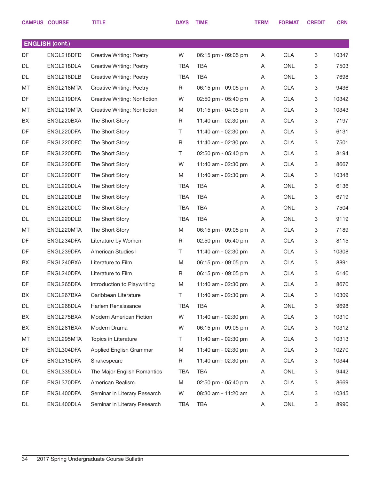|           | <b>CAMPUS COURSE</b>   | <b>TITLE</b>                    | <b>DAYS</b> | <b>TIME</b>           | <b>TERM</b> | <b>FORMAT</b> | <b>CREDIT</b> | <b>CRN</b> |
|-----------|------------------------|---------------------------------|-------------|-----------------------|-------------|---------------|---------------|------------|
|           |                        |                                 |             |                       |             |               |               |            |
|           | <b>ENGLISH (cont.)</b> |                                 |             |                       |             |               |               |            |
| <b>DF</b> | ENGL218DFD             | <b>Creative Writing: Poetry</b> | W           | 06:15 pm - 09:05 pm   | A           | <b>CLA</b>    | 3             | 10347      |
| DL        | ENGL218DLA             | <b>Creative Writing: Poetry</b> | <b>TBA</b>  | <b>TBA</b>            | Α           | <b>ONL</b>    | 3             | 7503       |
| DL        | ENGL218DLB             | <b>Creative Writing: Poetry</b> | <b>TBA</b>  | <b>TBA</b>            | A           | <b>ONL</b>    | 3             | 7698       |
| MT        | ENGL218MTA             | <b>Creative Writing: Poetry</b> | R           | 06:15 pm - 09:05 pm   | A           | <b>CLA</b>    | 3             | 9436       |
| DF        | ENGL219DFA             | Creative Writing: Nonfiction    | W           | 02:50 pm - 05:40 pm   | A           | <b>CLA</b>    | 3             | 10342      |
| MT        | ENGL219MTA             | Creative Writing: Nonfiction    | M           | $01:15$ pm - 04:05 pm | A           | <b>CLA</b>    | 3             | 10343      |
| BX        | ENGL220BXA             | The Short Story                 | R           | 11:40 am - 02:30 pm   | A           | <b>CLA</b>    | 3             | 7197       |
| DF        | ENGL220DFA             | The Short Story                 | T.          | 11:40 am - 02:30 pm   | A           | <b>CLA</b>    | 3             | 6131       |
| DF        | ENGL220DFC             | The Short Story                 | R           | 11:40 am - 02:30 pm   | A           | <b>CLA</b>    | 3             | 7501       |
| DF        | ENGL220DFD             | The Short Story                 | T.          | 02:50 pm - 05:40 pm   | A           | <b>CLA</b>    | 3             | 8194       |
| DF        | ENGL220DFE             | The Short Story                 | W           | 11:40 am - 02:30 pm   | A           | <b>CLA</b>    | 3             | 8667       |
| DF        | ENGL220DFF             | The Short Story                 | M           | 11:40 am - 02:30 pm   | A           | <b>CLA</b>    | 3             | 10348      |
| DL        | ENGL220DLA             | The Short Story                 | <b>TBA</b>  | <b>TBA</b>            | A           | <b>ONL</b>    | 3             | 6136       |
| DL        | ENGL220DLB             | The Short Story                 | <b>TBA</b>  | <b>TBA</b>            | A           | <b>ONL</b>    | 3             | 6719       |
| DL        | ENGL220DLC             | The Short Story                 | <b>TBA</b>  | <b>TBA</b>            | A           | <b>ONL</b>    | 3             | 7504       |
| DL        | ENGL220DLD             | The Short Story                 | <b>TBA</b>  | <b>TBA</b>            | A           | <b>ONL</b>    | 3             | 9119       |
| MT        | ENGL220MTA             | The Short Story                 | M           | 06:15 pm - 09:05 pm   | A           | <b>CLA</b>    | 3             | 7189       |
| DF        | ENGL234DFA             | Literature by Women             | R           | 02:50 pm - 05:40 pm   | A           | <b>CLA</b>    | 3             | 8115       |
| <b>DF</b> | ENGL239DFA             | American Studies I              | T.          | 11:40 am - 02:30 pm   | A           | <b>CLA</b>    | 3             | 10308      |
| BX        | ENGL240BXA             | Literature to Film              | M           | 06:15 pm - 09:05 pm   | A           | <b>CLA</b>    | 3             | 8891       |
| DF        | ENGL240DFA             | Literature to Film              | R           | 06:15 pm - 09:05 pm   | A           | <b>CLA</b>    | 3             | 6140       |
| <b>DF</b> | ENGL265DFA             | Introduction to Playwriting     | M           | 11:40 am - 02:30 pm   | Α           | <b>CLA</b>    | 3             | 8670       |
| BX        | ENGL267BXA             | Caribbean Literature            | T.          | 11:40 am - 02:30 pm   | A           | <b>CLA</b>    | 3             | 10309      |
| DL        | ENGL268DLA             | Harlem Renaissance              | <b>TBA</b>  | <b>TBA</b>            | Α           | ONL           | 3             | 9698       |
| BX        | ENGL275BXA             | Modern American Fiction         | W           | 11:40 am - 02:30 pm   | A           | <b>CLA</b>    | 3             | 10310      |
| BX        | ENGL281BXA             | Modern Drama                    | W           | 06:15 pm - 09:05 pm   | A           | <b>CLA</b>    | 3             | 10312      |
| MT        | ENGL295MTA             | Topics in Literature            | T.          | 11:40 am - 02:30 pm   | A           | <b>CLA</b>    | 3             | 10313      |
| DF        | ENGL304DFA             | Applied English Grammar         | M           | 11:40 am - 02:30 pm   | A           | <b>CLA</b>    | 3             | 10270      |
| DF        | ENGL315DFA             | Shakespeare                     | R           | 11:40 am - 02:30 pm   | A           | <b>CLA</b>    | 3             | 10344      |
| DL        | ENGL335DLA             | The Major English Romantics     | <b>TBA</b>  | <b>TBA</b>            | A           | ONL           | 3             | 9442       |
| DF        | ENGL370DFA             | American Realism                | M           | 02:50 pm - 05:40 pm   | A           | <b>CLA</b>    | 3             | 8669       |
| DF        | ENGL400DFA             | Seminar in Literary Research    | W           | 08:30 am - 11:20 am   | A           | <b>CLA</b>    | 3             | 10345      |
| DL        | ENGL400DLA             | Seminar in Literary Research    | TBA         | TBA                   | A           | ONL           | 3             | 8990       |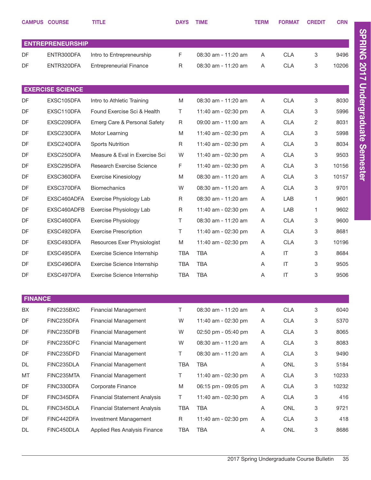|                | <b>CAMPUS COURSE</b>    | <b>TITLE</b>                        | <b>DAYS</b> | <b>TIME</b>         | <b>TERM</b> | <b>FORMAT</b>          | <b>CREDIT</b> | <b>CRN</b> |
|----------------|-------------------------|-------------------------------------|-------------|---------------------|-------------|------------------------|---------------|------------|
|                |                         |                                     |             |                     |             |                        |               |            |
|                | <b>ENTREPRENEURSHIP</b> |                                     |             |                     |             |                        |               |            |
| DF             | ENTR300DFA              | Intro to Entrepreneurship           | F           | 08:30 am - 11:20 am | A           | <b>CLA</b>             | 3             | 9496       |
| DF             | ENTR320DFA              | <b>Entrepreneurial Finance</b>      | R           | 08:30 am - 11:20 am | A           | <b>CLA</b>             | 3             | 10206      |
|                |                         |                                     |             |                     |             |                        |               |            |
|                | <b>EXERCISE SCIENCE</b> |                                     |             |                     |             |                        |               |            |
| DF             | EXSC105DFA              | Intro to Athletic Training          | M           | 08:30 am - 11:20 am | A           | <b>CLA</b>             | 3             | 8030       |
| DF             | EXSC110DFA              | Found Exercise Sci & Health         | T.          | 11:40 am - 02:30 pm | A           | <b>CLA</b>             | 3             | 5996       |
| DF             | EXSC209DFA              | Emerg Care & Personal Safety        | R           | 09:00 am - 11:00 am | A           | <b>CLA</b>             | 2             | 8031       |
| DF             | EXSC230DFA              | Motor Learning                      | M           | 11:40 am - 02:30 pm | A           | <b>CLA</b>             | 3             | 5998       |
| DF             | EXSC240DFA              | <b>Sports Nutrition</b>             | R           | 11:40 am - 02:30 pm | A           | <b>CLA</b>             | 3             | 8034       |
| DF             | EXSC250DFA              | Measure & Eval in Exercise Sci      | W           | 11:40 am - 02:30 pm | A           | <b>CLA</b>             | 3             | 9503       |
| DF             | EXSC295DFA              | <b>Research Exercise Science</b>    | F           | 11:40 am - 02:30 pm | A           | <b>CLA</b>             | 3             | 10156      |
| DF             | EXSC360DFA              | <b>Exercise Kinesiology</b>         | M           | 08:30 am - 11:20 am | A           | <b>CLA</b>             | 3             | 10157      |
| DF             | EXSC370DFA              | <b>Biomechanics</b>                 | W           | 08:30 am - 11:20 am | A           | <b>CLA</b>             | 3             | 9701       |
| DF             | EXSC460ADFA             | Exercise Physiology Lab             | R           | 08:30 am - 11:20 am | A           | LAB                    | 1             | 9601       |
| DF             | EXSC460ADFB             | Exercise Physiology Lab             | R           | 11:40 am - 02:30 pm | A           | LAB                    | 1             | 9602       |
| DF             | EXSC460DFA              | <b>Exercise Physiology</b>          | T.          | 08:30 am - 11:20 am | A           | <b>CLA</b>             | 3             | 9600       |
| DF             | EXSC492DFA              | <b>Exercise Prescription</b>        | T           | 11:40 am - 02:30 pm | A           | <b>CLA</b>             | 3             | 8681       |
| DF             | EXSC493DFA              | Resources Exer Physiologist         | Μ           | 11:40 am - 02:30 pm | A           | <b>CLA</b>             | 3             | 10196      |
| DF             | EXSC495DFA              | Exercise Science Internship         | TBA         | <b>TBA</b>          | A           | $\mathsf{I}\mathsf{T}$ | 3             | 8684       |
| DF             | EXSC496DFA              | Exercise Science Internship         | <b>TBA</b>  | <b>TBA</b>          | A           | IT                     | 3             | 9505       |
| DF             | EXSC497DFA              | <b>Exercise Science Internship</b>  | <b>TBA</b>  | <b>TBA</b>          | A           | $\mathsf{I}$           | 3             | 9506       |
|                |                         |                                     |             |                     |             |                        |               |            |
| <b>FINANCE</b> |                         |                                     |             |                     |             |                        |               |            |
| BX             | FINC235BXC              | <b>Financial Management</b>         | T.          | 08:30 am - 11:20 am | Α           | <b>CLA</b>             | 3             | 6040       |
| DF             | FINC235DFA              | <b>Financial Management</b>         | W           | 11:40 am - 02:30 pm | A           | <b>CLA</b>             | 3             | 5370       |
| DF             | FINC235DFB              | <b>Financial Management</b>         | W           | 02:50 pm - 05:40 pm | A           | <b>CLA</b>             | 3             | 8065       |
| DF             | FINC235DFC              | <b>Financial Management</b>         | W           | 08:30 am - 11:20 am | A           | <b>CLA</b>             | 3             | 8083       |
| DF             | FINC235DFD              | <b>Financial Management</b>         | T.          | 08:30 am - 11:20 am | A           | <b>CLA</b>             | 3             | 9490       |
| DL             | FINC235DLA              | <b>Financial Management</b>         | TBA         | <b>TBA</b>          | A           | <b>ONL</b>             | 3             | 5184       |
| MT             | FINC235MTA              | <b>Financial Management</b>         | T.          | 11:40 am - 02:30 pm | A           | <b>CLA</b>             | 3             | 10233      |
| DF             | FINC330DFA              | Corporate Finance                   | M           | 06:15 pm - 09:05 pm | A           | <b>CLA</b>             | 3             | 10232      |
| DF             | FINC345DFA              | <b>Financial Statement Analysis</b> | T.          | 11:40 am - 02:30 pm | A           | <b>CLA</b>             | 3             | 416        |
| DL             | FINC345DLA              | <b>Financial Statement Analysis</b> | TBA         | <b>TBA</b>          | A           | <b>ONL</b>             | 3             | 9721       |
| DF             | FINC442DFA              | Investment Management               | R           | 11:40 am - 02:30 pm | Α           | <b>CLA</b>             | 3             | 418        |
| DL             | FINC450DLA              | Applied Res Analysis Finance        | <b>TBA</b>  | <b>TBA</b>          | A           | ONL                    | 3             | 8686       |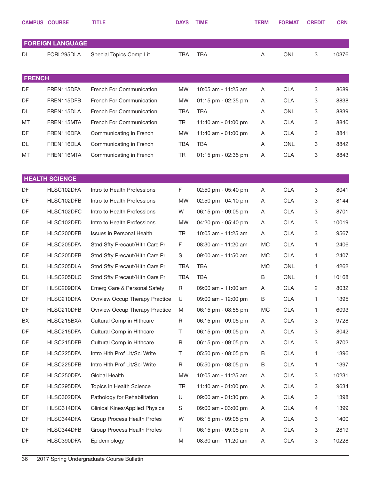|               | <b>CAMPUS COURSE</b>    | <b>TITLE</b>                          | <b>DAYS</b> | <b>TIME</b>         | <b>TERM</b> | <b>FORMAT</b> | <b>CREDIT</b> | <b>CRN</b> |
|---------------|-------------------------|---------------------------------------|-------------|---------------------|-------------|---------------|---------------|------------|
|               | <b>FOREIGN LANGUAGE</b> |                                       |             |                     |             |               |               |            |
| DL            | FORL295DLA              | Special Topics Comp Lit               | <b>TBA</b>  | <b>TBA</b>          | Α           | <b>ONL</b>    | 3             | 10376      |
| <b>FRENCH</b> |                         |                                       |             |                     |             |               |               |            |
| DF            | FREN115DFA              | French For Communication              | <b>MW</b>   | 10:05 am - 11:25 am | Α           | <b>CLA</b>    | 3             | 8689       |
| DF            | FREN115DFB              | French For Communication              | <b>MW</b>   | 01:15 pm - 02:35 pm | Α           | <b>CLA</b>    | 3             | 8838       |
| DL            | FREN115DLA              | French For Communication              | <b>TBA</b>  | <b>TBA</b>          | Α           | <b>ONL</b>    | 3             | 8839       |
| MT            | FREN115MTA              | French For Communication              | <b>TR</b>   | 11:40 am - 01:00 pm | Α           | <b>CLA</b>    | 3             | 8840       |
| DF            | FREN116DFA              | Communicating in French               | <b>MW</b>   | 11:40 am - 01:00 pm | Α           | <b>CLA</b>    | 3             | 8841       |
| DL            | FREN116DLA              | Communicating in French               | <b>TBA</b>  | <b>TBA</b>          | Α           | <b>ONL</b>    | 3             | 8842       |
| MT            | FREN116MTA              | Communicating in French               | <b>TR</b>   | 01:15 pm - 02:35 pm | Α           | <b>CLA</b>    | 3             | 8843       |
|               | <b>HEALTH SCIENCE</b>   |                                       |             |                     |             |               |               |            |
| DF            | HLSC102DFA              | Intro to Health Professions           | F           | 02:50 pm - 05:40 pm | A           | <b>CLA</b>    | 3             | 8041       |
| DF            | HLSC102DFB              | Intro to Health Professions           | <b>MW</b>   | 02:50 pm - 04:10 pm | Α           | <b>CLA</b>    | 3             | 8144       |
| DF            | HLSC102DFC              | Intro to Health Professions           | W           | 06:15 pm - 09:05 pm | Α           | <b>CLA</b>    | 3             | 8701       |
| DF            | HLSC102DFD              | Intro to Health Professions           | <b>MW</b>   | 04:20 pm - 05:40 pm | Α           | <b>CLA</b>    | 3             | 10019      |
| DF            | HLSC200DFB              | Issues in Personal Health             | <b>TR</b>   | 10:05 am - 11:25 am | Α           | <b>CLA</b>    | 3             | 9567       |
| DF            | HLSC205DFA              | Stnd Sfty Precaut/Hlth Care Pr        | F           | 08:30 am - 11:20 am | <b>MC</b>   | <b>CLA</b>    | 1             | 2406       |
| DF            | HLSC205DFB              | Stnd Sfty Precaut/Hlth Care Pr        | S           | 09:00 am - 11:50 am | MC          | <b>CLA</b>    | 1             | 2407       |
| DL            | HLSC205DLA              | Stnd Sfty Precaut/Hlth Care Pr        | <b>TBA</b>  | <b>TBA</b>          | <b>MC</b>   | <b>ONL</b>    | 1             | 4262       |
| DL            | HLSC205DLC              | Stnd Sfty Precaut/Hlth Care Pr        | <b>TBA</b>  | <b>TBA</b>          | B           | <b>ONL</b>    | 1             | 10168      |
| DF            | HLSC209DFA              | Emerg Care & Personal Safety          | $\mathsf R$ | 09:00 am - 11:00 am | A           | <b>CLA</b>    | 2             | 8032       |
| DF            | HLSC210DFA              | <b>Ovrview Occup Therapy Practice</b> | U           | 09:00 am - 12:00 pm | B           | <b>CLA</b>    | 1             | 1395       |
| DF            | HLSC210DFB              | Ovrview Occup Therapy Practice        | M           | 06:15 pm - 08:55 pm | МC          | <b>CLA</b>    | 1             | 6093       |
| BX            | HLSC215BXA              | Cultural Comp in Hithcare             | $\mathsf R$ | 06:15 pm - 09:05 pm | A           | <b>CLA</b>    | 3             | 9728       |
| DF            | HLSC215DFA              | Cultural Comp in Hithcare             | Τ           | 06:15 pm - 09:05 pm | Α           | <b>CLA</b>    | 3             | 8042       |
| DF            | HLSC215DFB              | Cultural Comp in Hithcare             | R           | 06:15 pm - 09:05 pm | Α           | <b>CLA</b>    | 3             | 8702       |
| DF            | HLSC225DFA              | Intro Hith Prof Lit/Sci Write         | Τ           | 05:50 pm - 08:05 pm | B           | <b>CLA</b>    | 1             | 1396       |
| DF            | HLSC225DFB              | Intro Hith Prof Lit/Sci Write         | R           | 05:50 pm - 08:05 pm | B           | <b>CLA</b>    | 1             | 1397       |
| DF            | HLSC250DFA              | Global Health                         | <b>MW</b>   | 10:05 am - 11:25 am | Α           | <b>CLA</b>    | 3             | 10231      |
| DF            | HLSC295DFA              | Topics in Health Science              | <b>TR</b>   | 11:40 am - 01:00 pm | Α           | <b>CLA</b>    | 3             | 9634       |
| DF            | HLSC302DFA              | Pathology for Rehabilitation          | U           | 09:00 am - 01:30 pm | Α           | <b>CLA</b>    | 3             | 1398       |
| DF            | HLSC314DFA              | <b>Clinical Kines/Applied Physics</b> | S           | 09:00 am - 03:00 pm | Α           | <b>CLA</b>    | 4             | 1399       |
| DF            | HLSC344DFA              | Group Process Health Profes           | W           | 06:15 pm - 09:05 pm | Α           | <b>CLA</b>    | 3             | 1400       |
| DF            | HLSC344DFB              | Group Process Health Profes           | Τ           | 06:15 pm - 09:05 pm | Α           | <b>CLA</b>    | 3             | 2819       |
| DF            | HLSC390DFA              | Epidemiology                          | M           | 08:30 am - 11:20 am | A           | <b>CLA</b>    | 3             | 10228      |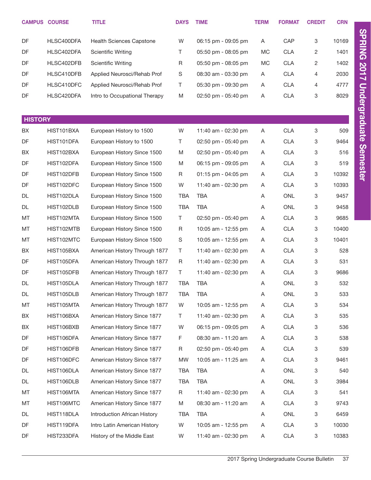|                | <b>CAMPUS COURSE</b> | <b>TITLE</b>                    | <b>DAYS</b> | <b>TIME</b>         | <b>TERM</b> | <b>FORMAT</b> | <b>CREDIT</b> | <b>CRN</b> |
|----------------|----------------------|---------------------------------|-------------|---------------------|-------------|---------------|---------------|------------|
| DF             | HLSC400DFA           | <b>Health Sciences Capstone</b> | W           | 06:15 pm - 09:05 pm | A           | CAP           | 3             | 10169      |
| DF             | HLSC402DFA           | <b>Scientific Writing</b>       | T.          | 05:50 pm - 08:05 pm | MC          | <b>CLA</b>    | 2             | 1401       |
| DF             | HLSC402DFB           | <b>Scientific Writing</b>       | R           | 05:50 pm - 08:05 pm | МC          | <b>CLA</b>    | 2             | 1402       |
| DF             | HLSC410DFB           | Applied Neurosci/Rehab Prof     | S           | 08:30 am - 03:30 pm | A           | <b>CLA</b>    | 4             | 2030       |
| DF             | HLSC410DFC           | Applied Neurosci/Rehab Prof     | T           | 05:30 pm - 09:30 pm | A           | <b>CLA</b>    | 4             | 4777       |
| DF             | HLSC420DFA           | Intro to Occupational Therapy   | M           | 02:50 pm - 05:40 pm | A           | <b>CLA</b>    | 3             | 8029       |
|                |                      |                                 |             |                     |             |               |               |            |
| <b>HISTORY</b> |                      |                                 |             |                     |             |               |               |            |
| BX             | HIST101BXA           | European History to 1500        | W           | 11:40 am - 02:30 pm | A           | CLA           | 3             | 509        |
| DF             | HIST101DFA           | European History to 1500        | T.          | 02:50 pm - 05:40 pm | A           | <b>CLA</b>    | 3             | 9464       |
| BX             | HIST102BXA           | European History Since 1500     | M           | 02:50 pm - 05:40 pm | A           | <b>CLA</b>    | 3             | 516        |
| DF             | HIST102DFA           | European History Since 1500     | M           | 06:15 pm - 09:05 pm | A           | <b>CLA</b>    | 3             | 519        |
| DF             | HIST102DFB           | European History Since 1500     | R           | 01:15 pm - 04:05 pm | A           | <b>CLA</b>    | 3             | 10392      |
| DF             | HIST102DFC           | European History Since 1500     | W           | 11:40 am - 02:30 pm | A           | <b>CLA</b>    | 3             | 10393      |
| DL             | HIST102DLA           | European History Since 1500     | <b>TBA</b>  | <b>TBA</b>          | A           | <b>ONL</b>    | 3             | 9457       |
| DL             | HIST102DLB           | European History Since 1500     | <b>TBA</b>  | <b>TBA</b>          | A           | <b>ONL</b>    | 3             | 9458       |
| MT             | HIST102MTA           | European History Since 1500     | T.          | 02:50 pm - 05:40 pm | A           | <b>CLA</b>    | 3             | 9685       |
| MT             | HIST102MTB           | European History Since 1500     | R           | 10:05 am - 12:55 pm | A           | <b>CLA</b>    | 3             | 10400      |
| MT             | HIST102MTC           | European History Since 1500     | S           | 10:05 am - 12:55 pm | A           | <b>CLA</b>    | 3             | 10401      |
| BX             | HIST105BXA           | American History Through 1877   | T.          | 11:40 am - 02:30 pm | A           | <b>CLA</b>    | 3             | 528        |
| DF             | HIST105DFA           | American History Through 1877   | R           | 11:40 am - 02:30 pm | A           | <b>CLA</b>    | 3             | 531        |
| DF             | HIST105DFB           | American History Through 1877   | T.          | 11:40 am - 02:30 pm | A           | <b>CLA</b>    | 3             | 9686       |
| DL             | HIST105DLA           | American History Through 1877   | TBA         | <b>TBA</b>          | Α           | ONL           | 3             | 532        |
| DL             | HIST105DLB           | American History Through 1877   | <b>TBA</b>  | TBA                 | Α           | ONL           | 3             | 533        |
| MT             | HIST105MTA           | American History Through 1877   | W           | 10:05 am - 12:55 pm | Α           | <b>CLA</b>    | 3             | 534        |
| BX             | HIST106BXA           | American History Since 1877     | Τ           | 11:40 am - 02:30 pm | A           | <b>CLA</b>    | 3             | 535        |
| BX             | HIST106BXB           | American History Since 1877     | W           | 06:15 pm - 09:05 pm | A           | <b>CLA</b>    | 3             | 536        |
| DF             | HIST106DFA           | American History Since 1877     | F           | 08:30 am - 11:20 am | A           | <b>CLA</b>    | 3             | 538        |
| DF             | HIST106DFB           | American History Since 1877     | R           | 02:50 pm - 05:40 pm | A           | <b>CLA</b>    | 3             | 539        |
| DF             | HIST106DFC           | American History Since 1877     | <b>MW</b>   | 10:05 am - 11:25 am | A           | <b>CLA</b>    | 3             | 9461       |
| DL             | HIST106DLA           | American History Since 1877     | TBA         | TBA                 | A           | ONL           | 3             | 540        |
| DL             | HIST106DLB           | American History Since 1877     | <b>TBA</b>  | TBA                 | Α           | ONL           | 3             | 3984       |
| MT             | HIST106MTA           | American History Since 1877     | R           | 11:40 am - 02:30 pm | A           | <b>CLA</b>    | 3             | 541        |
| MT             | HIST106MTC           | American History Since 1877     | M           | 08:30 am - 11:20 am | A           | <b>CLA</b>    | 3             | 9743       |
| DL             | HIST118DLA           | Introduction African History    | TBA         | TBA                 | A           | ONL           | 3             | 6459       |
| DF             | HIST119DFA           | Intro Latin American History    | W           | 10:05 am - 12:55 pm | Α           | <b>CLA</b>    | 3             | 10030      |
| DF             | HIST233DFA           | History of the Middle East      | W           | 11:40 am - 02:30 pm | A           | <b>CLA</b>    | 3             | 10383      |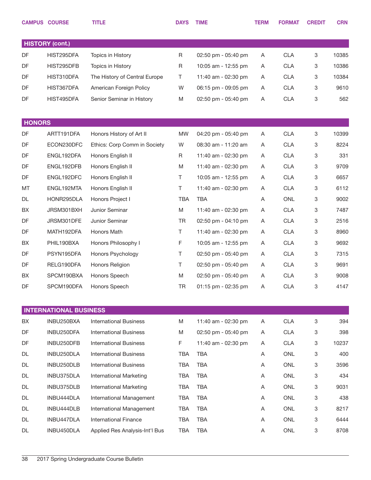|               | <b>CAMPUS COURSE</b>          | <b>TITLE</b>                   | <b>DAYS</b> | <b>TIME</b>         | <b>TERM</b> | <b>FORMAT</b> | <b>CREDIT</b> | <b>CRN</b> |
|---------------|-------------------------------|--------------------------------|-------------|---------------------|-------------|---------------|---------------|------------|
|               |                               |                                |             |                     |             |               |               |            |
|               | <b>HISTORY (cont.)</b>        |                                |             |                     |             |               |               |            |
| DF            | HIST295DFA                    | Topics in History              | R           | 02:50 pm - 05:40 pm | Α           | <b>CLA</b>    | 3             | 10385      |
| DF            | HIST295DFB                    | Topics in History              | R           | 10:05 am - 12:55 pm | Α           | <b>CLA</b>    | 3             | 10386      |
| DF            | HIST310DFA                    | The History of Central Europe  | Τ           | 11:40 am - 02:30 pm | Α           | <b>CLA</b>    | 3             | 10384      |
| DF            | HIST367DFA                    | American Foreign Policy        | W           | 06:15 pm - 09:05 pm | Α           | <b>CLA</b>    | 3             | 9610       |
| DF            | HIST495DFA                    | Senior Seminar in History      | M           | 02:50 pm - 05:40 pm | Α           | <b>CLA</b>    | 3             | 562        |
|               |                               |                                |             |                     |             |               |               |            |
| <b>HONORS</b> |                               |                                |             |                     |             |               |               |            |
| DF            | ARTT191DFA                    | Honors History of Art II       | <b>MW</b>   | 04:20 pm - 05:40 pm | Α           | <b>CLA</b>    | 3             | 10399      |
| DF            | ECON230DFC                    | Ethics: Corp Comm in Society   | W           | 08:30 am - 11:20 am | Α           | <b>CLA</b>    | 3             | 8224       |
| DF            | ENGL192DFA                    | Honors English II              | R           | 11:40 am - 02:30 pm | Α           | <b>CLA</b>    | 3             | 331        |
| DF            | ENGL192DFB                    | Honors English II              | M           | 11:40 am - 02:30 pm | A           | <b>CLA</b>    | 3             | 9709       |
| DF            | ENGL192DFC                    | Honors English II              | Τ           | 10:05 am - 12:55 pm | Α           | <b>CLA</b>    | 3             | 6657       |
| MT            | ENGL192MTA                    | Honors English II              | Τ           | 11:40 am - 02:30 pm | A           | <b>CLA</b>    | 3             | 6112       |
| DL            | HONR295DLA                    | Honors Project I               | <b>TBA</b>  | <b>TBA</b>          | Α           | ONL           | 3             | 9002       |
| BX            | JRSM301BXH                    | Junior Seminar                 | M           | 11:40 am - 02:30 pm | A           | <b>CLA</b>    | 3             | 7487       |
| DF            | JRSM301DFE                    | Junior Seminar                 | TR          | 02:50 pm - 04:10 pm | Α           | <b>CLA</b>    | 3             | 2516       |
| DF            | MATH192DFA                    | Honors Math                    | Τ           | 11:40 am - 02:30 pm | A           | <b>CLA</b>    | 3             | 8960       |
| BX            | PHIL190BXA                    | Honors Philosophy I            | F           | 10:05 am - 12:55 pm | Α           | <b>CLA</b>    | 3             | 9692       |
| DF            | PSYN195DFA                    | Honors Psychology              | Τ           | 02:50 pm - 05:40 pm | A           | <b>CLA</b>    | 3             | 7315       |
| DF            | RELG190DFA                    | Honors Religion                | Τ           | 02:50 pm - 05:40 pm | A           | <b>CLA</b>    | 3             | 9691       |
| BX            | SPCM190BXA                    | Honors Speech                  | M           | 02:50 pm - 05:40 pm | Α           | <b>CLA</b>    | 3             | 9008       |
| DF            | SPCM190DFA                    | Honors Speech                  | TR          | 01:15 pm - 02:35 pm | A           | <b>CLA</b>    | 3             | 4147       |
|               |                               |                                |             |                     |             |               |               |            |
|               | <b>INTERNATIONAL BUSINESS</b> |                                |             |                     |             |               |               |            |
| BX            | INBU250BXA                    | <b>International Business</b>  | M           | 11:40 am - 02:30 pm | A           | <b>CLA</b>    | 3             | 394        |
| DF            | INBU250DFA                    | <b>International Business</b>  | M           | 02:50 pm - 05:40 pm | A           | <b>CLA</b>    | 3             | 398        |
| DF            | INBU250DFB                    | <b>International Business</b>  | F           | 11:40 am - 02:30 pm | A           | <b>CLA</b>    | 3             | 10237      |
| DL            | INBU250DLA                    | <b>International Business</b>  | TBA         | <b>TBA</b>          | A           | ONL           | 3             | 400        |
| DL            | INBU250DLB                    | <b>International Business</b>  | TBA         | <b>TBA</b>          | A           | ONL           | 3             | 3596       |
| DL            | INBU375DLA                    | <b>International Marketing</b> | <b>TBA</b>  | <b>TBA</b>          | A           | ONL           | 3             | 434        |
| DL            | INBU375DLB                    | <b>International Marketing</b> | TBA         | <b>TBA</b>          | A           | ONL           | 3             | 9031       |
| DL            | INBU444DLA                    | International Management       | <b>TBA</b>  | <b>TBA</b>          | A           | ONL           | 3             | 438        |
| DL            | INBU444DLB                    | International Management       | TBA         | <b>TBA</b>          | A           | ONL           | 3             | 8217       |
| DL            | INBU447DLA                    | <b>International Finance</b>   | <b>TBA</b>  | TBA                 | A           | ONL           | 3             | 6444       |
| DL            | INBU450DLA                    | Applied Res Analysis-Int'l Bus | TBA         | <b>TBA</b>          | A           | ONL           | 3             | 8708       |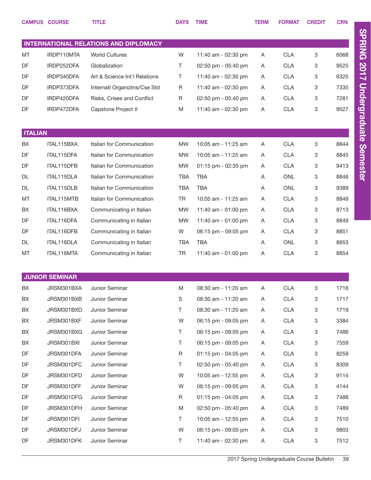|                | <b>CAMPUS COURSE</b>  | <b>TITLE</b>                          | <b>DAYS</b> | <b>TIME</b>         | <b>TERM</b> | <b>FORMAT</b> | <b>CREDIT</b> | <b>CRN</b> |
|----------------|-----------------------|---------------------------------------|-------------|---------------------|-------------|---------------|---------------|------------|
|                |                       |                                       |             |                     |             |               |               |            |
|                |                       | INTERNATIONAL RELATIONS AND DIPLOMACY |             |                     |             |               |               |            |
| MT             | IRDP110MTA            | <b>World Cultures</b>                 | W           | 11:40 am - 02:30 pm | Α           | <b>CLA</b>    | 3             | 6068       |
| DF             | IRDP252DFA            | Globalization                         | Τ           | 02:50 pm - 05:40 pm | A           | <b>CLA</b>    | 3             | 9525       |
| DF             | IRDP340DFA            | Art & Science Int'l Relations         | Τ           | 11:40 am - 02:30 pm | A           | <b>CLA</b>    | 3             | 6325       |
| DF             | IRDP373DFA            | Internatl Organiztns/Cse Std          | R           | 11:40 am - 02:30 pm | Α           | <b>CLA</b>    | 3             | 7335       |
| DF             | IRDP420DFA            | Risks, Crises and Conflict            | R           | 02:50 pm - 05:40 pm | A           | <b>CLA</b>    | 3             | 7281       |
| DF             | IRDP472DFA            | Capstone Project II                   | M           | 11:40 am - 02:30 pm | Α           | <b>CLA</b>    | 3             | 9527       |
|                |                       |                                       |             |                     |             |               |               |            |
| <b>ITALIAN</b> |                       |                                       |             |                     |             |               |               |            |
| BX             | ITAL115BXA            | Italian for Communication             | <b>MW</b>   | 10:05 am - 11:25 am | A           | <b>CLA</b>    | 3             | 8844       |
| DF             | ITAL115DFA            | Italian for Communication             | <b>MW</b>   | 10:05 am - 11:25 am | Α           | <b>CLA</b>    | 3             | 8845       |
| DF             | ITAL115DFB            | Italian for Communication             | <b>MW</b>   | 01:15 pm - 02:35 pm | A           | <b>CLA</b>    | 3             | 9413       |
| <b>DL</b>      | ITAL115DLA            | Italian for Communication             | <b>TBA</b>  | <b>TBA</b>          | Α           | ONL           | 3             | 8846       |
| DL             | ITAL115DLB            | Italian for Communication             | <b>TBA</b>  | TBA                 | Α           | <b>ONL</b>    | 3             | 9389       |
| MT             | ITAL115MTB            | Italian for Communication             | <b>TR</b>   | 10:05 am - 11:25 am | Α           | <b>CLA</b>    | 3             | 8848       |
| BX             | ITAL116BXA            | Communicating in Italian              | <b>MW</b>   | 11:40 am - 01:00 pm | A           | <b>CLA</b>    | 3             | 8713       |
| DF             | ITAL116DFA            | Communicating in Italian              | <b>MW</b>   | 11:40 am - 01:00 pm | Α           | <b>CLA</b>    | 3             | 8849       |
| DF             | ITAL116DFB            | Communicating in Italian              | W           | 06:15 pm - 09:05 pm | A           | <b>CLA</b>    | 3             | 8851       |
| <b>DL</b>      | ITAL116DLA            | Communicating in Italian              | <b>TBA</b>  | <b>TBA</b>          | A           | <b>ONL</b>    | 3             | 8853       |
| MT             | ITAL116MTA            | Communicating in Italian              | <b>TR</b>   | 11:40 am - 01:00 pm | Α           | <b>CLA</b>    | 3             | 8854       |
|                |                       |                                       |             |                     |             |               |               |            |
|                | <b>JUNIOR SEMINAR</b> |                                       |             |                     |             |               |               |            |
| BХ             | JRSM301BXA            | Junior Seminar                        | M           | 08:30 am - 11:20 am | Α           | <b>CLA</b>    | 3             | 1716       |
| BX             | JRSM301BXB            | Junior Seminar                        | $\mathbf S$ | 08:30 am - 11:20 am | Α           | <b>CLA</b>    | 3             | 1717       |
| BX             | JRSM301BXD            | Junior Seminar                        | Τ           | 08:30 am - 11:20 am | Α           | <b>CLA</b>    | 3             | 1719       |
| BX             | JRSM301BXF            | Junior Seminar                        | W           | 06:15 pm - 09:05 pm | Α           | <b>CLA</b>    | 3             | 3384       |
| BX             | JRSM301BXG            | Junior Seminar                        | T.          | 06:15 pm - 09:05 pm | Α           | <b>CLA</b>    | 3             | 7486       |
| BX             | JRSM301BXI            | Junior Seminar                        | Τ           | 06:15 pm - 09:05 pm | Α           | <b>CLA</b>    | 3             | 7559       |
| DF             | JRSM301DFA            | Junior Seminar                        | $\sf R$     | 01:15 pm - 04:05 pm | A           | <b>CLA</b>    | 3             | 8259       |
| DF             | JRSM301DFC            | Junior Seminar                        | Τ           | 02:50 pm - 05:40 pm | Α           | <b>CLA</b>    | 3             | 8309       |
| DF             | JRSM301DFD            | Junior Seminar                        | W           | 10:05 am - 12:55 pm | Α           | <b>CLA</b>    | 3             | 9114       |
| DF             | JRSM301DFF            | Junior Seminar                        | W           | 06:15 pm - 09:05 pm | A           | <b>CLA</b>    | 3             | 4144       |
| DF             | JRSM301DFG            | Junior Seminar                        | R           | 01:15 pm - 04:05 pm | Α           | <b>CLA</b>    | 3             | 7488       |
| DF             | JRSM301DFH            | Junior Seminar                        | M           | 02:50 pm - 05:40 pm | Α           | <b>CLA</b>    | 3             | 7489       |
| DF             | JRSM301DFI            | Junior Seminar                        | T           | 10:05 am - 12:55 pm | Α           | <b>CLA</b>    | 3             | 7510       |
| DF             | JRSM301DFJ            | Junior Seminar                        | W           | 06:15 pm - 09:05 pm | Α           | <b>CLA</b>    | 3             | 9803       |
| DF             | JRSM301DFK            | Junior Seminar                        | T           | 11:40 am - 02:30 pm | A           | <b>CLA</b>    | 3             | 7512       |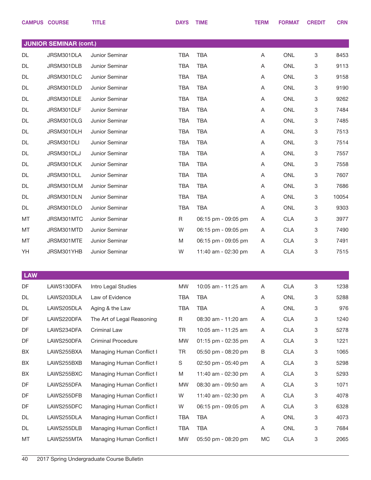|            | <b>CAMPUS COURSE</b>          | <b>TITLE</b>               | <b>DAYS</b> | <b>TIME</b>         | <b>TERM</b> | <b>FORMAT</b> | <b>CREDIT</b> | <b>CRN</b> |
|------------|-------------------------------|----------------------------|-------------|---------------------|-------------|---------------|---------------|------------|
|            |                               |                            |             |                     |             |               |               |            |
|            | <b>JUNIOR SEMINAR (cont.)</b> |                            |             |                     |             |               |               |            |
| <b>DL</b>  | JRSM301DLA                    | Junior Seminar             | <b>TBA</b>  | <b>TBA</b>          | Α           | <b>ONL</b>    | 3             | 8453       |
| <b>DL</b>  | JRSM301DLB                    | Junior Seminar             | <b>TBA</b>  | <b>TBA</b>          | Α           | <b>ONL</b>    | 3             | 9113       |
| DL         | JRSM301DLC                    | Junior Seminar             | <b>TBA</b>  | <b>TBA</b>          | Α           | <b>ONL</b>    | 3             | 9158       |
| DL         | JRSM301DLD                    | Junior Seminar             | <b>TBA</b>  | <b>TBA</b>          | Α           | <b>ONL</b>    | 3             | 9190       |
| DL         | JRSM301DLE                    | Junior Seminar             | <b>TBA</b>  | <b>TBA</b>          | Α           | <b>ONL</b>    | 3             | 9262       |
| DL         | JRSM301DLF                    | Junior Seminar             | <b>TBA</b>  | <b>TBA</b>          | Α           | <b>ONL</b>    | 3             | 7484       |
| DL         | JRSM301DLG                    | Junior Seminar             | <b>TBA</b>  | <b>TBA</b>          | Α           | <b>ONL</b>    | 3             | 7485       |
| DL         | JRSM301DLH                    | Junior Seminar             | <b>TBA</b>  | <b>TBA</b>          | Α           | <b>ONL</b>    | 3             | 7513       |
| DL         | JRSM301DLI                    | Junior Seminar             | <b>TBA</b>  | <b>TBA</b>          | Α           | ONL           | 3             | 7514       |
| DL         | JRSM301DLJ                    | Junior Seminar             | <b>TBA</b>  | <b>TBA</b>          | Α           | <b>ONL</b>    | 3             | 7557       |
| DL         | JRSM301DLK                    | Junior Seminar             | <b>TBA</b>  | <b>TBA</b>          | Α           | ONL           | 3             | 7558       |
| DL         | JRSM301DLL                    | Junior Seminar             | <b>TBA</b>  | <b>TBA</b>          | Α           | <b>ONL</b>    | 3             | 7607       |
| DL         | JRSM301DLM                    | Junior Seminar             | <b>TBA</b>  | <b>TBA</b>          | Α           | ONL           | 3             | 7686       |
| DL         | JRSM301DLN                    | Junior Seminar             | <b>TBA</b>  | <b>TBA</b>          | Α           | ONL           | 3             | 10054      |
| DL         | JRSM301DLO                    | Junior Seminar             | <b>TBA</b>  | <b>TBA</b>          | Α           | ONL           | 3             | 9303       |
| MT         | JRSM301MTC                    | Junior Seminar             | R           | 06:15 pm - 09:05 pm | Α           | <b>CLA</b>    | 3             | 3977       |
| MT         | JRSM301MTD                    | Junior Seminar             | W           | 06:15 pm - 09:05 pm | A           | <b>CLA</b>    | 3             | 7490       |
| MT         | JRSM301MTE                    | Junior Seminar             | M           | 06:15 pm - 09:05 pm | A           | <b>CLA</b>    | 3             | 7491       |
| YH         | JRSM301YHB                    | Junior Seminar             | W           | 11:40 am - 02:30 pm | A           | <b>CLA</b>    | 3             | 7515       |
|            |                               |                            |             |                     |             |               |               |            |
| <b>LAW</b> |                               |                            |             |                     |             |               |               |            |
| DF         | LAWS130DFA                    | Intro Legal Studies        | MW          | 10:05 am - 11:25 am | A           | CLA           | З             | 1238       |
| DL         | LAWS203DLA                    | Law of Evidence            | <b>TBA</b>  | <b>TBA</b>          | A           | ONL           | 3             | 5288       |
| DL         | LAWS205DLA                    | Aging & the Law            | <b>TBA</b>  | <b>TBA</b>          | Α           | ONL           | 3             | 976        |
| DF         | LAWS220DFA                    | The Art of Legal Reasoning | R           | 08:30 am - 11:20 am | Α           | <b>CLA</b>    | 3             | 1240       |
| DF         | LAWS234DFA                    | Criminal Law               | TR          | 10:05 am - 11:25 am | A           | <b>CLA</b>    | 3             | 5278       |
| DF         | LAWS250DFA                    | <b>Criminal Procedure</b>  | MW          | 01:15 pm - 02:35 pm | A           | <b>CLA</b>    | 3             | 1221       |
| BX         | LAWS255BXA                    | Managing Human Conflict I  | TR          | 05:50 pm - 08:20 pm | В           | <b>CLA</b>    | 3             | 1065       |
| BX         | LAWS255BXB                    | Managing Human Conflict I  | S           | 02:50 pm - 05:40 pm | A           | <b>CLA</b>    | 3             | 5298       |
| BX         | LAWS255BXC                    | Managing Human Conflict I  | M           | 11:40 am - 02:30 pm | A           | <b>CLA</b>    | 3             | 5293       |
| DF         | LAWS255DFA                    | Managing Human Conflict I  | <b>MW</b>   | 08:30 am - 09:50 am | A           | <b>CLA</b>    | 3             | 1071       |
| DF         | LAWS255DFB                    | Managing Human Conflict I  | W           | 11:40 am - 02:30 pm | A           | <b>CLA</b>    | 3             | 4078       |
| DF         | LAWS255DFC                    | Managing Human Conflict I  | W           | 06:15 pm - 09:05 pm | Α           | <b>CLA</b>    | 3             | 6328       |
| DL         | LAWS255DLA                    | Managing Human Conflict I  | <b>TBA</b>  | <b>TBA</b>          | A           | ONL           | 3             | 4073       |
| DL         | LAWS255DLB                    | Managing Human Conflict I  | <b>TBA</b>  | <b>TBA</b>          | Α           | ONL           | 3             | 7684       |
| МT         | LAWS255MTA                    | Managing Human Conflict I  | <b>MW</b>   | 05:50 pm - 08:20 pm | MC          | CLA           | 3             | 2065       |
|            |                               |                            |             |                     |             |               |               |            |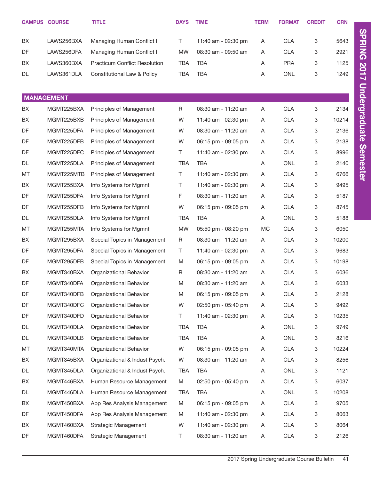|           | <b>CAMPUS COURSE</b> | <b>TITLE</b>                         | <b>DAYS</b> | <b>TIME</b>         | <b>TERM</b> | <b>FORMAT</b> | <b>CREDIT</b> | <b>CRN</b> |
|-----------|----------------------|--------------------------------------|-------------|---------------------|-------------|---------------|---------------|------------|
| BX        | LAWS256BXA           | Managing Human Conflict II           | T.          | 11:40 am - 02:30 pm | Α           | <b>CLA</b>    | 3             | 5643       |
| DF        | LAWS256DFA           | Managing Human Conflict II           | <b>MW</b>   | 08:30 am - 09:50 am | Α           | <b>CLA</b>    | 3             | 2921       |
| BX        | LAWS360BXA           | <b>Practicum Conflict Resolution</b> | <b>TBA</b>  | <b>TBA</b>          | Α           | <b>PRA</b>    | 3             | 1125       |
| DL        | LAWS361DLA           | Constitutional Law & Policy          | <b>TBA</b>  | <b>TBA</b>          | Α           | <b>ONL</b>    | 3             | 1249       |
|           |                      |                                      |             |                     |             |               |               |            |
|           | <b>MANAGEMENT</b>    |                                      |             |                     |             |               |               |            |
| BX        | MGMT225BXA           | Principles of Management             | $\mathsf R$ | 08:30 am - 11:20 am | Α           | <b>CLA</b>    | 3             | 2134       |
| BX        | MGMT225BXB           | Principles of Management             | W           | 11:40 am - 02:30 pm | Α           | <b>CLA</b>    | 3             | 10214      |
| DF        | MGMT225DFA           | Principles of Management             | W           | 08:30 am - 11:20 am | Α           | <b>CLA</b>    | 3             | 2136       |
| DF        | MGMT225DFB           | Principles of Management             | W           | 06:15 pm - 09:05 pm | Α           | <b>CLA</b>    | 3             | 2138       |
| DF        | MGMT225DFC           | Principles of Management             | T.          | 11:40 am - 02:30 pm | Α           | <b>CLA</b>    | 3             | 8996       |
| <b>DL</b> | MGMT225DLA           | Principles of Management             | <b>TBA</b>  | <b>TBA</b>          | Α           | <b>ONL</b>    | 3             | 2140       |
| MT        | MGMT225MTB           | Principles of Management             | T.          | 11:40 am - 02:30 pm | Α           | <b>CLA</b>    | 3             | 6766       |
| BX        | MGMT255BXA           | Info Systems for Mgmnt               | Τ           | 11:40 am - 02:30 pm | Α           | <b>CLA</b>    | 3             | 9495       |
| DF        | MGMT255DFA           | Info Systems for Mgmnt               | F           | 08:30 am - 11:20 am | Α           | <b>CLA</b>    | 3             | 5187       |
| DF        | MGMT255DFB           | Info Systems for Mgmnt               | W           | 06:15 pm - 09:05 pm | Α           | <b>CLA</b>    | 3             | 8745       |
| <b>DL</b> | MGMT255DLA           | Info Systems for Mgmnt               | <b>TBA</b>  | <b>TBA</b>          | Α           | <b>ONL</b>    | 3             | 5188       |
| MT        | MGMT255MTA           | Info Systems for Mgmnt               | <b>MW</b>   | 05:50 pm - 08:20 pm | MC          | <b>CLA</b>    | 3             | 6050       |
| BX        | MGMT295BXA           | Special Topics in Management         | R           | 08:30 am - 11:20 am | A           | <b>CLA</b>    | 3             | 10200      |
| DF        | MGMT295DFA           | Special Topics in Management         | Τ           | 11:40 am - 02:30 pm | Α           | <b>CLA</b>    | 3             | 9683       |
| DF        | MGMT295DFB           | Special Topics in Management         | M           | 06:15 pm - 09:05 pm | Α           | <b>CLA</b>    | 3             | 10198      |
| BX        | MGMT340BXA           | Organizational Behavior              | $\mathsf R$ | 08:30 am - 11:20 am | Α           | <b>CLA</b>    | 3             | 6036       |
| DF        | MGMT340DFA           | Organizational Behavior              | M           | 08:30 am - 11:20 am | Α           | <b>CLA</b>    | 3             | 6033       |
| DF        | MGMT340DFB           | Organizational Behavior              | M           | 06:15 pm - 09:05 pm | Α           | <b>CLA</b>    | 3             | 2128       |
| DF        | MGMT340DFC           | Organizational Behavior              | W           | 02:50 pm - 05:40 pm | Α           | <b>CLA</b>    | 3             | 9492       |
| DF        | MGMT340DFD           | Organizational Behavior              | Τ           | 11:40 am - 02:30 pm | Α           | <b>CLA</b>    | 3             | 10235      |
| DL        | MGMT340DLA           | Organizational Behavior              | <b>TBA</b>  | TBA                 | Α           | ONL           | 3             | 9749       |
| DL        | MGMT340DLB           | Organizational Behavior              | <b>TBA</b>  | <b>TBA</b>          | Α           | ONL           | 3             | 8216       |
| MT        | MGMT340MTA           | Organizational Behavior              | W           | 06:15 pm - 09:05 pm | Α           | <b>CLA</b>    | 3             | 10224      |
| BX        | MGMT345BXA           | Organizational & Indust Psych.       | W           | 08:30 am - 11:20 am | Α           | <b>CLA</b>    | 3             | 8256       |
| DL        | MGMT345DLA           | Organizational & Indust Psych.       | TBA         | TBA                 | A           | ONL           | 3             | 1121       |
| BX        | MGMT446BXA           | Human Resource Management            | M           | 02:50 pm - 05:40 pm | Α           | <b>CLA</b>    | 3             | 6037       |
| DL        | MGMT446DLA           | Human Resource Management            | TBA         | <b>TBA</b>          | Α           | ONL           | 3             | 10208      |
| BX        | MGMT450BXA           | App Res Analysis Management          | M           | 06:15 pm - 09:05 pm | Α           | <b>CLA</b>    | 3             | 9705       |
| DF        | MGMT450DFA           | App Res Analysis Management          | M           | 11:40 am - 02:30 pm | A           | <b>CLA</b>    | 3             | 8063       |
| BX        | MGMT460BXA           | <b>Strategic Management</b>          | W           | 11:40 am - 02:30 pm | Α           | <b>CLA</b>    | 3             | 8064       |
| DF        | MGMT460DFA           | Strategic Management                 | T           | 08:30 am - 11:20 am | A           | CLA           | 3             | 2126       |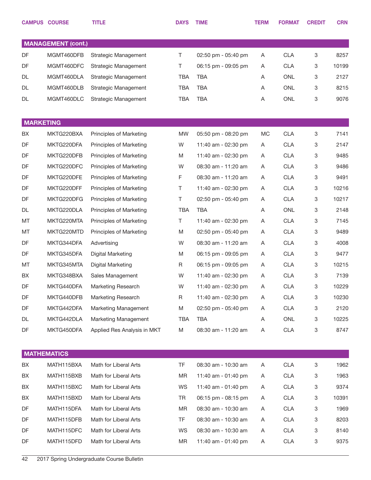|                  | <b>CAMPUS COURSE</b>      | <b>TITLE</b>                | <b>DAYS</b> | <b>TIME</b>         | <b>TERM</b> | <b>FORMAT</b> | <b>CREDIT</b> | <b>CRN</b> |
|------------------|---------------------------|-----------------------------|-------------|---------------------|-------------|---------------|---------------|------------|
|                  |                           |                             |             |                     |             |               |               |            |
|                  | <b>MANAGEMENT (cont.)</b> |                             |             |                     |             |               |               |            |
| DF               | MGMT460DFB                | Strategic Management        | Τ           | 02:50 pm - 05:40 pm | Α           | <b>CLA</b>    | 3             | 8257       |
| DF               | MGMT460DFC                | Strategic Management        | Τ           | 06:15 pm - 09:05 pm | Α           | <b>CLA</b>    | 3             | 10199      |
| DL               | MGMT460DLA                | Strategic Management        | TBA         | <b>TBA</b>          | A           | ONL           | 3             | 2127       |
| DL               | MGMT460DLB                | Strategic Management        | <b>TBA</b>  | TBA                 | Α           | <b>ONL</b>    | 3             | 8215       |
| DL               | MGMT460DLC                | Strategic Management        | <b>TBA</b>  | <b>TBA</b>          | Α           | ONL           | 3             | 9076       |
| <b>MARKETING</b> |                           |                             |             |                     |             |               |               |            |
| BX               | MKTG220BXA                | Principles of Marketing     | <b>MW</b>   | 05:50 pm - 08:20 pm | MC          | <b>CLA</b>    | 3             | 7141       |
| DF               | MKTG220DFA                | Principles of Marketing     | W           | 11:40 am - 02:30 pm | A           | <b>CLA</b>    | 3             | 2147       |
| DF               | MKTG220DFB                | Principles of Marketing     | M           | 11:40 am - 02:30 pm | Α           | <b>CLA</b>    | 3             | 9485       |
| DF               | MKTG220DFC                | Principles of Marketing     | W           | 08:30 am - 11:20 am | Α           | <b>CLA</b>    | 3             | 9486       |
| DF               | MKTG220DFE                | Principles of Marketing     | F           | 08:30 am - 11:20 am | Α           | <b>CLA</b>    | 3             | 9491       |
| DF               | MKTG220DFF                | Principles of Marketing     | Τ           | 11:40 am - 02:30 pm | A           | <b>CLA</b>    | 3             | 10216      |
| DF               | MKTG220DFG                | Principles of Marketing     | Τ           | 02:50 pm - 05:40 pm | Α           | <b>CLA</b>    | 3             | 10217      |
| DL               | MKTG220DLA                | Principles of Marketing     | <b>TBA</b>  | <b>TBA</b>          | Α           | ONL           | 3             | 2148       |
| MT               | MKTG220MTA                | Principles of Marketing     | Τ           | 11:40 am - 02:30 pm | Α           | <b>CLA</b>    | 3             | 7145       |
| MT               | MKTG220MTD                | Principles of Marketing     | M           | 02:50 pm - 05:40 pm | Α           | <b>CLA</b>    | 3             | 9489       |
| DF               | MKTG344DFA                | Advertising                 | W           | 08:30 am - 11:20 am | A           | <b>CLA</b>    | 3             | 4008       |
| DF               | MKTG345DFA                | Digital Marketing           | M           | 06:15 pm - 09:05 pm | A           | <b>CLA</b>    | 3             | 9477       |
| MT               | MKTG345MTA                | Digital Marketing           | R           | 06:15 pm - 09:05 pm | Α           | <b>CLA</b>    | 3             | 10215      |
| BX               | MKTG348BXA                | Sales Management            | W           | 11:40 am - 02:30 pm | A           | <b>CLA</b>    | 3             | 7139       |
| DF               | MKTG440DFA                | Marketing Research          | W           | 11:40 am - 02:30 pm | A           | <b>CLA</b>    | 3             | 10229      |
| DF               | MKTG440DFB                | <b>Marketing Research</b>   | R           | 11:40 am - 02:30 pm | A           | <b>CLA</b>    | 3             | 10230      |
| DF               | MKTG442DFA                | Marketing Management        | M           | 02:50 pm - 05:40 pm | A           | <b>CLA</b>    | 3             | 2120       |
| DL               | MKTG442DLA                | Marketing Management        | TBA         | <b>TBA</b>          | Α           | ONL           | 3             | 10225      |
| DF               | MKTG450DFA                | Applied Res Analysis in MKT | M           | 08:30 am - 11:20 am | Α           | <b>CLA</b>    | 3             | 8747       |
|                  |                           |                             |             |                     |             |               |               |            |
|                  | <b>MATHEMATICS</b>        |                             |             |                     |             |               |               |            |
| BX               | MATH115BXA                | Math for Liberal Arts       | <b>TF</b>   | 08:30 am - 10:30 am | Α           | <b>CLA</b>    | 3             | 1962       |
| BX               | MATH115BXB                | Math for Liberal Arts       | MR          | 11:40 am - 01:40 pm | A           | <b>CLA</b>    | 3             | 1963       |
| BX               | MATH115BXC                | Math for Liberal Arts       | WS          | 11:40 am - 01:40 pm | Α           | <b>CLA</b>    | 3             | 9374       |
| BX               | MATH115BXD                | Math for Liberal Arts       | TR          | 06:15 pm - 08:15 pm | Α           | <b>CLA</b>    | 3             | 10391      |
| DF               | MATH115DFA                | Math for Liberal Arts       | MR          | 08:30 am - 10:30 am | Α           | <b>CLA</b>    | 3             | 1969       |
| DF               | MATH115DFB                | Math for Liberal Arts       | TF.         | 08:30 am - 10:30 am | Α           | <b>CLA</b>    | 3             | 8203       |
| DF               | MATH115DFC                | Math for Liberal Arts       | WS          | 08:30 am - 10:30 am | A           | <b>CLA</b>    | 3             | 8140       |
| DF               | MATH115DFD                | Math for Liberal Arts       | MR          | 11:40 am - 01:40 pm | A           | <b>CLA</b>    | 3             | 9375       |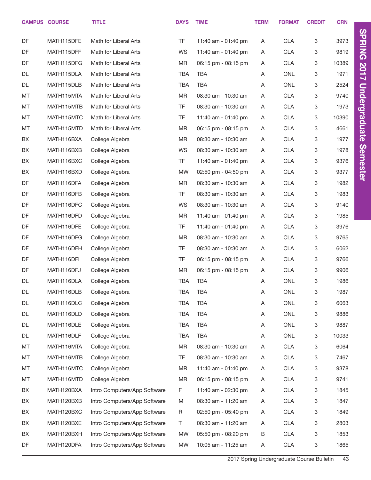|    | <b>CAMPUS COURSE</b> | <b>TITLE</b>                 | <b>DAYS</b> | <b>TIME</b>         | <b>TERM</b> | <b>FORMAT</b> | <b>CREDIT</b> | <b>CRN</b> |                      |
|----|----------------------|------------------------------|-------------|---------------------|-------------|---------------|---------------|------------|----------------------|
|    |                      |                              |             |                     |             |               |               |            | <b>SPRING 2017</b>   |
| DF | MATH115DFE           | Math for Liberal Arts        | TF          | 11:40 am - 01:40 pm | Α           | CLA           | 3             | 3973       |                      |
| DF | MATH115DFF           | Math for Liberal Arts        | WS          | 11:40 am - 01:40 pm | Α           | <b>CLA</b>    | 3             | 9819       |                      |
| DF | MATH115DFG           | Math for Liberal Arts        | <b>MR</b>   | 06:15 pm - 08:15 pm | Α           | <b>CLA</b>    | 3             | 10389      |                      |
| DL | MATH115DLA           | Math for Liberal Arts        | TBA         | <b>TBA</b>          | Α           | <b>ONL</b>    | 3             | 1971       |                      |
| DL | MATH115DLB           | Math for Liberal Arts        | <b>TBA</b>  | <b>TBA</b>          | Α           | ONL           | 3             | 2524       | <b>Undergraduate</b> |
| MT | MATH115MTA           | Math for Liberal Arts        | <b>MR</b>   | 08:30 am - 10:30 am | Α           | CLA           | 3             | 9740       |                      |
| MT | MATH115MTB           | Math for Liberal Arts        | TF          | 08:30 am - 10:30 am | A           | <b>CLA</b>    | 3             | 1973       |                      |
| MT | MATH115MTC           | Math for Liberal Arts        | TF          | 11:40 am - 01:40 pm | Α           | <b>CLA</b>    | 3             | 10390      |                      |
| MT | MATH115MTD           | Math for Liberal Arts        | MR          | 06:15 pm - 08:15 pm | A           | <b>CLA</b>    | 3             | 4661       |                      |
| BX | MATH116BXA           | College Algebra              | <b>MR</b>   | 08:30 am - 10:30 am | Α           | <b>CLA</b>    | 3             | 1977       |                      |
| BX | MATH116BXB           | College Algebra              | WS          | 08:30 am - 10:30 am | Α           | <b>CLA</b>    | 3             | 1978       | Semester             |
| BX | MATH116BXC           | College Algebra              | TF.         | 11:40 am - 01:40 pm | Α           | <b>CLA</b>    | 3             | 9376       |                      |
| BX | MATH116BXD           | College Algebra              | MW          | 02:50 pm - 04:50 pm | A           | <b>CLA</b>    | 3             | 9377       |                      |
| DF | MATH116DFA           | College Algebra              | <b>MR</b>   | 08:30 am - 10:30 am | Α           | <b>CLA</b>    | 3             | 1982       |                      |
| DF | MATH116DFB           | College Algebra              | TF          | 08:30 am - 10:30 am | A           | <b>CLA</b>    | 3             | 1983       |                      |
| DF | MATH116DFC           | College Algebra              | WS          | 08:30 am - 10:30 am | Α           | <b>CLA</b>    | 3             | 9140       |                      |
| DF | MATH116DFD           | College Algebra              | <b>MR</b>   | 11:40 am - 01:40 pm | Α           | <b>CLA</b>    | 3             | 1985       |                      |
| DF | MATH116DFE           | College Algebra              | TF.         | 11:40 am - 01:40 pm | Α           | <b>CLA</b>    | 3             | 3976       |                      |
| DF | MATH116DFG           | College Algebra              | <b>MR</b>   | 08:30 am - 10:30 am | Α           | <b>CLA</b>    | 3             | 9765       |                      |
| DF | MATH116DFH           | College Algebra              | TF          | 08:30 am - 10:30 am | Α           | <b>CLA</b>    | 3             | 6062       |                      |
| DF | MATH116DFI           | College Algebra              | TF          | 06:15 pm - 08:15 pm | A           | <b>CLA</b>    | 3             | 9766       |                      |
| DF | MATH116DFJ           | College Algebra              | MR          | 06:15 pm - 08:15 pm | Α           | <b>CLA</b>    | 3             | 9906       |                      |
| DL | MATH116DLA           | College Algebra              | <b>TBA</b>  | <b>TBA</b>          | Α           | ONL           | 3             | 1986       |                      |
| DL | MATH116DLB           | College Algebra              | <b>TBA</b>  | <b>TBA</b>          | Α           | <b>ONL</b>    | 3             | 1987       |                      |
| DL | MATH116DLC           | College Algebra              | TBA         | <b>TBA</b>          | A           | ONL           | 3             | 6063       |                      |
| DL | MATH116DLD           | College Algebra              | TBA         | TBA                 | Α           | ONL           | 3             | 9886       |                      |
| DL | MATH116DLE           | College Algebra              | TBA         | <b>TBA</b>          | Α           | ONL           | 3             | 9887       |                      |
| DL | MATH116DLF           | College Algebra              | TBA         | <b>TBA</b>          | Α           | ONL           | 3             | 10033      |                      |
| MT | MATH116MTA           | College Algebra              | MR          | 08:30 am - 10:30 am | Α           | CLA           | 3             | 6064       |                      |
| MT | MATH116MTB           | College Algebra              | TF          | 08:30 am - 10:30 am | Α           | <b>CLA</b>    | 3             | 7467       |                      |
| MT | MATH116MTC           | College Algebra              | MR          | 11:40 am - 01:40 pm | Α           | <b>CLA</b>    | 3             | 9378       |                      |
| MT | MATH116MTD           | College Algebra              | ΜR          | 06:15 pm - 08:15 pm | A           | <b>CLA</b>    | 3             | 9741       |                      |
| BX | MATH120BXA           | Intro Computers/App Software | F           | 11:40 am - 02:30 pm | Α           | <b>CLA</b>    | 3             | 1845       |                      |
| BX | MATH120BXB           | Intro Computers/App Software | M           | 08:30 am - 11:20 am | Α           | <b>CLA</b>    | 3             | 1847       |                      |
| BX | MATH120BXC           | Intro Computers/App Software | R           | 02:50 pm - 05:40 pm | Α           | <b>CLA</b>    | 3             | 1849       |                      |
| BX | MATH120BXE           | Intro Computers/App Software | T           | 08:30 am - 11:20 am | A           | <b>CLA</b>    | 3             | 2803       |                      |
| BX | MATH120BXH           | Intro Computers/App Software | MW          | 05:50 pm - 08:20 pm | $\sf B$     | <b>CLA</b>    | 3             | 1853       |                      |
| DF | MATH120DFA           | Intro Computers/App Software | <b>MW</b>   | 10:05 am - 11:25 am | Α           | <b>CLA</b>    | 3             | 1865       |                      |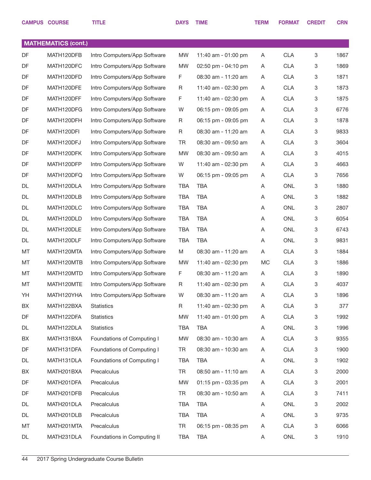|           | <b>CAMPUS COURSE</b>       | <b>TITLE</b>                 | <b>DAYS</b> | <b>TIME</b>         | <b>TERM</b> | <b>FORMAT</b> | <b>CREDIT</b>             | <b>CRN</b> |
|-----------|----------------------------|------------------------------|-------------|---------------------|-------------|---------------|---------------------------|------------|
|           |                            |                              |             |                     |             |               |                           |            |
|           | <b>MATHEMATICS (cont.)</b> |                              |             |                     |             |               |                           |            |
| DF        | MATH120DFB                 | Intro Computers/App Software | <b>MW</b>   | 11:40 am - 01:00 pm | Α           | <b>CLA</b>    | 3                         | 1867       |
| <b>DF</b> | MATH120DFC                 | Intro Computers/App Software | <b>MW</b>   | 02:50 pm - 04:10 pm | A           | <b>CLA</b>    | 3                         | 1869       |
| DF        | MATH120DFD                 | Intro Computers/App Software | F           | 08:30 am - 11:20 am | Α           | <b>CLA</b>    | 3                         | 1871       |
| DF        | MATH120DFE                 | Intro Computers/App Software | R           | 11:40 am - 02:30 pm | Α           | <b>CLA</b>    | $\ensuremath{\mathsf{3}}$ | 1873       |
| DF        | MATH120DFF                 | Intro Computers/App Software | F           | 11:40 am - 02:30 pm | Α           | <b>CLA</b>    | 3                         | 1875       |
| DF        | MATH120DFG                 | Intro Computers/App Software | W           | 06:15 pm - 09:05 pm | Α           | <b>CLA</b>    | $\ensuremath{\mathsf{3}}$ | 6776       |
| DF        | MATH120DFH                 | Intro Computers/App Software | R           | 06:15 pm - 09:05 pm | Α           | <b>CLA</b>    | $\ensuremath{\mathsf{3}}$ | 1878       |
| DF        | MATH120DFI                 | Intro Computers/App Software | R           | 08:30 am - 11:20 am | Α           | <b>CLA</b>    | $\ensuremath{\mathsf{3}}$ | 9833       |
| DF        | MATH120DFJ                 | Intro Computers/App Software | TR          | 08:30 am - 09:50 am | Α           | <b>CLA</b>    | $\ensuremath{\mathsf{3}}$ | 3604       |
| DF        | MATH120DFK                 | Intro Computers/App Software | <b>MW</b>   | 08:30 am - 09:50 am | Α           | <b>CLA</b>    | $\ensuremath{\mathsf{3}}$ | 4015       |
| DF        | MATH120DFP                 | Intro Computers/App Software | W           | 11:40 am - 02:30 pm | Α           | <b>CLA</b>    | $\ensuremath{\mathsf{3}}$ | 4663       |
| DF        | MATH120DFQ                 | Intro Computers/App Software | W           | 06:15 pm - 09:05 pm | Α           | <b>CLA</b>    | $\ensuremath{\mathsf{3}}$ | 7656       |
| DL        | MATH120DLA                 | Intro Computers/App Software | <b>TBA</b>  | <b>TBA</b>          | Α           | <b>ONL</b>    | 3                         | 1880       |
| DL        | MATH120DLB                 | Intro Computers/App Software | <b>TBA</b>  | <b>TBA</b>          | Α           | <b>ONL</b>    | $\ensuremath{\mathsf{3}}$ | 1882       |
| DL        | MATH120DLC                 | Intro Computers/App Software | <b>TBA</b>  | <b>TBA</b>          | Α           | <b>ONL</b>    | 3                         | 2807       |
| DL        | MATH120DLD                 | Intro Computers/App Software | <b>TBA</b>  | <b>TBA</b>          | Α           | <b>ONL</b>    | $\ensuremath{\mathsf{3}}$ | 6054       |
| DL        | MATH120DLE                 | Intro Computers/App Software | <b>TBA</b>  | <b>TBA</b>          | Α           | <b>ONL</b>    | $\ensuremath{\mathsf{3}}$ | 6743       |
| DL        | MATH120DLF                 | Intro Computers/App Software | <b>TBA</b>  | <b>TBA</b>          | Α           | <b>ONL</b>    | 3                         | 9831       |
| MT        | MATH120MTA                 | Intro Computers/App Software | M           | 08:30 am - 11:20 am | A           | <b>CLA</b>    | $\ensuremath{\mathsf{3}}$ | 1884       |
| MT        | MATH120MTB                 | Intro Computers/App Software | <b>MW</b>   | 11:40 am - 02:30 pm | MC          | <b>CLA</b>    | 3                         | 1886       |
| MT        | MATH120MTD                 | Intro Computers/App Software | F           | 08:30 am - 11:20 am | A           | <b>CLA</b>    | 3                         | 1890       |
| MT        | MATH120MTE                 | Intro Computers/App Software | R           | 11:40 am - 02:30 pm | Α           | <b>CLA</b>    | 3                         | 4037       |
| YH        | MATH120YHA                 | Intro Computers/App Software | W           | 08:30 am - 11:20 am | A           | <b>CLA</b>    | 3                         | 1896       |
| BX        | MATH122BXA                 | <b>Statistics</b>            | R           | 11:40 am - 02:30 pm | Α           | <b>CLA</b>    | 3                         | 377        |
| DF        | MATH122DFA                 | <b>Statistics</b>            | <b>MW</b>   | 11:40 am - 01:00 pm | Α           | <b>CLA</b>    | 3                         | 1992       |
| DL        | MATH122DLA                 | Statistics                   | TBA         | <b>TBA</b>          | Α           | ONL           | 3                         | 1996       |
| BX        | MATH131BXA                 | Foundations of Computing I   | <b>MW</b>   | 08:30 am - 10:30 am | Α           | <b>CLA</b>    | 3                         | 9355       |
| DF        | MATH131DFA                 | Foundations of Computing I   | TR          | 08:30 am - 10:30 am | Α           | <b>CLA</b>    | 3                         | 1900       |
| DL        | MATH131DLA                 | Foundations of Computing I   | TBA         | <b>TBA</b>          | Α           | ONL           | $\ensuremath{\mathsf{3}}$ | 1902       |
| BX        | MATH201BXA                 | Precalculus                  | <b>TR</b>   | 08:50 am - 11:10 am | Α           | <b>CLA</b>    | 3                         | 2000       |
| DF        | MATH201DFA                 | Precalculus                  | <b>MW</b>   | 01:15 pm - 03:35 pm | Α           | <b>CLA</b>    | 3                         | 2001       |
| DF        | MATH201DFB                 | Precalculus                  | <b>TR</b>   | 08:30 am - 10:50 am | Α           | <b>CLA</b>    | 3                         | 7411       |
| DL        | MATH201DLA                 | Precalculus                  | TBA         | <b>TBA</b>          | Α           | ONL           | 3                         | 2002       |
| DL        | MATH201DLB                 | Precalculus                  | <b>TBA</b>  | <b>TBA</b>          | Α           | ONL           | 3                         | 9735       |
| MT        | MATH201MTA                 | Precalculus                  | <b>TR</b>   | 06:15 pm - 08:35 pm | Α           | <b>CLA</b>    | 3                         | 6066       |
| DL        | MATH231DLA                 | Foundations in Computing II  | <b>TBA</b>  | <b>TBA</b>          | A           | ONL           | 3                         | 1910       |
|           |                            |                              |             |                     |             |               |                           |            |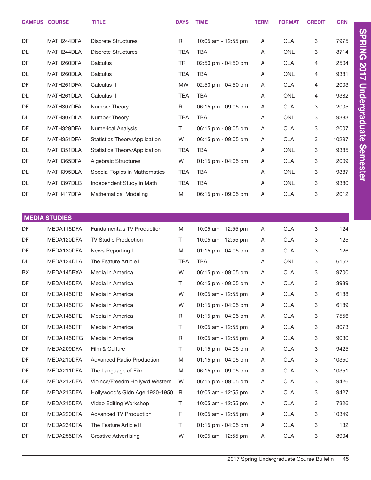|           | <b>CAMPUS COURSE</b> | <b>TITLE</b>                      | <b>DAYS</b> | <b>TIME</b>         | <b>TERM</b> | <b>FORMAT</b> | <b>CREDIT</b> | <b>CRN</b> |                      |
|-----------|----------------------|-----------------------------------|-------------|---------------------|-------------|---------------|---------------|------------|----------------------|
| DF        | MATH244DFA           | <b>Discrete Structures</b>        | R           | 10:05 am - 12:55 pm | Α           | <b>CLA</b>    | 3             | 7975       | <b>SPRING 2017</b>   |
| DL        | MATH244DLA           | <b>Discrete Structures</b>        | <b>TBA</b>  | <b>TBA</b>          | Α           | <b>ONL</b>    | 3             | 8714       |                      |
| DF        | MATH260DFA           | Calculus I                        | TR          | 02:50 pm - 04:50 pm | Α           | <b>CLA</b>    | 4             | 2504       |                      |
| DL        | MATH260DLA           | Calculus I                        | <b>TBA</b>  | <b>TBA</b>          | Α           | <b>ONL</b>    | 4             | 9381       |                      |
| DF        | MATH261DFA           | Calculus II                       | <b>MW</b>   | 02:50 pm - 04:50 pm | Α           | <b>CLA</b>    | 4             | 2003       |                      |
| DL        | MATH261DLA           | Calculus II                       | <b>TBA</b>  | <b>TBA</b>          | Α           | <b>ONL</b>    | 4             | 9382       |                      |
| DF        | MATH307DFA           | Number Theory                     | R           | 06:15 pm - 09:05 pm | Α           | <b>CLA</b>    | 3             | 2005       | <b>Undergraduate</b> |
| DL        | MATH307DLA           | Number Theory                     | <b>TBA</b>  | <b>TBA</b>          | Α           | <b>ONL</b>    | 3             | 9383       |                      |
| DF        | MATH329DFA           | <b>Numerical Analysis</b>         | T.          | 06:15 pm - 09:05 pm | Α           | <b>CLA</b>    | 3             | 2007       |                      |
| DF        | MATH351DFA           | Statistics: Theory/Application    | W           | 06:15 pm - 09:05 pm | Α           | <b>CLA</b>    | 3             | 10297      |                      |
| DL        | MATH351DLA           | Statistics: Theory/Application    | <b>TBA</b>  | <b>TBA</b>          | Α           | <b>ONL</b>    | 3             | 9385       | <b>Semester</b>      |
| DF        | MATH365DFA           | Algebraic Structures              | W           | 01:15 pm - 04:05 pm | Α           | <b>CLA</b>    | 3             | 2009       |                      |
| DL        | MATH395DLA           | Special Topics in Mathematics     | <b>TBA</b>  | <b>TBA</b>          | Α           | <b>ONL</b>    | 3             | 9387       |                      |
| DL        | MATH397DLB           | Independent Study in Math         | <b>TBA</b>  | <b>TBA</b>          | Α           | <b>ONL</b>    | 3             | 9380       |                      |
| DF        | MATH417DFA           | <b>Mathematical Modeling</b>      | M           | 06:15 pm - 09:05 pm | Α           | <b>CLA</b>    | 3             | 2012       |                      |
|           |                      |                                   |             |                     |             |               |               |            |                      |
|           | <b>MEDIA STUDIES</b> |                                   |             |                     |             |               |               |            |                      |
| DF        | MEDA115DFA           | <b>Fundamentals TV Production</b> | M           | 10:05 am - 12:55 pm | A           | <b>CLA</b>    | 3             | 124        |                      |
| DF        | MEDA120DFA           | TV Studio Production              | T           | 10:05 am - 12:55 pm | A           | <b>CLA</b>    | 3             | 125        |                      |
| DF        | MEDA130DFA           | News Reporting I                  | M           | 01:15 pm - 04:05 pm | A           | <b>CLA</b>    | 3             | 126        |                      |
| <b>DL</b> | MEDA134DLA           | The Feature Article I             | <b>TBA</b>  | <b>TBA</b>          | A           | <b>ONL</b>    | 3             | 6162       |                      |
| BX        | MEDA145BXA           | Media in America                  | W           | 06:15 pm - 09:05 pm | A           | <b>CLA</b>    | 3             | 9700       |                      |
| DF        | MEDA145DFA           | Media in America                  | T           | 06:15 pm - 09:05 pm | Α           | <b>CLA</b>    | 3             | 3939       |                      |
| DF        | MEDA145DFB           | Media in America                  | W           | 10:05 am - 12:55 pm | A           | <b>CLA</b>    | 3             | 6188       |                      |
| DF        | MEDA145DFC           | Media in America                  | W           | 01:15 pm - 04:05 pm | A           | <b>CLA</b>    | 3             | 6189       |                      |
| DF        | MEDA145DFE           | Media in America                  | R           | 01:15 pm - 04:05 pm | A           | <b>CLA</b>    | 3             | 7556       |                      |
| DF        | MEDA145DFF           | Media in America                  | T           | 10:05 am - 12:55 pm | A           | <b>CLA</b>    | 3             | 8073       |                      |
| DF        | MEDA145DFG           | Media in America                  | R           | 10:05 am - 12:55 pm | A           | <b>CLA</b>    | 3             | 9030       |                      |
| DF        | MEDA209DFA           | Film & Culture                    | T           | 01:15 pm - 04:05 pm | A           | <b>CLA</b>    | 3             | 9425       |                      |
| DF        | MEDA210DFA           | <b>Advanced Radio Production</b>  | M           | 01:15 pm - 04:05 pm | A           | <b>CLA</b>    | 3             | 10350      |                      |
| DF        | MEDA211DFA           | The Language of Film              | M           | 06:15 pm - 09:05 pm | A           | <b>CLA</b>    | 3             | 10351      |                      |
| DF        | MEDA212DFA           | Violnce/Freedm Hollywd Western    | W           | 06:15 pm - 09:05 pm | A           | <b>CLA</b>    | 3             | 9426       |                      |
| DF        | MEDA213DFA           | Hollywood's Gldn Age:1930-1950    | R           | 10:05 am - 12:55 pm | A           | <b>CLA</b>    | 3             | 9427       |                      |
| DF        | MEDA215DFA           | Video Editing Workshop            | T           | 10:05 am - 12:55 pm | A           | <b>CLA</b>    | 3             | 7326       |                      |
| DF        | MEDA220DFA           | Advanced TV Production            | F.          | 10:05 am - 12:55 pm | A           | <b>CLA</b>    | 3             | 10349      |                      |
| DF        | MEDA234DFA           | The Feature Article II            | T.          | 01:15 pm - 04:05 pm | A           | <b>CLA</b>    | 3             | 132        |                      |
| DF        | MEDA255DFA           | <b>Creative Advertising</b>       | W           | 10:05 am - 12:55 pm | A           | <b>CLA</b>    | 3             | 8904       |                      |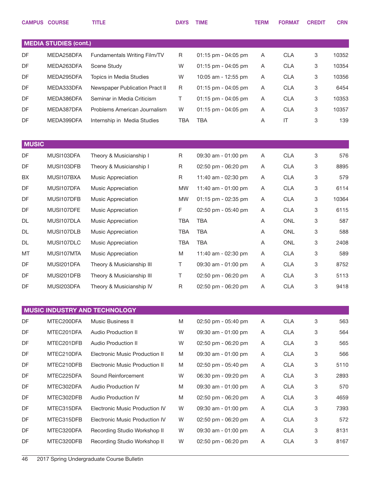|              | <b>CAMPUS COURSE</b>         | <b>TITLE</b>                          | <b>DAYS</b> | <b>TIME</b>         | <b>TERM</b> | <b>FORMAT</b> | <b>CREDIT</b> | <b>CRN</b> |
|--------------|------------------------------|---------------------------------------|-------------|---------------------|-------------|---------------|---------------|------------|
|              |                              |                                       |             |                     |             |               |               |            |
|              | <b>MEDIA STUDIES (cont.)</b> |                                       |             |                     |             |               |               |            |
| DF           | MEDA258DFA                   | Fundamentals Writing Film/TV          | R           | 01:15 pm - 04:05 pm | A           | <b>CLA</b>    | 3             | 10352      |
| DF           | MEDA263DFA                   | <b>Scene Study</b>                    | W           | 01:15 pm - 04:05 pm | A           | <b>CLA</b>    | 3             | 10354      |
| DF           | MEDA295DFA                   | Topics in Media Studies               | W           | 10:05 am - 12:55 pm | Α           | <b>CLA</b>    | 3             | 10356      |
| DF           | MEDA333DFA                   | Newspaper Publication Pract II        | R           | 01:15 pm - 04:05 pm | A           | <b>CLA</b>    | 3             | 6454       |
| DF           | MEDA386DFA                   | Seminar in Media Criticism            | Τ           | 01:15 pm - 04:05 pm | A           | <b>CLA</b>    | 3             | 10353      |
| DF           | MEDA387DFA                   | Problems American Journalism          | W           | 01:15 pm - 04:05 pm | A           | <b>CLA</b>    | 3             | 10357      |
| DF           | MEDA399DFA                   | Internship in Media Studies           | <b>TBA</b>  | <b>TBA</b>          | Α           | $\sf IT$      | 3             | 139        |
|              |                              |                                       |             |                     |             |               |               |            |
| <b>MUSIC</b> |                              |                                       |             |                     |             |               |               |            |
| DF           | MUSI103DFA                   | Theory & Musicianship I               | R           | 09:30 am - 01:00 pm | Α           | <b>CLA</b>    | 3             | 576        |
| DF           | MUSI103DFB                   | Theory & Musicianship I               | R           | 02:50 pm - 06:20 pm | A           | <b>CLA</b>    | 3             | 8895       |
| BX           | MUSI107BXA                   | Music Appreciation                    | R           | 11:40 am - 02:30 pm | Α           | <b>CLA</b>    | 3             | 579        |
| DF           | MUSI107DFA                   | <b>Music Appreciation</b>             | <b>MW</b>   | 11:40 am - 01:00 pm | A           | <b>CLA</b>    | 3             | 6114       |
| DF           | MUSI107DFB                   | Music Appreciation                    | <b>MW</b>   | 01:15 pm - 02:35 pm | Α           | <b>CLA</b>    | 3             | 10364      |
| DF           | MUSI107DFE                   | Music Appreciation                    | F           | 02:50 pm - 05:40 pm | A           | <b>CLA</b>    | 3             | 6115       |
| DL           | MUSI107DLA                   | Music Appreciation                    | <b>TBA</b>  | <b>TBA</b>          | Α           | <b>ONL</b>    | 3             | 587        |
| DL           | MUSI107DLB                   | <b>Music Appreciation</b>             | <b>TBA</b>  | <b>TBA</b>          | A           | ONL           | 3             | 588        |
| DL           | MUSI107DLC                   | Music Appreciation                    | <b>TBA</b>  | <b>TBA</b>          | Α           | <b>ONL</b>    | 3             | 2408       |
| MT           | MUSI107MTA                   | <b>Music Appreciation</b>             | M           | 11:40 am - 02:30 pm | A           | <b>CLA</b>    | 3             | 589        |
| DF           | MUSI201DFA                   | Theory & Musicianship III             | Τ           | 09:30 am - 01:00 pm | Α           | <b>CLA</b>    | 3             | 8752       |
| DF           | MUSI201DFB                   | Theory & Musicianship III             | T           | 02:50 pm - 06:20 pm | A           | <b>CLA</b>    | 3             | 5113       |
| DF           | MUSI203DFA                   | Theory & Musicianship IV              | R           | 02:50 pm - 06:20 pm | A           | <b>CLA</b>    | 3             | 9418       |
|              |                              |                                       |             |                     |             |               |               |            |
|              |                              | MUSIC INDUSTRY AND TECHNOLOGY         |             |                     |             |               |               |            |
| DF           | MTEC200DFA                   | Music Business II                     | M           | 02:50 pm - 05:40 pm | A           | <b>CLA</b>    | 3             | 563        |
| DF           | MTEC201DFA                   | Audio Production II                   | W           | 09:30 am - 01:00 pm | A           | <b>CLA</b>    | 3             | 564        |
| DF           | MTEC201DFB                   | Audio Production II                   | W           | 02:50 pm - 06:20 pm | A           | <b>CLA</b>    | 3             | 565        |
| DF           | MTEC210DFA                   | <b>Electronic Music Production II</b> | M           | 09:30 am - 01:00 pm | A           | <b>CLA</b>    | 3             | 566        |
| DF           | MTEC210DFB                   | <b>Electronic Music Production II</b> | M           | 02:50 pm - 05:40 pm | A           | <b>CLA</b>    | 3             | 5110       |
| DF           | MTEC225DFA                   | Sound Reinforcement                   | W           | 06:30 pm - 09:20 pm | A           | <b>CLA</b>    | 3             | 2893       |
| DF           | MTEC302DFA                   | Audio Production IV                   | M           | 09:30 am - 01:00 pm | A           | <b>CLA</b>    | 3             | 570        |
| DF           | MTEC302DFB                   | Audio Production IV                   | M           | 02:50 pm - 06:20 pm | A           | <b>CLA</b>    | 3             | 4659       |
| DF           | MTEC315DFA                   | <b>Electronic Music Production IV</b> | W           | 09:30 am - 01:00 pm | A           | <b>CLA</b>    | 3             | 7393       |
| DF           | MTEC315DFB                   | <b>Electronic Music Production IV</b> | W           | 02:50 pm - 06:20 pm | A           | <b>CLA</b>    | 3             | 572        |
| DF           | MTEC320DFA                   | Recording Studio Workshop II          | W           | 09:30 am - 01:00 pm | A           | <b>CLA</b>    | 3             | 8131       |
| DF           | MTEC320DFB                   | Recording Studio Workshop II          | W           | 02:50 pm - 06:20 pm | A           | <b>CLA</b>    | 3             | 8167       |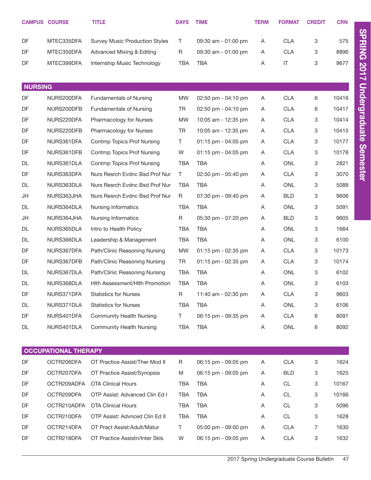|                | <b>CAMPUS COURSE</b>        | <b>TITLE</b>                          | <b>DAYS</b> | <b>TIME</b>           | <b>TERM</b> | <b>FORMAT</b>          | <b>CREDIT</b> | <b>CRN</b> |
|----------------|-----------------------------|---------------------------------------|-------------|-----------------------|-------------|------------------------|---------------|------------|
| DF             | MTEC335DFA                  | <b>Survey Music Production Styles</b> | Τ           | 09:30 am - 01:00 pm   | A           | <b>CLA</b>             | 3             | 575        |
| DF             | MTEC350DFA                  | Advanced Mixing & Editing             | R           | 09:30 am - 01:00 pm   | A           | <b>CLA</b>             | 3             | 8896       |
| DF             | MTEC399DFA                  | Internship Music Technology           | <b>TBA</b>  | <b>TBA</b>            | Α           | $\mathsf{I}\mathsf{T}$ | 3             | 9677       |
|                |                             |                                       |             |                       |             |                        |               |            |
| <b>NURSING</b> |                             |                                       |             |                       |             |                        |               |            |
| DF             | NURS200DFA                  | <b>Fundamentals of Nursing</b>        | <b>MW</b>   | 02:50 pm - 04:10 pm   | A           | <b>CLA</b>             | 6             | 10416      |
| DF             | NURS200DFB                  | <b>Fundamentals of Nursing</b>        | TR          | 02:50 pm - 04:10 pm   | A           | <b>CLA</b>             | 6             | 10417      |
| DF             | NURS220DFA                  | Pharmacology for Nurses               | <b>MW</b>   | 10:05 am - 12:35 pm   | A           | <b>CLA</b>             | 3             | 10414      |
| DF             | NURS220DFB                  | Pharmacology for Nurses               | <b>TR</b>   | 10:05 am - 12:35 pm   | Α           | <b>CLA</b>             | 3             | 10415      |
| DF             | NURS361DFA                  | Contmp Topics Prof Nursing            | T.          | 01:15 pm - 04:05 pm   | Α           | <b>CLA</b>             | 3             | 10177      |
| DF             | NURS361DFB                  | <b>Contmp Topics Prof Nursing</b>     | W           | $01:15$ pm - 04:05 pm | Α           | <b>CLA</b>             | 3             | 10178      |
| DL             | NURS361DLA                  | Contmp Topics Prof Nursing            | <b>TBA</b>  | <b>TBA</b>            | A           | <b>ONL</b>             | 3             | 2821       |
| DF             | NURS363DFA                  | Nurs Resrch Evdnc Bsd Prof Nur        | T.          | 02:50 pm - 05:40 pm   | A           | <b>CLA</b>             | 3             | 3070       |
| DL             | NURS363DLA                  | Nurs Resrch Evdnc Bsd Prof Nur        | <b>TBA</b>  | <b>TBA</b>            | Α           | <b>ONL</b>             | 3             | 5088       |
| JH             | NURS363JHA                  | Nurs Resrch Evdnc Bsd Prof Nur        | R           | 07:30 pm - 09:40 pm   | A           | <b>BLD</b>             | 3             | 9606       |
| DL             | NURS364DLA                  | <b>Nursing Informatics</b>            | <b>TBA</b>  | <b>TBA</b>            | Α           | <b>ONL</b>             | 3             | 5091       |
| JH             | NURS364JHA                  | Nursing Informatics                   | R           | 05:30 pm - 07:20 pm   | A           | <b>BLD</b>             | 3             | 9605       |
| DL             | NURS365DLA                  | Intro to Health Policy                | <b>TBA</b>  | <b>TBA</b>            | A           | <b>ONL</b>             | 3             | 1664       |
| DL             | NURS366DLA                  | Leadership & Management               | <b>TBA</b>  | <b>TBA</b>            | Α           | <b>ONL</b>             | 3             | 6100       |
| DF             | NURS367DFA                  | Path/Clinic Reasoning Nursing         | <b>MW</b>   | 01:15 pm - 02:35 pm   | Α           | <b>CLA</b>             | 3             | 10173      |
| DF             | NURS367DFB                  | Path/Clinic Reasoning Nursing         | <b>TR</b>   | 01:15 pm - 02:35 pm   | Α           | <b>CLA</b>             | 3             | 10174      |
| DL             | NURS367DLA                  | Path/Clinic Reasoning Nursing         | <b>TBA</b>  | <b>TBA</b>            | A           | <b>ONL</b>             | 3             | 6102       |
| DL             | NURS368DLA                  | Hith Assessment/Hith Promotion        | <b>TBA</b>  | <b>TBA</b>            | Α           | <b>ONL</b>             | 3             | 6103       |
| DF             | NURS371DFA                  | <b>Statistics for Nurses</b>          | R           | 11:40 am - 02:30 pm   | Α           | <b>CLA</b>             | 3             | 9603       |
| DL             | NURS371DLA                  | <b>Statistics for Nurses</b>          | <b>TBA</b>  | <b>TBA</b>            | Α           | ONL                    | 3             | 6106       |
| DF             | NURS401DFA                  | <b>Community Health Nursing</b>       | T.          | 06:15 pm - 09:35 pm   | Α           | <b>CLA</b>             | 6             | 8091       |
| DL             | NURS401DLA                  | <b>Community Health Nursing</b>       | <b>TBA</b>  | <b>TBA</b>            | Α           | ONL                    | 6             | 8092       |
|                |                             |                                       |             |                       |             |                        |               |            |
|                | <b>OCCUPATIONAL THERAPY</b> |                                       |             |                       |             |                        |               |            |
| DF             | OCTR206DFA                  | OT Practice Assist/Ther Mod II        | R           | 06:15 pm - 09:05 pm   | A           | CLA                    | 3             | 1624       |
| DF             | OCTR207DFA                  | OT Practice Assist/Synopsis           | M           | 06:15 pm - 09:05 pm   | A           | <b>BLD</b>             | 3             | 1625       |
| DF             | OCTR209ADFA                 | <b>OTA Clinical Hours</b>             | <b>TBA</b>  | <b>TBA</b>            | Α           | CL                     | 3             | 10167      |
| DF             | OCTR209DFA                  | OTP Assist: Advanced Clin Ed I        | TBA         | <b>TBA</b>            | Α           | <b>CL</b>              | 3             | 10166      |
| DF             | OCTR210ADFA                 | <b>OTA Clinical Hours</b>             | TBA         | TBA                   | Α           | <b>CL</b>              | 3             | 5096       |
| DF             | OCTR210DFA                  | OTP Assist: Advnced Clin Ed II        | <b>TBA</b>  | <b>TBA</b>            | Α           | CL                     | 3             | 1628       |
| DF             | OCTR214DFA                  | OT Pract Assist: Adult/Matur          | T.          | 05:00 pm - 09:00 pm   | Α           | <b>CLA</b>             | 7             | 1630       |
| DF             | OCTR218DFA                  | OT Practice Assistn/Inter Skls        | W           | 06:15 pm - 09:05 pm   | A           | <b>CLA</b>             | 3             | 1632       |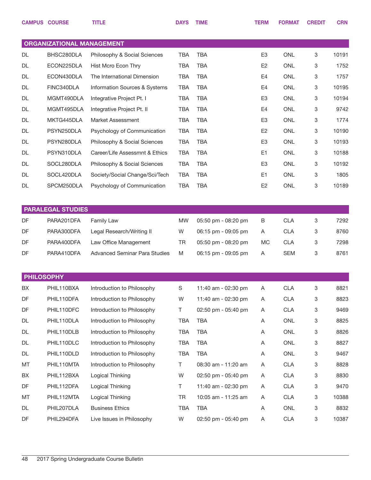|                   | <b>CAMPUS COURSE</b>             | <b>TITLE</b>                   | <b>DAYS</b> | <b>TIME</b>         | <b>TERM</b>    | <b>FORMAT</b> | <b>CREDIT</b> | <b>CRN</b> |
|-------------------|----------------------------------|--------------------------------|-------------|---------------------|----------------|---------------|---------------|------------|
|                   | <b>ORGANIZATIONAL MANAGEMENT</b> |                                |             |                     |                |               |               |            |
| DL                | BHSC280DLA                       | Philosophy & Social Sciences   | <b>TBA</b>  | <b>TBA</b>          | E <sub>3</sub> | <b>ONL</b>    | 3             | 10191      |
| <b>DL</b>         | ECON225DLA                       | Hist Mcro Econ Thry            | <b>TBA</b>  | <b>TBA</b>          | E <sub>2</sub> | <b>ONL</b>    | 3             | 1752       |
| DL                | ECON430DLA                       | The International Dimension    | <b>TBA</b>  | <b>TBA</b>          | E4             | <b>ONL</b>    | 3             | 1757       |
| DL                | FINC340DLA                       | Information Sources & Systems  | <b>TBA</b>  | <b>TBA</b>          | E4             | <b>ONL</b>    | 3             | 10195      |
| DL                | MGMT490DLA                       | Integrative Project Pt. I      | <b>TBA</b>  | <b>TBA</b>          | E <sub>3</sub> | <b>ONL</b>    | 3             | 10194      |
| DL                | MGMT495DLA                       | Integrative Project Pt. II     | <b>TBA</b>  | <b>TBA</b>          | E4             | <b>ONL</b>    | 3             | 9742       |
| DL                | MKTG445DLA                       | Market Assessment              | <b>TBA</b>  | <b>TBA</b>          | E <sub>3</sub> | <b>ONL</b>    | 3             | 1774       |
| DL                | PSYN250DLA                       | Psychology of Communication    | <b>TBA</b>  | <b>TBA</b>          | E <sub>2</sub> | <b>ONL</b>    | 3             | 10190      |
| DL                | PSYN280DLA                       | Philosophy & Social Sciences   | <b>TBA</b>  | <b>TBA</b>          | E <sub>3</sub> | <b>ONL</b>    | 3             | 10193      |
| DL                | PSYN310DLA                       | Career/Life Assessmnt & Ethics | <b>TBA</b>  | <b>TBA</b>          | E <sub>1</sub> | <b>ONL</b>    | 3             | 10188      |
| DL                | SOCL280DLA                       | Philosophy & Social Sciences   | <b>TBA</b>  | <b>TBA</b>          | E <sub>3</sub> | <b>ONL</b>    | 3             | 10192      |
| DL                | SOCL420DLA                       | Society/Social Change/Sci/Tech | <b>TBA</b>  | <b>TBA</b>          | E <sub>1</sub> | <b>ONL</b>    | 3             | 1805       |
| DL                | SPCM250DLA                       | Psychology of Communication    | <b>TBA</b>  | <b>TBA</b>          | E <sub>2</sub> | <b>ONL</b>    | 3             | 10189      |
|                   |                                  |                                |             |                     |                |               |               |            |
|                   | <b>PARALEGAL STUDIES</b>         |                                |             |                     |                |               |               |            |
| <b>DF</b>         | PARA201DFA                       | Family Law                     | <b>MW</b>   | 05:50 pm - 08:20 pm | B              | <b>CLA</b>    | 3             | 7292       |
| DF                | PARA300DFA                       | Legal Research/Writing II      | W           | 06:15 pm - 09:05 pm | A              | <b>CLA</b>    | 3             | 8760       |
| DF                | PARA400DFA                       | Law Office Management          | TR          | 05:50 pm - 08:20 pm | МC             | <b>CLA</b>    | 3             | 7298       |
| DF                | PARA410DFA                       | Advanced Seminar Para Studies  | M           | 06:15 pm - 09:05 pm | Α              | <b>SEM</b>    | 3             | 8761       |
|                   |                                  |                                |             |                     |                |               |               |            |
| <b>PHILOSOPHY</b> |                                  |                                |             |                     |                |               |               |            |
| BX                | PHIL110BXA                       | Introduction to Philosophy     | $\mathsf S$ | 11:40 am - 02:30 pm | Α              | <b>CLA</b>    | 3             | 8821       |
| DF                | PHIL110DFA                       | Introduction to Philosophy     | W           | 11:40 am - 02:30 pm | Α              | <b>CLA</b>    | 3             | 8823       |
| DF                | PHIL110DFC                       | Introduction to Philosophy     | $\top$      | 02:50 pm - 05:40 pm | Α              | <b>CLA</b>    | 3             | 9469       |
| DL                | PHIL110DLA                       | Introduction to Philosophy     | TBA         | <b>TBA</b>          | Α              | ONL           | 3             | 8825       |
| DL                | PHIL110DLB                       | Introduction to Philosophy     | <b>TBA</b>  | <b>TBA</b>          | Α              | ONL           | 3             | 8826       |
| DL                | PHIL110DLC                       | Introduction to Philosophy     | TBA         | <b>TBA</b>          | Α              | ONL           | 3             | 8827       |
| DL                | PHIL110DLD                       | Introduction to Philosophy     | <b>TBA</b>  | <b>TBA</b>          | Α              | ONL           | 3             | 9467       |
| MT                | PHIL110MTA                       | Introduction to Philosophy     | Τ           | 08:30 am - 11:20 am | Α              | <b>CLA</b>    | 3             | 8828       |
| BX                | PHIL112BXA                       | Logical Thinking               | W           | 02:50 pm - 05:40 pm | Α              | <b>CLA</b>    | 3             | 8830       |
| DF                | PHIL112DFA                       | Logical Thinking               | T.          | 11:40 am - 02:30 pm | Α              | <b>CLA</b>    | 3             | 9470       |
| MT                | PHIL112MTA                       | Logical Thinking               | TR          | 10:05 am - 11:25 am | Α              | <b>CLA</b>    | 3             | 10388      |
| DL                | PHIL207DLA                       | <b>Business Ethics</b>         | <b>TBA</b>  | <b>TBA</b>          | Α              | ONL           | 3             | 8832       |
| DF                | PHIL294DFA                       | Live Issues in Philosophy      | W           | 02:50 pm - 05:40 pm | Α              | <b>CLA</b>    | 3             | 10387      |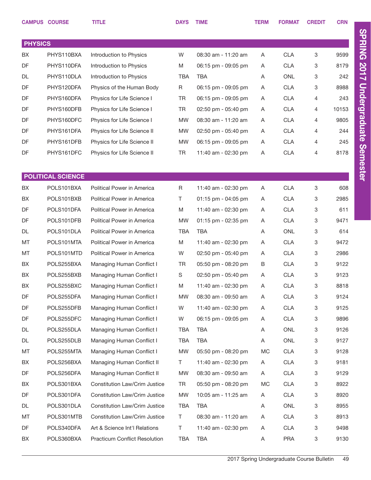|                | <b>CAMPUS COURSE</b>     | <b>TITLE</b>                         | <b>DAYS</b> | <b>TIME</b>         | <b>TERM</b> | <b>FORMAT</b> | <b>CREDIT</b> | <b>CRN</b> |
|----------------|--------------------------|--------------------------------------|-------------|---------------------|-------------|---------------|---------------|------------|
|                |                          |                                      |             |                     |             |               |               |            |
| <b>PHYSICS</b> |                          |                                      |             |                     |             |               |               |            |
| BX             | PHYS110BXA               | Introduction to Physics              | W           | 08:30 am - 11:20 am | Α           | <b>CLA</b>    | 3             | 9599       |
| DF             | PHYS110DFA               | Introduction to Physics              | M           | 06:15 pm - 09:05 pm | Α           | <b>CLA</b>    | 3             | 8179       |
| DL             | PHYS110DLA               | Introduction to Physics              | <b>TBA</b>  | <b>TBA</b>          | Α           | <b>ONL</b>    | 3             | 242        |
| DF             | PHYS120DFA               | Physics of the Human Body            | R           | 06:15 pm - 09:05 pm | Α           | <b>CLA</b>    | 3             | 8988       |
| DF             | PHYS160DFA               | Physics for Life Science I           | <b>TR</b>   | 06:15 pm - 09:05 pm | Α           | <b>CLA</b>    | 4             | 243        |
| DF             | PHYS160DFB               | Physics for Life Science I           | <b>TR</b>   | 02:50 pm - 05:40 pm | Α           | <b>CLA</b>    | 4             | 10153      |
| DF             | PHYS160DFC               | Physics for Life Science I           | <b>MW</b>   | 08:30 am - 11:20 am | Α           | <b>CLA</b>    | 4             | 9805       |
| DF             | PHYS161DFA               | Physics for Life Science II          | <b>MW</b>   | 02:50 pm - 05:40 pm | Α           | <b>CLA</b>    | 4             | 244        |
| DF             | PHYS161DFB               | Physics for Life Science II          | <b>MW</b>   | 06:15 pm - 09:05 pm | Α           | <b>CLA</b>    | 4             | 245        |
| DF             | PHYS161DFC               | Physics for Life Science II          | <b>TR</b>   | 11:40 am - 02:30 pm | Α           | <b>CLA</b>    | 4             | 8178       |
|                |                          |                                      |             |                     |             |               |               |            |
|                | <b>POLITICAL SCIENCE</b> |                                      |             |                     |             |               |               |            |
| BX             | POLS101BXA               | Political Power in America           | R           | 11:40 am - 02:30 pm | Α           | <b>CLA</b>    | 3             | 608        |
| BX             | POLS101BXB               | Political Power in America           | T           | 01:15 pm - 04:05 pm | A           | <b>CLA</b>    | 3             | 2985       |
| DF             | POLS101DFA               | Political Power in America           | M           | 11:40 am - 02:30 pm | Α           | <b>CLA</b>    | 3             | 611        |
| DF             | POLS101DFB               | Political Power in America           | <b>MW</b>   | 01:15 pm - 02:35 pm | Α           | <b>CLA</b>    | 3             | 9471       |
| DL             | POLS101DLA               | Political Power in America           | <b>TBA</b>  | TBA                 | Α           | <b>ONL</b>    | 3             | 614        |
| MT             | POLS101MTA               | Political Power in America           | M           | 11:40 am - 02:30 pm | Α           | <b>CLA</b>    | 3             | 9472       |
| MT             | POLS101MTD               | Political Power in America           | W           | 02:50 pm - 05:40 pm | Α           | <b>CLA</b>    | 3             | 2986       |
| BX             | POLS255BXA               | Managing Human Conflict I            | <b>TR</b>   | 05:50 pm - 08:20 pm | B           | <b>CLA</b>    | 3             | 9122       |
| BX             | POLS255BXB               | Managing Human Conflict I            | S           | 02:50 pm - 05:40 pm | Α           | <b>CLA</b>    | 3             | 9123       |
| BX             | POLS255BXC               | Managing Human Conflict I            | M           | 11:40 am - 02:30 pm | A           | <b>CLA</b>    | 3             | 8818       |
| DF             | POLS255DFA               | Managing Human Conflict I            | <b>MW</b>   | 08:30 am - 09:50 am | A           | <b>CLA</b>    | 3             | 9124       |
| DF             | POLS255DFB               | Managing Human Conflict I            | W           | 11:40 am - 02:30 pm | A           | <b>CLA</b>    | 3             | 9125       |
| DF             | POLS255DFC               | Managing Human Conflict I            | W           | 06:15 pm - 09:05 pm | A           | <b>CLA</b>    | 3             | 9896       |
| DL             | POLS255DLA               | Managing Human Conflict I            | TBA         | TBA                 | Α           | <b>ONL</b>    | 3             | 9126       |
| DL             | POLS255DLB               | Managing Human Conflict I            | <b>TBA</b>  | <b>TBA</b>          | Α           | <b>ONL</b>    | 3             | 9127       |
| МT             | POLS255MTA               | Managing Human Conflict I            | MW          | 05:50 pm - 08:20 pm | МC          | <b>CLA</b>    | 3             | 9128       |
| BX             | POLS256BXA               | Managing Human Conflict II           | Τ           | 11:40 am - 02:30 pm | A           | <b>CLA</b>    | 3             | 9181       |
| DF             | POLS256DFA               | Managing Human Conflict II           | <b>MW</b>   | 08:30 am - 09:50 am | A           | <b>CLA</b>    | 3             | 9129       |
| BX             | POLS301BXA               | Constitution Law/Crim Justice        | TR          | 05:50 pm - 08:20 pm | МC          | <b>CLA</b>    | 3             | 8922       |
| DF             | POLS301DFA               | Constitution Law/Crim Justice        | <b>MW</b>   | 10:05 am - 11:25 am | A           | <b>CLA</b>    | 3             | 8920       |
| DL             | POLS301DLA               | Constitution Law/Crim Justice        | <b>TBA</b>  | <b>TBA</b>          | A           | <b>ONL</b>    | 3             | 8955       |
| МT             | POLS301MTB               | Constitution Law/Crim Justice        | T.          | 08:30 am - 11:20 am | A           | <b>CLA</b>    | 3             | 8913       |
| DF             | POLS340DFA               | Art & Science Int'l Relations        | T.          | 11:40 am - 02:30 pm | A           | <b>CLA</b>    | 3             | 9498       |
| BX             | POLS360BXA               | <b>Practicum Conflict Resolution</b> | TBA         | TBA                 | A           | <b>PRA</b>    | 3             | 9130       |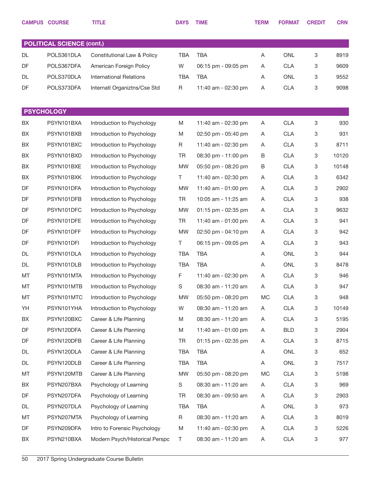|    | <b>CAMPUS COURSE</b>             | <b>TITLE</b>                   | <b>DAYS</b> | <b>TIME</b>         | <b>TERM</b> | <b>FORMAT</b> | <b>CREDIT</b> | <b>CRN</b> |
|----|----------------------------------|--------------------------------|-------------|---------------------|-------------|---------------|---------------|------------|
|    |                                  |                                |             |                     |             |               |               |            |
|    | <b>POLITICAL SCIENCE (cont.)</b> |                                |             |                     |             |               |               |            |
| DL | POLS361DLA                       | Constitutional Law & Policy    | <b>TBA</b>  | <b>TBA</b>          | A           | <b>ONL</b>    | 3             | 8919       |
| DF | POLS367DFA                       | American Foreign Policy        | W           | 06:15 pm - 09:05 pm | A           | <b>CLA</b>    | 3             | 9609       |
| DL | POLS370DLA                       | <b>International Relations</b> | <b>TBA</b>  | <b>TBA</b>          | Α           | ONL           | 3             | 9552       |
| DF | POLS373DFA                       | Internatl Organiztns/Cse Std   | R           | 11:40 am - 02:30 pm | A           | <b>CLA</b>    | 3             | 9098       |
|    |                                  |                                |             |                     |             |               |               |            |
|    | <b>PSYCHOLOGY</b>                |                                |             |                     |             |               |               |            |
| BX | PSYN101BXA                       | Introduction to Psychology     | M           | 11:40 am - 02:30 pm | Α           | <b>CLA</b>    | 3             | 930        |
| BX | PSYN101BXB                       | Introduction to Psychology     | M           | 02:50 pm - 05:40 pm | Α           | <b>CLA</b>    | 3             | 931        |
| BX | PSYN101BXC                       | Introduction to Psychology     | R           | 11:40 am - 02:30 pm | A           | <b>CLA</b>    | 3             | 8711       |
| BX | PSYN101BXD                       | Introduction to Psychology     | <b>TR</b>   | 08:30 pm - 11:00 pm | B           | <b>CLA</b>    | 3             | 10120      |
| BX | PSYN101BXE                       | Introduction to Psychology     | <b>MW</b>   | 05:50 pm - 08:20 pm | B           | <b>CLA</b>    | 3             | 10148      |
| BX | PSYN101BXK                       | Introduction to Psychology     | T.          | 11:40 am - 02:30 pm | Α           | <b>CLA</b>    | 3             | 6342       |
| DF | PSYN101DFA                       | Introduction to Psychology     | <b>MW</b>   | 11:40 am - 01:00 pm | A           | <b>CLA</b>    | 3             | 2902       |
| DF | PSYN101DFB                       | Introduction to Psychology     | <b>TR</b>   | 10:05 am - 11:25 am | Α           | <b>CLA</b>    | 3             | 938        |
| DF | PSYN101DFC                       | Introduction to Psychology     | <b>MW</b>   | 01:15 pm - 02:35 pm | Α           | <b>CLA</b>    | 3             | 9632       |
| DF | PSYN101DFE                       | Introduction to Psychology     | <b>TR</b>   | 11:40 am - 01:00 pm | Α           | <b>CLA</b>    | 3             | 941        |
| DF | PSYN101DFF                       | Introduction to Psychology     | <b>MW</b>   | 02:50 pm - 04:10 pm | Α           | <b>CLA</b>    | 3             | 942        |
| DF | PSYN101DFI                       | Introduction to Psychology     | T           | 06:15 pm - 09:05 pm | Α           | <b>CLA</b>    | 3             | 943        |
| DL | PSYN101DLA                       | Introduction to Psychology     | <b>TBA</b>  | <b>TBA</b>          | A           | <b>ONL</b>    | 3             | 944        |
| DL | PSYN101DLB                       | Introduction to Psychology     | <b>TBA</b>  | <b>TBA</b>          | Α           | ONL           | 3             | 8478       |
| MT | PSYN101MTA                       | Introduction to Psychology     | F           | 11:40 am - 02:30 pm | Α           | <b>CLA</b>    | 3             | 946        |
| МT | PSYN101MTB                       | Introduction to Psychology     | S           | 08:30 am - 11:20 am | Α           | <b>CLA</b>    | 3             | 947        |
| МT | PSYN101MTC                       | Introduction to Psychology     | <b>MW</b>   | 05:50 pm - 08:20 pm | MC          | <b>CLA</b>    | 3             | 948        |
| YH | PSYN101YHA                       | Introduction to Psychology     | W           | 08:30 am - 11:20 am | A           | <b>CLA</b>    | 3             | 10149      |
| BX | PSYN120BXC                       | Career & Life Planning         | M           | 08:30 am - 11:20 am | Α           | <b>CLA</b>    | 3             | 5195       |
| DF | PSYN120DFA                       | Career & Life Planning         | M           | 11:40 am - 01:00 pm | Α           | <b>BLD</b>    | 3             | 2904       |
| DF | PSYN120DFB                       | Career & Life Planning         | <b>TR</b>   | 01:15 pm - 02:35 pm | Α           | <b>CLA</b>    | 3             | 8715       |
| DL | PSYN120DLA                       | Career & Life Planning         | TBA         | <b>TBA</b>          | Α           | ONL           | 3             | 652        |
| DL | PSYN120DLB                       | Career & Life Planning         | TBA         | <b>TBA</b>          | Α           | ONL           | 3             | 7517       |
| МT | PSYN120MTB                       | Career & Life Planning         | MW          | 05:50 pm - 08:20 pm | МC          | <b>CLA</b>    | 3             | 5198       |
| BX | PSYN207BXA                       | Psychology of Learning         | S           | 08:30 am - 11:20 am | A           | <b>CLA</b>    | 3             | 969        |
| DF | PSYN207DFA                       | Psychology of Learning         | TR          | 08:30 am - 09:50 am | A           | <b>CLA</b>    | 3             | 2903       |
| DL | PSYN207DLA                       | Psychology of Learning         | TBA         | TBA                 | Α           | ONL           | 3             | 973        |
| MT | PSYN207MTA                       | Psychology of Learning         | R           | 08:30 am - 11:20 am | Α           | <b>CLA</b>    | 3             | 8019       |
| DF | PSYN209DFA                       | Intro to Forensic Psychology   | M           | 11:40 am - 02:30 pm | Α           | <b>CLA</b>    | 3             | 5226       |
| BX | PSYN210BXA                       | Modern Psych/Historical Perspc | T.          | 08:30 am - 11:20 am | A           | <b>CLA</b>    | 3             | 977        |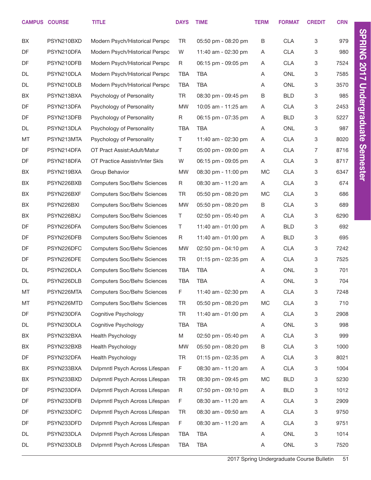|           | <b>CAMPUS COURSE</b> | <b>TITLE</b>                       | <b>DAYS</b> | <b>TIME</b>         | <b>TERM</b> | <b>FORMAT</b> | <b>CREDIT</b> | <b>CRN</b> |
|-----------|----------------------|------------------------------------|-------------|---------------------|-------------|---------------|---------------|------------|
| BX        | PSYN210BXD           | Modern Psych/Historical Perspc     | <b>TR</b>   | 05:50 pm - 08:20 pm | B           | <b>CLA</b>    | 3             | 979        |
| DF        | PSYN210DFA           | Modern Psych/Historical Perspc     | W           | 11:40 am - 02:30 pm | Α           | <b>CLA</b>    | 3             | 980        |
| DF        | PSYN210DFB           | Modern Psych/Historical Perspc     | R           | 06:15 pm - 09:05 pm | A           | <b>CLA</b>    | 3             | 7524       |
| DL        | PSYN210DLA           | Modern Psych/Historical Perspc     | <b>TBA</b>  | <b>TBA</b>          | A           | <b>ONL</b>    | 3             | 7585       |
| DL        | PSYN210DLB           | Modern Psych/Historical Perspc     | <b>TBA</b>  | <b>TBA</b>          | Α           | <b>ONL</b>    | 3             | 3570       |
| BX        | PSYN213BXA           | Psychology of Personality          | <b>TR</b>   | 08:30 pm - 09:45 pm | B           | <b>BLD</b>    | 3             | 985        |
| DF        | PSYN213DFA           | Psychology of Personality          | <b>MW</b>   | 10:05 am - 11:25 am | A           | <b>CLA</b>    | 3             | 2453       |
| DF        | PSYN213DFB           | Psychology of Personality          | R           | 06:15 pm - 07:35 pm | A           | <b>BLD</b>    | 3             | 5227       |
| DL        | PSYN213DLA           | Psychology of Personality          | TBA         | <b>TBA</b>          | A           | <b>ONL</b>    | 3             | 987        |
| MT        | PSYN213MTA           | Psychology of Personality          | T           | 11:40 am - 02:30 pm | Α           | <b>CLA</b>    | 3             | 8020       |
| DF        | PSYN214DFA           | OT Pract Assist: Adult/Matur       | T.          | 05:00 pm - 09:00 pm | Α           | <b>CLA</b>    | 7             | 8716       |
| DF        | PSYN218DFA           | OT Practice Assistn/Inter Skls     | W           | 06:15 pm - 09:05 pm | A           | <b>CLA</b>    | 3             | 8717       |
| BX        | PSYN219BXA           | Group Behavior                     | <b>MW</b>   | 08:30 pm - 11:00 pm | <b>MC</b>   | <b>CLA</b>    | 3             | 6347       |
| BX        | PSYN226BXB           | <b>Computers Soc/Behv Sciences</b> | R           | 08:30 am - 11:20 am | A           | <b>CLA</b>    | 3             | 674        |
| BX        | PSYN226BXF           | <b>Computers Soc/Behv Sciences</b> | <b>TR</b>   | 05:50 pm - 08:20 pm | <b>MC</b>   | <b>CLA</b>    | 3             | 686        |
| BX        | PSYN226BXI           | <b>Computers Soc/Behv Sciences</b> | <b>MW</b>   | 05:50 pm - 08:20 pm | B           | <b>CLA</b>    | 3             | 689        |
| BX        | PSYN226BXJ           | <b>Computers Soc/Behv Sciences</b> | T.          | 02:50 pm - 05:40 pm | A           | <b>CLA</b>    | 3             | 6290       |
| DF        | PSYN226DFA           | <b>Computers Soc/Behv Sciences</b> | $\top$      | 11:40 am - 01:00 pm | Α           | <b>BLD</b>    | 3             | 692        |
| DF        | PSYN226DFB           | <b>Computers Soc/Behv Sciences</b> | R           | 11:40 am - 01:00 pm | A           | <b>BLD</b>    | 3             | 695        |
| DF        | PSYN226DFC           | <b>Computers Soc/Behv Sciences</b> | <b>MW</b>   | 02:50 pm - 04:10 pm | A           | <b>CLA</b>    | 3             | 7242       |
| <b>DF</b> | PSYN226DFE           | <b>Computers Soc/Behv Sciences</b> | <b>TR</b>   | 01:15 pm - 02:35 pm | A           | <b>CLA</b>    | 3             | 7525       |
| DL        | PSYN226DLA           | <b>Computers Soc/Behv Sciences</b> | <b>TBA</b>  | <b>TBA</b>          | A           | <b>ONL</b>    | 3             | 701        |
| DL        | PSYN226DLB           | <b>Computers Soc/Behv Sciences</b> | <b>TBA</b>  | <b>TBA</b>          | Α           | ONL           | 3             | 704        |
| MT        | PSYN226MTA           | <b>Computers Soc/Behv Sciences</b> | F           | 11:40 am - 02:30 pm | Α           | CLA           | 3             | 7248       |
| MT        | PSYN226MTD           | <b>Computers Soc/Behv Sciences</b> | <b>TR</b>   | 05:50 pm - 08:20 pm | MC          | CLA           | 3             | 710        |
| DF        | PSYN230DFA           | Cognitive Psychology               | <b>TR</b>   | 11:40 am - 01:00 pm | A           | CLA           | 3             | 2908       |
| DL        | PSYN230DLA           | Cognitive Psychology               | <b>TBA</b>  | TBA                 | A           | ONL           | 3             | 998        |
| BX        | PSYN232BXA           | Health Psychology                  | M           | 02:50 pm - 05:40 pm | A           | CLA           | 3             | 999        |
| BX        | PSYN232BXB           | Health Psychology                  | <b>MW</b>   | 05:50 pm - 08:20 pm | B           | CLA           | 3             | 1000       |
| DF        | PSYN232DFA           | Health Psychology                  | <b>TR</b>   | 01:15 pm - 02:35 pm | Α           | CLA           | 3             | 8021       |
| BX        | PSYN233BXA           | Dvlpmntl Psych Across Lifespan     | F           | 08:30 am - 11:20 am | Α           | CLA           | 3             | 1004       |
| BX        | PSYN233BXD           | Dvlpmntl Psych Across Lifespan     | TR          | 08:30 pm - 09:45 pm | MC          | <b>BLD</b>    | 3             | 5230       |
| DF        | PSYN233DFA           | Dvlpmntl Psych Across Lifespan     | $\mathsf R$ | 07:50 pm - 09:10 pm | A           | <b>BLD</b>    | 3             | 1012       |
| DF        | PSYN233DFB           | Dvlpmntl Psych Across Lifespan     | F           | 08:30 am - 11:20 am | A           | <b>CLA</b>    | 3             | 2909       |
| DF        | PSYN233DFC           | Dvlpmntl Psych Across Lifespan     | <b>TR</b>   | 08:30 am - 09:50 am | Α           | CLA           | 3             | 9750       |
| DF        | PSYN233DFD           | Dvlpmntl Psych Across Lifespan     | F           | 08:30 am - 11:20 am | A           | <b>CLA</b>    | 3             | 9751       |
| DL        | PSYN233DLA           | Dvlpmntl Psych Across Lifespan     | <b>TBA</b>  | <b>TBA</b>          | A           | ONL           | 3             | 1014       |
| DL        | PSYN233DLB           | Dvlpmntl Psych Across Lifespan     | <b>TBA</b>  | TBA                 | Α           | ONL           | 3             | 7520       |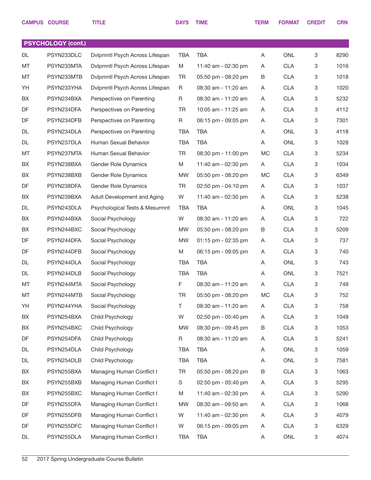|           | <b>CAMPUS COURSE</b>      | <b>TITLE</b>                   | <b>DAYS</b> | <b>TIME</b>         | <b>TERM</b> | <b>FORMAT</b> | <b>CREDIT</b> | <b>CRN</b> |
|-----------|---------------------------|--------------------------------|-------------|---------------------|-------------|---------------|---------------|------------|
|           |                           |                                |             |                     |             |               |               |            |
|           | <b>PSYCHOLOGY (cont.)</b> |                                |             |                     |             |               |               |            |
| DL        | PSYN233DLC                | Dvlpmntl Psych Across Lifespan | <b>TBA</b>  | <b>TBA</b>          | Α           | <b>ONL</b>    | 3             | 8290       |
| MT        | PSYN233MTA                | Dvlpmntl Psych Across Lifespan | M           | 11:40 am - 02:30 pm | A           | <b>CLA</b>    | 3             | 1016       |
| MT        | PSYN233MTB                | Dvlpmntl Psych Across Lifespan | <b>TR</b>   | 05:50 pm - 08:20 pm | B           | <b>CLA</b>    | 3             | 1018       |
| YH        | PSYN233YHA                | Dvlpmntl Psych Across Lifespan | R           | 08:30 am - 11:20 am | Α           | <b>CLA</b>    | 3             | 1020       |
| BX        | PSYN234BXA                | Perspectives on Parenting      | R           | 08:30 am - 11:20 am | Α           | <b>CLA</b>    | 3             | 5232       |
| DF        | PSYN234DFA                | Perspectives on Parenting      | <b>TR</b>   | 10:05 am - 11:25 am | Α           | <b>CLA</b>    | 3             | 4112       |
| DF        | PSYN234DFB                | Perspectives on Parenting      | R           | 06:15 pm - 09:05 pm | Α           | <b>CLA</b>    | 3             | 7301       |
| DL        | PSYN234DLA                | Perspectives on Parenting      | <b>TBA</b>  | <b>TBA</b>          | Α           | <b>ONL</b>    | 3             | 4118       |
| DL        | PSYN237DLA                | Human Sexual Behavior          | <b>TBA</b>  | <b>TBA</b>          | A           | <b>ONL</b>    | 3             | 1028       |
| MT        | PSYN237MTA                | Human Sexual Behavior          | <b>TR</b>   | 08:30 pm - 11:00 pm | <b>MC</b>   | <b>CLA</b>    | 3             | 5234       |
| BX        | PSYN238BXA                | <b>Gender Role Dynamics</b>    | M           | 11:40 am - 02:30 pm | A           | <b>CLA</b>    | 3             | 1034       |
| BX        | PSYN238BXB                | Gender Role Dynamics           | <b>MW</b>   | 05:50 pm - 08:20 pm | <b>MC</b>   | <b>CLA</b>    | 3             | 6349       |
| DF        | PSYN238DFA                | <b>Gender Role Dynamics</b>    | <b>TR</b>   | 02:50 pm - 04:10 pm | Α           | <b>CLA</b>    | 3             | 1037       |
| BX        | PSYN239BXA                | Adult Development and Aging    | W           | 11:40 am - 02:30 pm | Α           | <b>CLA</b>    | 3             | 5238       |
| <b>DL</b> | PSYN243DLA                | Psychological Tests & Mesurmnt | <b>TBA</b>  | <b>TBA</b>          | Α           | <b>ONL</b>    | 3             | 1045       |
| BX        | PSYN244BXA                | Social Psychology              | W           | 08:30 am - 11:20 am | Α           | <b>CLA</b>    | 3             | 722        |
| BX        | PSYN244BXC                | Social Psychology              | MW          | 05:50 pm - 08:20 pm | B           | <b>CLA</b>    | 3             | 5209       |
| DF        | PSYN244DFA                | Social Psychology              | <b>MW</b>   | 01:15 pm - 02:35 pm | Α           | <b>CLA</b>    | 3             | 737        |
| DF        | PSYN244DFB                | Social Psychology              | M           | 06:15 pm - 09:05 pm | Α           | <b>CLA</b>    | 3             | 740        |
| DL        | PSYN244DLA                | Social Psychology              | <b>TBA</b>  | <b>TBA</b>          | Α           | <b>ONL</b>    | 3             | 743        |
| DL        | PSYN244DLB                | Social Psychology              | <b>TBA</b>  | <b>TBA</b>          | Α           | <b>ONL</b>    | 3             | 7521       |
| MT        | PSYN244MTA                | Social Psychology              | F           | 08:30 am - 11:20 am | Α           | <b>CLA</b>    | 3             | 749        |
| MT        | PSYN244MTB                | Social Psychology              | <b>TR</b>   | 05:50 pm - 08:20 pm | MC          | <b>CLA</b>    | 3             | 752        |
| YH        | PSYN244YHA                | Social Psychology              | Τ           | 08:30 am - 11:20 am | Α           | <b>CLA</b>    | 3             | 758        |
| BX        | PSYN254BXA                | Child Psychology               | W           | 02:50 pm - 05:40 pm | A           | <b>CLA</b>    | 3             | 1049       |
| BX        | PSYN254BXC                | Child Psychology               | MW          | 08:30 pm - 09:45 pm | B           | <b>CLA</b>    | 3             | 1053       |
| DF        | PSYN254DFA                | Child Psychology               | R           | 08:30 am - 11:20 am | Α           | <b>CLA</b>    | 3             | 5241       |
| DL        | PSYN254DLA                | Child Psychology               | TBA         | <b>TBA</b>          | Α           | ONL           | 3             | 1059       |
| DL        | PSYN254DLB                | Child Psychology               | <b>TBA</b>  | <b>TBA</b>          | Α           | ONL           | 3             | 7581       |
| BX        | PSYN255BXA                | Managing Human Conflict I      | <b>TR</b>   | 05:50 pm - 08:20 pm | B           | <b>CLA</b>    | 3             | 1063       |
| BX        | PSYN255BXB                | Managing Human Conflict I      | S           | 02:50 pm - 05:40 pm | A           | <b>CLA</b>    | 3             | 5295       |
| BX        | PSYN255BXC                | Managing Human Conflict I      | M           | 11:40 am - 02:30 pm | Α           | <b>CLA</b>    | 3             | 5290       |
| DF        | PSYN255DFA                | Managing Human Conflict I      | MW          | 08:30 am - 09:50 am | Α           | <b>CLA</b>    | 3             | 1068       |
| DF        | PSYN255DFB                | Managing Human Conflict I      | W           | 11:40 am - 02:30 pm | Α           | <b>CLA</b>    | 3             | 4079       |
| DF        | PSYN255DFC                | Managing Human Conflict I      | W           | 06:15 pm - 09:05 pm | Α           | <b>CLA</b>    | 3             | 6329       |
| DL        | PSYN255DLA                | Managing Human Conflict I      | TBA         | <b>TBA</b>          | A           | ONL           | 3             | 4074       |
|           |                           |                                |             |                     |             |               |               |            |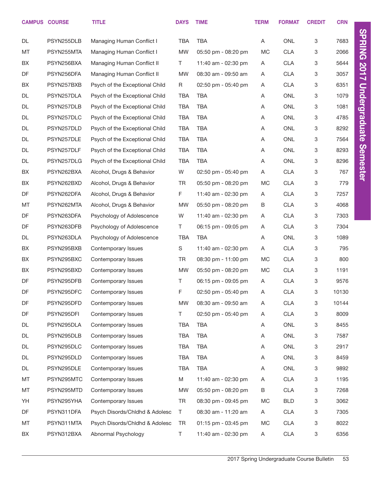|           | <b>CAMPUS COURSE</b> | <b>TITLE</b>                   | <b>DAYS</b> | <b>TIME</b>         | <b>TERM</b> | <b>FORMAT</b> | <b>CREDIT</b> | <b>CRN</b> |                      |
|-----------|----------------------|--------------------------------|-------------|---------------------|-------------|---------------|---------------|------------|----------------------|
| DL        | PSYN255DLB           | Managing Human Conflict I      | <b>TBA</b>  | <b>TBA</b>          | Α           | ONL           | 3             | 7683       | <b>SPRING 2017</b>   |
| MT        | PSYN255MTA           | Managing Human Conflict I      | <b>MW</b>   | 05:50 pm - 08:20 pm | <b>MC</b>   | <b>CLA</b>    | 3             | 2066       |                      |
| BX        | PSYN256BXA           | Managing Human Conflict II     | T.          | 11:40 am - 02:30 pm | Α           | <b>CLA</b>    | 3             | 5644       |                      |
| DF        | PSYN256DFA           | Managing Human Conflict II     | <b>MW</b>   | 08:30 am - 09:50 am | Α           | <b>CLA</b>    | 3             | 3057       |                      |
| BX        | PSYN257BXB           | Psych of the Exceptional Child | R           | 02:50 pm - 05:40 pm | Α           | <b>CLA</b>    | 3             | 6351       |                      |
| DL        | PSYN257DLA           | Psych of the Exceptional Child | <b>TBA</b>  | <b>TBA</b>          | Α           | <b>ONL</b>    | 3             | 1079       |                      |
| DL        | PSYN257DLB           | Psych of the Exceptional Child | <b>TBA</b>  | <b>TBA</b>          | Α           | ONL           | 3             | 1081       |                      |
| DL        | PSYN257DLC           | Psych of the Exceptional Child | <b>TBA</b>  | <b>TBA</b>          | Α           | <b>ONL</b>    | 3             | 4785       | <b>Undergraduate</b> |
| DL        | PSYN257DLD           | Psych of the Exceptional Child | <b>TBA</b>  | <b>TBA</b>          | Α           | <b>ONL</b>    | 3             | 8292       |                      |
| DL        | PSYN257DLE           | Psych of the Exceptional Child | <b>TBA</b>  | <b>TBA</b>          | Α           | <b>ONL</b>    | 3             | 7564       |                      |
| DL        | PSYN257DLF           | Psych of the Exceptional Child | <b>TBA</b>  | <b>TBA</b>          | Α           | ONL           | 3             | 8293       | <b>Semester</b>      |
| DL        | PSYN257DLG           | Psych of the Exceptional Child | <b>TBA</b>  | <b>TBA</b>          | Α           | <b>ONL</b>    | 3             | 8296       |                      |
| BX        | PSYN262BXA           | Alcohol, Drugs & Behavior      | W           | 02:50 pm - 05:40 pm | Α           | <b>CLA</b>    | 3             | 767        |                      |
| BX        | PSYN262BXD           | Alcohol, Drugs & Behavior      | <b>TR</b>   | 05:50 pm - 08:20 pm | <b>MC</b>   | <b>CLA</b>    | 3             | 779        |                      |
| <b>DF</b> | PSYN262DFA           | Alcohol, Drugs & Behavior      | F.          | 11:40 am - 02:30 pm | Α           | <b>CLA</b>    | 3             | 7257       |                      |
| MT        | PSYN262MTA           | Alcohol, Drugs & Behavior      | <b>MW</b>   | 05:50 pm - 08:20 pm | B           | <b>CLA</b>    | 3             | 4068       |                      |
| <b>DF</b> | PSYN263DFA           | Psychology of Adolescence      | W           | 11:40 am - 02:30 pm | Α           | <b>CLA</b>    | 3             | 7303       |                      |
| DF        | PSYN263DFB           | Psychology of Adolescence      | Τ           | 06:15 pm - 09:05 pm | Α           | <b>CLA</b>    | 3             | 7304       |                      |
| DL        | PSYN263DLA           | Psychology of Adolescence      | <b>TBA</b>  | <b>TBA</b>          | Α           | ONL           | 3             | 1089       |                      |
| BX        | PSYN295BXB           | Contemporary Issues            | S           | 11:40 am - 02:30 pm | Α           | <b>CLA</b>    | 3             | 795        |                      |
| BX        | PSYN295BXC           | Contemporary Issues            | <b>TR</b>   | 08:30 pm - 11:00 pm | <b>MC</b>   | <b>CLA</b>    | 3             | 800        |                      |
| BX        | PSYN295BXD           | Contemporary Issues            | <b>MW</b>   | 05:50 pm - 08:20 pm | <b>MC</b>   | <b>CLA</b>    | 3             | 1191       |                      |
| DF        | PSYN295DFB           | Contemporary Issues            | T           | 06:15 pm - 09:05 pm | Α           | <b>CLA</b>    | 3             | 9576       |                      |
| DF        | PSYN295DFC           | Contemporary Issues            | F           | 02:50 pm - 05:40 pm | Α           | <b>CLA</b>    | 3             | 10130      |                      |
| DF        | PSYN295DFD           | Contemporary Issues            | <b>MW</b>   | 08:30 am - 09:50 am | Α           | <b>CLA</b>    | 3             | 10144      |                      |
| DF        | PSYN295DFI           | Contemporary Issues            | T.          | 02:50 pm - 05:40 pm | Α           | <b>CLA</b>    | 3             | 8009       |                      |
| DL        | PSYN295DLA           | Contemporary Issues            | TBA         | TBA                 | Α           | ONL           | 3             | 8455       |                      |
| DL        | PSYN295DLB           | Contemporary Issues            | TBA         | <b>TBA</b>          | Α           | ONL           | 3             | 7587       |                      |
| DL        | PSYN295DLC           | Contemporary Issues            | TBA         | <b>TBA</b>          | Α           | ONL           | 3             | 2917       |                      |
| DL        | PSYN295DLD           | Contemporary Issues            | TBA         | <b>TBA</b>          | Α           | ONL           | 3             | 8459       |                      |
| DL        | PSYN295DLE           | Contemporary Issues            | TBA         | <b>TBA</b>          | Α           | ONL           | 3             | 9892       |                      |
| MT        | PSYN295MTC           | Contemporary Issues            | M           | 11:40 am - 02:30 pm | Α           | <b>CLA</b>    | 3             | 1195       |                      |
| MT        | PSYN295MTD           | Contemporary Issues            | MW          | 05:50 pm - 08:20 pm | B           | <b>CLA</b>    | 3             | 7268       |                      |
| YH        | PSYN295YHA           | Contemporary Issues            | <b>TR</b>   | 08:30 pm - 09:45 pm | МC          | <b>BLD</b>    | 3             | 3062       |                      |
| DF        | PSYN311DFA           | Psych Disords/Chldhd & Adolesc | Τ           | 08:30 am - 11:20 am | A           | <b>CLA</b>    | 3             | 7305       |                      |
| MT        | PSYN311MTA           | Psych Disords/Chidhd & Adolesc | <b>TR</b>   | 01:15 pm - 03:45 pm | MC          | <b>CLA</b>    | 3             | 8022       |                      |
| BX        | PSYN312BXA           | Abnormal Psychology            | Τ           | 11:40 am - 02:30 pm | A           | <b>CLA</b>    | 3             | 6356       |                      |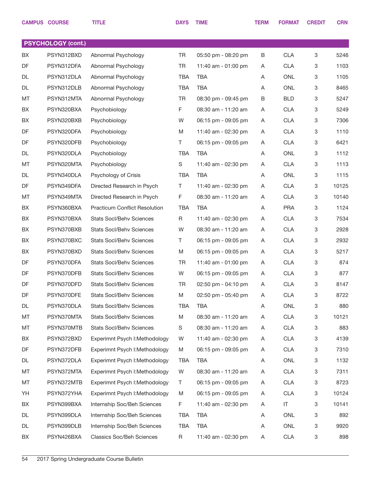|           | <b>CAMPUS COURSE</b>      | <b>TITLE</b>                         | <b>DAYS</b> | <b>TIME</b>         | <b>TERM</b> | <b>FORMAT</b> | <b>CREDIT</b> | <b>CRN</b> |
|-----------|---------------------------|--------------------------------------|-------------|---------------------|-------------|---------------|---------------|------------|
|           |                           |                                      |             |                     |             |               |               |            |
|           | <b>PSYCHOLOGY (cont.)</b> |                                      |             |                     |             |               |               |            |
| BX        | PSYN312BXD                | Abnormal Psychology                  | <b>TR</b>   | 05:50 pm - 08:20 pm | В           | <b>CLA</b>    | 3             | 5246       |
| DF        | PSYN312DFA                | Abnormal Psychology                  | <b>TR</b>   | 11:40 am - 01:00 pm | Α           | <b>CLA</b>    | 3             | 1103       |
| <b>DL</b> | PSYN312DLA                | Abnormal Psychology                  | <b>TBA</b>  | <b>TBA</b>          | Α           | <b>ONL</b>    | 3             | 1105       |
| DL        | PSYN312DLB                | Abnormal Psychology                  | <b>TBA</b>  | <b>TBA</b>          | Α           | <b>ONL</b>    | 3             | 8465       |
| MT        | PSYN312MTA                | Abnormal Psychology                  | <b>TR</b>   | 08:30 pm - 09:45 pm | В           | <b>BLD</b>    | 3             | 5247       |
| BX        | PSYN320BXA                | Psychobiology                        | F           | 08:30 am - 11:20 am | Α           | <b>CLA</b>    | 3             | 5249       |
| BX        | PSYN320BXB                | Psychobiology                        | W           | 06:15 pm - 09:05 pm | Α           | <b>CLA</b>    | 3             | 7306       |
| DF        | PSYN320DFA                | Psychobiology                        | M           | 11:40 am - 02:30 pm | Α           | <b>CLA</b>    | 3             | 1110       |
| DF        | PSYN320DFB                | Psychobiology                        | Τ           | 06:15 pm - 09:05 pm | Α           | <b>CLA</b>    | 3             | 6421       |
| DL        | PSYN320DLA                | Psychobiology                        | <b>TBA</b>  | <b>TBA</b>          | Α           | <b>ONL</b>    | 3             | 1112       |
| MT        | PSYN320MTA                | Psychobiology                        | S           | 11:40 am - 02:30 pm | Α           | <b>CLA</b>    | 3             | 1113       |
| DL        | PSYN340DLA                | Psychology of Crisis                 | <b>TBA</b>  | <b>TBA</b>          | Α           | <b>ONL</b>    | 3             | 1115       |
| DF        | PSYN349DFA                | Directed Research in Psych           | Τ           | 11:40 am - 02:30 pm | Α           | <b>CLA</b>    | 3             | 10125      |
| MT        | PSYN349MTA                | Directed Research in Psych           | F           | 08:30 am - 11:20 am | Α           | <b>CLA</b>    | 3             | 10140      |
| BX        | PSYN360BXA                | <b>Practicum Conflict Resolution</b> | <b>TBA</b>  | <b>TBA</b>          | Α           | <b>PRA</b>    | 3             | 1124       |
| BX        | PSYN370BXA                | <b>Stats Socl/Behv Sciences</b>      | R           | 11:40 am - 02:30 pm | Α           | <b>CLA</b>    | 3             | 7534       |
| BX        | PSYN370BXB                | <b>Stats Socl/Behv Sciences</b>      | W           | 08:30 am - 11:20 am | Α           | <b>CLA</b>    | 3             | 2928       |
| BX        | PSYN370BXC                | <b>Stats Socl/Behv Sciences</b>      | T.          | 06:15 pm - 09:05 pm | Α           | <b>CLA</b>    | 3             | 2932       |
| BX        | PSYN370BXD                | <b>Stats Socl/Behv Sciences</b>      | M           | 06:15 pm - 09:05 pm | Α           | <b>CLA</b>    | 3             | 5217       |
| DF        | PSYN370DFA                | <b>Stats Socl/Behv Sciences</b>      | <b>TR</b>   | 11:40 am - 01:00 pm | Α           | <b>CLA</b>    | 3             | 874        |
| DF        | PSYN370DFB                | <b>Stats Socl/Behv Sciences</b>      | W           | 06:15 pm - 09:05 pm | Α           | <b>CLA</b>    | 3             | 877        |
| DF        | PSYN370DFD                | <b>Stats Socl/Behv Sciences</b>      | <b>TR</b>   | 02:50 pm - 04:10 pm | Α           | <b>CLA</b>    | 3             | 8147       |
| DF        | PSYN370DFE                | <b>Stats Socl/Behv Sciences</b>      | M           | 02:50 pm - 05:40 pm | Α           | <b>CLA</b>    | 3             | 8722       |
| DL        | PSYN370DLA                | <b>Stats Socl/Behv Sciences</b>      | <b>TBA</b>  | <b>TBA</b>          | Α           | ONL           | 3             | 880        |
| МT        | PSYN370MTA                | <b>Stats Socl/Behv Sciences</b>      | M           | 08:30 am - 11:20 am | A           | <b>CLA</b>    | 3             | 10121      |
| MT        | PSYN370MTB                | <b>Stats Socl/Behv Sciences</b>      | S           | 08:30 am - 11:20 am | Α           | <b>CLA</b>    | 3             | 883        |
| BX        | PSYN372BXD                | Experimnt Psych I: Methodology       | W           | 11:40 am - 02:30 pm | A           | <b>CLA</b>    | 3             | 4139       |
| DF        | PSYN372DFB                | Experimnt Psych I: Methodology       | M           | 06:15 pm - 09:05 pm | Α           | <b>CLA</b>    | 3             | 7310       |
| DL        | PSYN372DLA                | Experimnt Psych I: Methodology       | <b>TBA</b>  | <b>TBA</b>          | Α           | ONL           | 3             | 1132       |
| MT        | PSYN372MTA                | Experimnt Psych I: Methodology       | W           | 08:30 am - 11:20 am | Α           | <b>CLA</b>    | 3             | 7311       |
| MT        | PSYN372MTB                | Experimnt Psych I: Methodology       | Τ           | 06:15 pm - 09:05 pm | A           | <b>CLA</b>    | 3             | 8723       |
| YH        | PSYN372YHA                | Experimnt Psych I:Methodology        | M           | 06:15 pm - 09:05 pm | Α           | <b>CLA</b>    | 3             | 10124      |
| BX        | PSYN399BXA                | Internship Soc/Beh Sciences          | F           | 11:40 am - 02:30 pm | A           | $\sf IT$      | 3             | 10141      |
| DL        | PSYN399DLA                | Internship Soc/Beh Sciences          | TBA         | <b>TBA</b>          | Α           | ONL           | 3             | 892        |
| DL        | PSYN399DLB                | Internship Soc/Beh Sciences          | <b>TBA</b>  | <b>TBA</b>          | Α           | ONL           | 3             | 9920       |
| BX        | PSYN426BXA                | <b>Classics Soc/Beh Sciences</b>     | R           | 11:40 am - 02:30 pm | Α           | CLA           | 3             | 898        |
|           |                           |                                      |             |                     |             |               |               |            |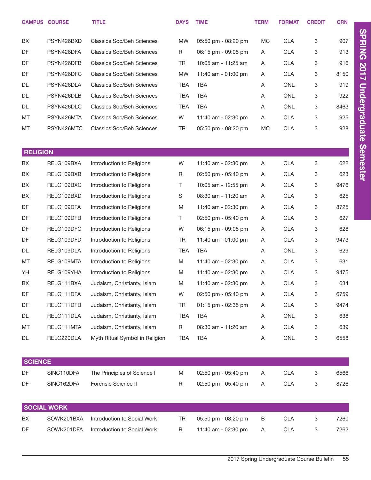|                 | <b>CAMPUS COURSE</b>     | <b>TITLE</b>                                               | <b>DAYS</b>     | <b>TIME</b>                                | <b>TERM</b> | <b>FORMAT</b>            | <b>CREDIT</b> | <b>CRN</b> |
|-----------------|--------------------------|------------------------------------------------------------|-----------------|--------------------------------------------|-------------|--------------------------|---------------|------------|
| BX              | PSYN426BXD               | <b>Classics Soc/Beh Sciences</b>                           | <b>MW</b>       | 05:50 pm - 08:20 pm                        | MC          | <b>CLA</b>               | 3             | 907        |
| DF              | PSYN426DFA               | <b>Classics Soc/Beh Sciences</b>                           | R               | 06:15 pm - 09:05 pm                        | A           | <b>CLA</b>               | 3             | 913        |
| DF              | PSYN426DFB               | <b>Classics Soc/Beh Sciences</b>                           | <b>TR</b>       | 10:05 am - 11:25 am                        | A           | <b>CLA</b>               | 3             | 916        |
| DF              | PSYN426DFC               | <b>Classics Soc/Beh Sciences</b>                           | <b>MW</b>       | 11:40 am - 01:00 pm                        | Α           | <b>CLA</b>               | 3             | 8150       |
| DL              | PSYN426DLA               | <b>Classics Soc/Beh Sciences</b>                           | <b>TBA</b>      | <b>TBA</b>                                 | Α           | <b>ONL</b>               | 3             | 919        |
| DL              | PSYN426DLB               | <b>Classics Soc/Beh Sciences</b>                           | <b>TBA</b>      | <b>TBA</b>                                 | Α           | <b>ONL</b>               | 3             | 922        |
| DL              | PSYN426DLC               | <b>Classics Soc/Beh Sciences</b>                           | <b>TBA</b>      | <b>TBA</b>                                 | Α           | <b>ONL</b>               | 3             | 8463       |
| MT              | PSYN426MTA               | <b>Classics Soc/Beh Sciences</b>                           | W               | 11:40 am - 02:30 pm                        | A           | <b>CLA</b>               | 3             | 925        |
| MT              | PSYN426MTC               | <b>Classics Soc/Beh Sciences</b>                           | <b>TR</b>       | 05:50 pm - 08:20 pm                        | <b>MC</b>   | <b>CLA</b>               | 3             | 928        |
|                 |                          |                                                            |                 |                                            |             |                          |               |            |
| <b>RELIGION</b> | RELG109BXA               |                                                            |                 |                                            |             |                          |               | 622        |
| BX<br>BX        | RELG109BXB               | Introduction to Religions                                  | W               | 11:40 am - 02:30 pm                        | A           | <b>CLA</b>               | 3             | 623        |
| BX              | RELG109BXC               | Introduction to Religions                                  | R<br>T.         | 02:50 pm - 05:40 pm                        | A           | <b>CLA</b>               | 3<br>3        | 9476       |
| BX              | RELG109BXD               | Introduction to Religions                                  | $\mathbb S$     | 10:05 am - 12:55 pm<br>08:30 am - 11:20 am | A           | <b>CLA</b><br><b>CLA</b> |               | 625        |
| DF              | RELG109DFA               | Introduction to Religions                                  | M               |                                            | A           |                          | 3             | 8725       |
| DF              | RELG109DFB               | Introduction to Religions                                  | T.              | 11:40 am - 02:30 pm                        | A           | <b>CLA</b>               | 3             | 627        |
| DF              | RELG109DFC               | Introduction to Religions                                  | W               | 02:50 pm - 05:40 pm                        | A           | <b>CLA</b>               | 3             | 628        |
|                 |                          | Introduction to Religions                                  |                 | 06:15 pm - 09:05 pm                        | A           | <b>CLA</b>               | 3             |            |
| DF              | RELG109DFD               | Introduction to Religions                                  | TR              | 11:40 am - 01:00 pm                        | A           | <b>CLA</b>               | 3             | 9473       |
| DL              | RELG109DLA<br>RELG109MTA | Introduction to Religions                                  | <b>TBA</b>      | <b>TBA</b>                                 | Α           | ONL                      | 3             | 629        |
| MT              |                          | Introduction to Religions                                  | M               | 11:40 am - 02:30 pm                        | A           | <b>CLA</b>               | 3             | 631        |
| YH              | RELG109YHA<br>RELG111BXA | Introduction to Religions                                  | M               | 11:40 am - 02:30 pm                        | A           | <b>CLA</b>               | 3             | 9475       |
| BX              |                          | Judaism, Christianty, Islam                                | M               | 11:40 am - 02:30 pm                        | Α           | <b>CLA</b>               | 3             | 634        |
| DF              | RELG111DFA               | Judaism, Christianty, Islam                                | W               | 02:50 pm - 05:40 pm                        | Α           | <b>CLA</b>               | 3             | 6759       |
| DF              | RELG111DFB               | Judaism, Christianty, Islam                                | TR              | 01:15 pm - 02:35 pm                        | A           | <b>CLA</b>               | 3             | 9474       |
| DL              | RELG111DLA<br>RELG111MTA | Judaism, Christianty, Islam<br>Judaism, Christianty, Islam | <b>TBA</b>      | <b>TBA</b>                                 | Α           | ONL<br><b>CLA</b>        | 3             | 638<br>639 |
| MT<br>DL        | RELG220DLA               | Myth Ritual Symbol in Religion                             | R<br><b>TBA</b> | 08:30 am - 11:20 am<br><b>TBA</b>          | Α<br>Α      | ONL                      | 3<br>3        | 6558       |
|                 |                          |                                                            |                 |                                            |             |                          |               |            |
| <b>SCIENCE</b>  |                          |                                                            |                 |                                            |             |                          |               |            |
| DF              | SINC110DFA               | The Principles of Science I                                | M               | 02:50 pm - 05:40 pm                        | A           | <b>CLA</b>               | 3             | 6566       |
| DF              | SINC162DFA               | Forensic Science II                                        | $\mathsf R$     | 02:50 pm - 05:40 pm                        | Α           | <b>CLA</b>               | 3             | 8726       |
|                 |                          |                                                            |                 |                                            |             |                          |               |            |
|                 | <b>SOCIAL WORK</b>       |                                                            |                 |                                            |             |                          |               |            |
| BX              | SOWK201BXA               | Introduction to Social Work                                | <b>TR</b>       | 05:50 pm - 08:20 pm                        | B           | <b>CLA</b>               | 3             | 7260       |
| DF              | SOWK201DFA               | Introduction to Social Work                                | R               | 11:40 am - 02:30 pm                        | A           | <b>CLA</b>               | 3             | 7262       |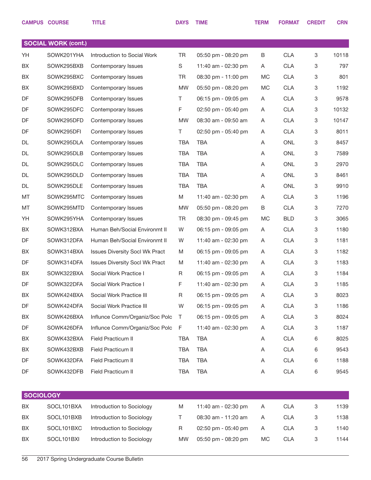|                  | <b>CAMPUS COURSE</b>       | <b>TITLE</b>                          | <b>DAYS</b> | <b>TIME</b>         | <b>TERM</b> | <b>FORMAT</b> | <b>CREDIT</b> | <b>CRN</b> |
|------------------|----------------------------|---------------------------------------|-------------|---------------------|-------------|---------------|---------------|------------|
|                  |                            |                                       |             |                     |             |               |               |            |
|                  | <b>SOCIAL WORK (cont.)</b> |                                       |             |                     |             |               |               |            |
| YH               | SOWK201YHA                 | Introduction to Social Work           | <b>TR</b>   | 05:50 pm - 08:20 pm | B           | <b>CLA</b>    | 3             | 10118      |
| BX               | SOWK295BXB                 | Contemporary Issues                   | S           | 11:40 am - 02:30 pm | A           | <b>CLA</b>    | 3             | 797        |
| BX               | SOWK295BXC                 | Contemporary Issues                   | TR          | 08:30 pm - 11:00 pm | MC          | <b>CLA</b>    | 3             | 801        |
| BX               | SOWK295BXD                 | Contemporary Issues                   | <b>MW</b>   | 05:50 pm - 08:20 pm | MC          | <b>CLA</b>    | 3             | 1192       |
| DF               | SOWK295DFB                 | Contemporary Issues                   | Τ           | 06:15 pm - 09:05 pm | A           | <b>CLA</b>    | 3             | 9578       |
| DF               | SOWK295DFC                 | Contemporary Issues                   | F           | 02:50 pm - 05:40 pm | A           | <b>CLA</b>    | 3             | 10132      |
| DF               | SOWK295DFD                 | Contemporary Issues                   | <b>MW</b>   | 08:30 am - 09:50 am | A           | <b>CLA</b>    | 3             | 10147      |
| DF               | SOWK295DFI                 | Contemporary Issues                   | Τ           | 02:50 pm - 05:40 pm | A           | <b>CLA</b>    | 3             | 8011       |
| DL               | SOWK295DLA                 | Contemporary Issues                   | <b>TBA</b>  | <b>TBA</b>          | A           | <b>ONL</b>    | 3             | 8457       |
| DL               | SOWK295DLB                 | Contemporary Issues                   | <b>TBA</b>  | <b>TBA</b>          | A           | <b>ONL</b>    | 3             | 7589       |
| DL               | SOWK295DLC                 | Contemporary Issues                   | <b>TBA</b>  | <b>TBA</b>          | A           | <b>ONL</b>    | 3             | 2970       |
| DL               | SOWK295DLD                 | Contemporary Issues                   | <b>TBA</b>  | <b>TBA</b>          | A           | <b>ONL</b>    | 3             | 8461       |
| DL               | SOWK295DLE                 | Contemporary Issues                   | <b>TBA</b>  | <b>TBA</b>          | A           | <b>ONL</b>    | 3             | 9910       |
| MT               | SOWK295MTC                 | Contemporary Issues                   | M           | 11:40 am - 02:30 pm | A           | <b>CLA</b>    | 3             | 1196       |
| MT               | SOWK295MTD                 | Contemporary Issues                   | <b>MW</b>   | 05:50 pm - 08:20 pm | B           | <b>CLA</b>    | 3             | 7270       |
| YH               | SOWK295YHA                 | Contemporary Issues                   | <b>TR</b>   | 08:30 pm - 09:45 pm | <b>MC</b>   | <b>BLD</b>    | 3             | 3065       |
| BX               | SOWK312BXA                 | Human Beh/Social Environmt II         | W           | 06:15 pm - 09:05 pm | A           | <b>CLA</b>    | 3             | 1180       |
| DF               | SOWK312DFA                 | Human Beh/Social Environmt II         | W           | 11:40 am - 02:30 pm | A           | <b>CLA</b>    | 3             | 1181       |
| BX               | SOWK314BXA                 | <b>Issues Diversity Socl Wk Pract</b> | M           | 06:15 pm - 09:05 pm | A           | <b>CLA</b>    | 3             | 1182       |
| DF               | SOWK314DFA                 | <b>Issues Diversity Socl Wk Pract</b> | M           | 11:40 am - 02:30 pm | A           | <b>CLA</b>    | 3             | 1183       |
| BX               | SOWK322BXA                 | Social Work Practice I                | R           | 06:15 pm - 09:05 pm | A           | <b>CLA</b>    | 3             | 1184       |
| DF               | SOWK322DFA                 | Social Work Practice I                | F           | 11:40 am - 02:30 pm | A           | <b>CLA</b>    | 3             | 1185       |
| BX               | SOWK424BXA                 | Social Work Practice III              | R           | 06:15 pm - 09:05 pm | A           | <b>CLA</b>    | 3             | 8023       |
| DF               | SOWK424DFA                 | Social Work Practice III              | W           | 06:15 pm - 09:05 pm | A           | CLA           | 3             | 1186       |
| BX               | SOWK426BXA                 | Influnce Comm/Organiz/Soc Polc        | Τ           | 06:15 pm - 09:05 pm | A           | <b>CLA</b>    | 3             | 8024       |
| DF               | SOWK426DFA                 | Influnce Comm/Organiz/Soc Polc        | F           | 11:40 am - 02:30 pm | A           | <b>CLA</b>    | 3             | 1187       |
| BX               | SOWK432BXA                 | Field Practicum II                    | TBA         | <b>TBA</b>          | A           | <b>CLA</b>    | 6             | 8025       |
| BX               | SOWK432BXB                 | Field Practicum II                    | TBA         | <b>TBA</b>          | A           | CLA           | 6             | 9543       |
| DF               | SOWK432DFA                 | Field Practicum II                    | TBA         | <b>TBA</b>          | A           | CLA           | 6             | 1188       |
| DF               | SOWK432DFB                 | Field Practicum II                    | TBA         | <b>TBA</b>          | A           | <b>CLA</b>    | 6             | 9545       |
|                  |                            |                                       |             |                     |             |               |               |            |
| <b>SOCIOLOGY</b> |                            |                                       |             |                     |             |               |               |            |
| BX               | SOCL101BXA                 | Introduction to Sociology             | M           | 11:40 am - 02:30 pm | Α           | <b>CLA</b>    | 3             | 1139       |
| BX               | SOCL101BXB                 | Introduction to Sociology             | Τ           | 08:30 am - 11:20 am | A           | <b>CLA</b>    | 3             | 1138       |
| BX               | SOCL101BXC                 | Introduction to Sociology             | R           | 02:50 pm - 05:40 pm | Α           | <b>CLA</b>    | 3             | 1140       |
| BX               | SOCL101BXI                 | Introduction to Sociology             | MW          | 05:50 pm - 08:20 pm | MC          | <b>CLA</b>    | 3             | 1144       |
|                  |                            |                                       |             |                     |             |               |               |            |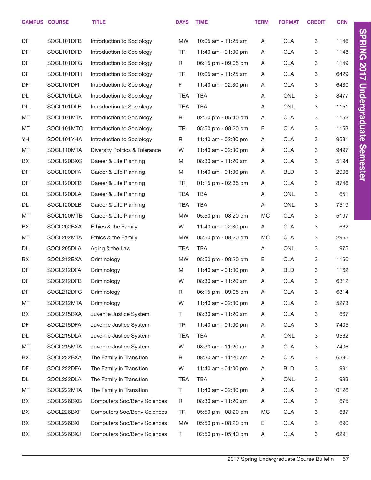|    | <b>CAMPUS COURSE</b> | <b>TITLE</b>                       | <b>DAYS</b> | <b>TIME</b>         | <b>TERM</b> | <b>FORMAT</b> | <b>CREDIT</b> | <b>CRN</b> |                      |
|----|----------------------|------------------------------------|-------------|---------------------|-------------|---------------|---------------|------------|----------------------|
| DF | SOCL101DFB           | Introduction to Sociology          | <b>MW</b>   | 10:05 am - 11:25 am | Α           | <b>CLA</b>    | 3             | 1146       | <b>SPRING</b>        |
| DF | SOCL101DFD           | Introduction to Sociology          | TR          | 11:40 am - 01:00 pm | A           | <b>CLA</b>    | 3             | 1148       |                      |
| DF | SOCL101DFG           | Introduction to Sociology          | R           | 06:15 pm - 09:05 pm | Α           | <b>CLA</b>    | 3             | 1149       |                      |
| DF | SOCL101DFH           | Introduction to Sociology          | <b>TR</b>   | 10:05 am - 11:25 am | Α           | <b>CLA</b>    | 3             | 6429       | 2017                 |
| DF | SOCL101DFI           | Introduction to Sociology          | F           | 11:40 am - 02:30 pm | A           | <b>CLA</b>    | 3             | 6430       |                      |
| DL | SOCL101DLA           | Introduction to Sociology          | TBA         | <b>TBA</b>          | A           | <b>ONL</b>    | 3             | 8477       |                      |
| DL | SOCL101DLB           | Introduction to Sociology          | <b>TBA</b>  | <b>TBA</b>          | A           | ONL           | 3             | 1151       |                      |
| MT | SOCL101MTA           | Introduction to Sociology          | $\mathsf R$ | 02:50 pm - 05:40 pm | Α           | <b>CLA</b>    | 3             | 1152       | <b>Undergraduate</b> |
| MT | SOCL101MTC           | Introduction to Sociology          | TR          | 05:50 pm - 08:20 pm | B           | <b>CLA</b>    | 3             | 1153       |                      |
| YH | SOCL101YHA           | Introduction to Sociology          | R           | 11:40 am - 02:30 pm | Α           | <b>CLA</b>    | 3             | 9581       |                      |
| MT | SOCL110MTA           | Diversity Politics & Tolerance     | W           | 11:40 am - 02:30 pm | A           | <b>CLA</b>    | 3             | 9497       |                      |
| BX | SOCL120BXC           | Career & Life Planning             | M           | 08:30 am - 11:20 am | Α           | <b>CLA</b>    | 3             | 5194       | <b>Semester</b>      |
| DF | SOCL120DFA           | Career & Life Planning             | M           | 11:40 am - 01:00 pm | A           | <b>BLD</b>    | 3             | 2906       |                      |
| DF | SOCL120DFB           | Career & Life Planning             | <b>TR</b>   | 01:15 pm - 02:35 pm | Α           | <b>CLA</b>    | 3             | 8746       |                      |
| DL | SOCL120DLA           | Career & Life Planning             | <b>TBA</b>  | <b>TBA</b>          | Α           | ONL           | 3             | 651        |                      |
| DL | SOCL120DLB           | Career & Life Planning             | <b>TBA</b>  | <b>TBA</b>          | Α           | <b>ONL</b>    | 3             | 7519       |                      |
| MT | SOCL120MTB           | Career & Life Planning             | MW          | 05:50 pm - 08:20 pm | <b>MC</b>   | <b>CLA</b>    | 3             | 5197       |                      |
| BX | SOCL202BXA           | Ethics & the Family                | W           | 11:40 am - 02:30 pm | A           | <b>CLA</b>    | 3             | 662        |                      |
| MT | SOCL202MTA           | Ethics & the Family                | <b>MW</b>   | 05:50 pm - 08:20 pm | MC.         | <b>CLA</b>    | 3             | 2965       |                      |
| DL | SOCL205DLA           | Aging & the Law                    | <b>TBA</b>  | <b>TBA</b>          | Α           | <b>ONL</b>    | 3             | 975        |                      |
| BX | SOCL212BXA           | Criminology                        | <b>MW</b>   | 05:50 pm - 08:20 pm | В           | <b>CLA</b>    | 3             | 1160       |                      |
| DF | SOCL212DFA           | Criminology                        | M           | 11:40 am - 01:00 pm | Α           | <b>BLD</b>    | 3             | 1162       |                      |
| DF | SOCL212DFB           | Criminology                        | W           | 08:30 am - 11:20 am | A           | <b>CLA</b>    | 3             | 6312       |                      |
| DF | SOCL212DFC           | Criminology                        | $\mathsf R$ | 06:15 pm - 09:05 pm | Α           | <b>CLA</b>    | 3             | 6314       |                      |
| MT | SOCL212MTA           | Criminology                        | W           | 11:40 am - 02:30 pm | A           | <b>CLA</b>    | 3             | 5273       |                      |
| BX | SOCL215BXA           | Juvenile Justice System            | T           | 08:30 am - 11:20 am | Α           | <b>CLA</b>    | 3             | 667        |                      |
| DF | SOCL215DFA           | Juvenile Justice System            | TR          | 11:40 am - 01:00 pm | A           | <b>CLA</b>    | 3             | 7405       |                      |
| DL | SOCL215DLA           | Juvenile Justice System            | TBA         | <b>TBA</b>          | Α           | ONL           | 3             | 9562       |                      |
| MT | SOCL215MTA           | Juvenile Justice System            | W           | 08:30 am - 11:20 am | Α           | <b>CLA</b>    | 3             | 7406       |                      |
| BX | SOCL222BXA           | The Family in Transition           | R           | 08:30 am - 11:20 am | A           | <b>CLA</b>    | 3             | 6390       |                      |
| DF | SOCL222DFA           | The Family in Transition           | W           | 11:40 am - 01:00 pm | A           | <b>BLD</b>    | 3             | 991        |                      |
| DL | SOCL222DLA           | The Family in Transition           | TBA         | <b>TBA</b>          | Α           | ONL           | 3             | 993        |                      |
| MT | SOCL222MTA           | The Family in Transition           | Τ           | 11:40 am - 02:30 pm | Α           | <b>CLA</b>    | 3             | 10126      |                      |
| BX | SOCL226BXB           | <b>Computers Soc/Behv Sciences</b> | R           | 08:30 am - 11:20 am | A           | <b>CLA</b>    | 3             | 675        |                      |
| BX | SOCL226BXF           | <b>Computers Soc/Behv Sciences</b> | TR          | 05:50 pm - 08:20 pm | МC          | <b>CLA</b>    | 3             | 687        |                      |
| BX | SOCL226BXI           | <b>Computers Soc/Behv Sciences</b> | MW          | 05:50 pm - 08:20 pm | B           | <b>CLA</b>    | 3             | 690        |                      |
| BX | SOCL226BXJ           | <b>Computers Soc/Behv Sciences</b> | Τ           | 02:50 pm - 05:40 pm | A           | <b>CLA</b>    | 3             | 6291       |                      |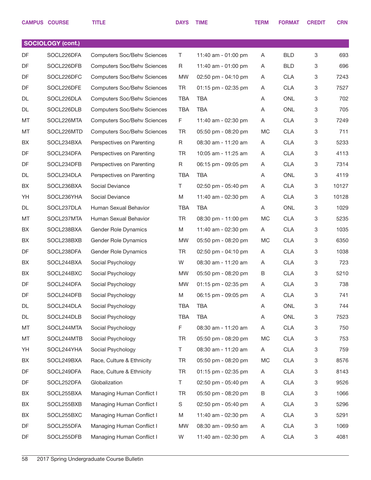|           | <b>CAMPUS COURSE</b> | <b>TITLE</b>                       | <b>DAYS</b> | <b>TIME</b>         | <b>TERM</b> | <b>FORMAT</b> | <b>CREDIT</b> | <b>CRN</b> |
|-----------|----------------------|------------------------------------|-------------|---------------------|-------------|---------------|---------------|------------|
|           |                      |                                    |             |                     |             |               |               |            |
|           | SOCIOLOGY (cont.)    |                                    |             |                     |             |               |               |            |
| DF        | SOCL226DFA           | <b>Computers Soc/Behv Sciences</b> | T           | 11:40 am - 01:00 pm | Α           | <b>BLD</b>    | 3             | 693        |
| <b>DF</b> | SOCL226DFB           | <b>Computers Soc/Behv Sciences</b> | R           | 11:40 am - 01:00 pm | A           | <b>BLD</b>    | 3             | 696        |
| DF        | SOCL226DFC           | <b>Computers Soc/Behv Sciences</b> | MW          | 02:50 pm - 04:10 pm | Α           | <b>CLA</b>    | 3             | 7243       |
| DF        | SOCL226DFE           | <b>Computers Soc/Behv Sciences</b> | TR          | 01:15 pm - 02:35 pm | A           | <b>CLA</b>    | 3             | 7527       |
| DL        | SOCL226DLA           | <b>Computers Soc/Behv Sciences</b> | <b>TBA</b>  | <b>TBA</b>          | Α           | <b>ONL</b>    | 3             | 702        |
| DL        | SOCL226DLB           | <b>Computers Soc/Behv Sciences</b> | <b>TBA</b>  | <b>TBA</b>          | Α           | <b>ONL</b>    | 3             | 705        |
| MT        | SOCL226MTA           | <b>Computers Soc/Behv Sciences</b> | F           | 11:40 am - 02:30 pm | Α           | <b>CLA</b>    | 3             | 7249       |
| MT        | SOCL226MTD           | <b>Computers Soc/Behv Sciences</b> | <b>TR</b>   | 05:50 pm - 08:20 pm | МC          | <b>CLA</b>    | 3             | 711        |
| BX        | SOCL234BXA           | Perspectives on Parenting          | R           | 08:30 am - 11:20 am | Α           | <b>CLA</b>    | 3             | 5233       |
| DF        | SOCL234DFA           | Perspectives on Parenting          | TR          | 10:05 am - 11:25 am | A           | <b>CLA</b>    | 3             | 4113       |
| DF        | SOCL234DFB           | Perspectives on Parenting          | R           | 06:15 pm - 09:05 pm | Α           | <b>CLA</b>    | 3             | 7314       |
| DL        | SOCL234DLA           | Perspectives on Parenting          | <b>TBA</b>  | <b>TBA</b>          | Α           | <b>ONL</b>    | 3             | 4119       |
| BX        | SOCL236BXA           | Social Deviance                    | T.          | 02:50 pm - 05:40 pm | Α           | <b>CLA</b>    | 3             | 10127      |
| YH        | SOCL236YHA           | Social Deviance                    | M           | 11:40 am - 02:30 pm | A           | <b>CLA</b>    | 3             | 10128      |
| DL        | SOCL237DLA           | Human Sexual Behavior              | <b>TBA</b>  | <b>TBA</b>          | Α           | <b>ONL</b>    | 3             | 1029       |
| MT        | SOCL237MTA           | Human Sexual Behavior              | TR          | 08:30 pm - 11:00 pm | MC          | <b>CLA</b>    | 3             | 5235       |
| BX        | SOCL238BXA           | Gender Role Dynamics               | M           | 11:40 am - 02:30 pm | Α           | <b>CLA</b>    | 3             | 1035       |
| BX        | SOCL238BXB           | Gender Role Dynamics               | MW          | 05:50 pm - 08:20 pm | МC          | <b>CLA</b>    | 3             | 6350       |
| DF        | SOCL238DFA           | Gender Role Dynamics               | TR          | 02:50 pm - 04:10 pm | A           | <b>CLA</b>    | 3             | 1038       |
| BX        | SOCL244BXA           | Social Psychology                  | W           | 08:30 am - 11:20 am | A           | <b>CLA</b>    | 3             | 723        |
| BX        | SOCL244BXC           | Social Psychology                  | MW          | 05:50 pm - 08:20 pm | B           | <b>CLA</b>    | 3             | 5210       |
| DF        | SOCL244DFA           | Social Psychology                  | <b>MW</b>   | 01:15 pm - 02:35 pm | Α           | <b>CLA</b>    | 3             | 738        |
| DF        | SOCL244DFB           | Social Psychology                  | M           | 06:15 pm - 09:05 pm | A           | <b>CLA</b>    | 3             | 741        |
| DL        | SOCL244DLA           | Social Psychology                  | TBA         | <b>TBA</b>          | Α           | ONL           | 3             | 744        |
| DL        | SOCL244DLB           | Social Psychology                  | <b>TBA</b>  | <b>TBA</b>          | Α           | ONL           | 3             | 7523       |
| MT        | SOCL244MTA           | Social Psychology                  | F           | 08:30 am - 11:20 am | Α           | <b>CLA</b>    | 3             | 750        |
| MT        | SOCL244MTB           | Social Psychology                  | TR          | 05:50 pm - 08:20 pm | МC          | <b>CLA</b>    | 3             | 753        |
| YH        | SOCL244YHA           | Social Psychology                  | T.          | 08:30 am - 11:20 am | A           | <b>CLA</b>    | 3             | 759        |
| BX        | SOCL249BXA           | Race, Culture & Ethnicity          | TR          | 05:50 pm - 08:20 pm | МC          | <b>CLA</b>    | 3             | 8576       |
| DF        | SOCL249DFA           | Race, Culture & Ethnicity          | TR          | 01:15 pm - 02:35 pm | A           | <b>CLA</b>    | 3             | 8143       |
| DF        | SOCL252DFA           | Globalization                      | T.          | 02:50 pm - 05:40 pm | A           | <b>CLA</b>    | 3             | 9526       |
| BX        | SOCL255BXA           | Managing Human Conflict I          | TR          | 05:50 pm - 08:20 pm | В           | <b>CLA</b>    | 3             | 1066       |
| BX        | SOCL255BXB           | Managing Human Conflict I          | S           | 02:50 pm - 05:40 pm | A           | <b>CLA</b>    | 3             | 5296       |
| BX        | SOCL255BXC           | Managing Human Conflict I          | M           | 11:40 am - 02:30 pm | Α           | <b>CLA</b>    | 3             | 5291       |
| DF        | SOCL255DFA           | Managing Human Conflict I          | MW          | 08:30 am - 09:50 am | A           | <b>CLA</b>    | 3             | 1069       |
| DF        | SOCL255DFB           | Managing Human Conflict I          | W           | 11:40 am - 02:30 pm | A           | <b>CLA</b>    | 3             | 4081       |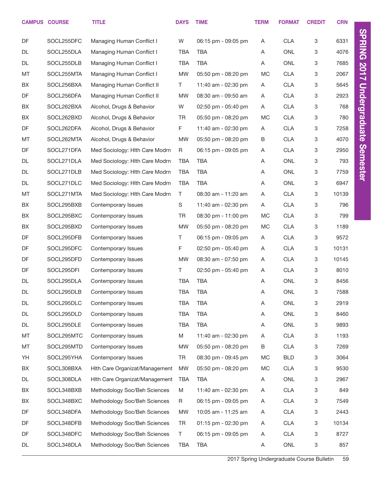|    | <b>CAMPUS COURSE</b> | <b>TITLE</b>                   | <b>DAYS</b> | <b>TIME</b>         | <b>TERM</b> | <b>FORMAT</b> | <b>CREDIT</b> | <b>CRN</b> |                      |
|----|----------------------|--------------------------------|-------------|---------------------|-------------|---------------|---------------|------------|----------------------|
| DF | SOCL255DFC           | Managing Human Conflict I      | W           | 06:15 pm - 09:05 pm | Α           | <b>CLA</b>    | 3             | 6331       | <b>SPRING 2017</b>   |
| DL | SOCL255DLA           | Managing Human Conflict I      | TBA         | <b>TBA</b>          | Α           | <b>ONL</b>    | 3             | 4076       |                      |
| DL | SOCL255DLB           | Managing Human Conflict I      | <b>TBA</b>  | <b>TBA</b>          | Α           | <b>ONL</b>    | 3             | 7685       |                      |
| MT | SOCL255MTA           | Managing Human Conflict I      | <b>MW</b>   | 05:50 pm - 08:20 pm | MC          | <b>CLA</b>    | 3             | 2067       |                      |
| BX | SOCL256BXA           | Managing Human Conflict II     | T.          | 11:40 am - 02:30 pm | A           | <b>CLA</b>    | 3             | 5645       |                      |
| DF | SOCL256DFA           | Managing Human Conflict II     | <b>MW</b>   | 08:30 am - 09:50 am | Α           | <b>CLA</b>    | 3             | 2923       |                      |
| BX | SOCL262BXA           | Alcohol, Drugs & Behavior      | W           | 02:50 pm - 05:40 pm | Α           | <b>CLA</b>    | 3             | 768        |                      |
| BX | SOCL262BXD           | Alcohol, Drugs & Behavior      | <b>TR</b>   | 05:50 pm - 08:20 pm | MC          | <b>CLA</b>    | 3             | 780        | <b>Undergraduate</b> |
| DF | SOCL262DFA           | Alcohol, Drugs & Behavior      | F           | 11:40 am - 02:30 pm | A           | <b>CLA</b>    | 3             | 7258       |                      |
| MT | SOCL262MTA           | Alcohol, Drugs & Behavior      | <b>MW</b>   | 05:50 pm - 08:20 pm | B           | <b>CLA</b>    | 3             | 4070       |                      |
| DF | SOCL271DFA           | Med Sociology: Hith Care Modrn | R           | 06:15 pm - 09:05 pm | Α           | <b>CLA</b>    | 3             | 2950       | <b>Semester</b>      |
| DL | SOCL271DLA           | Med Sociology: Hlth Care Modrn | <b>TBA</b>  | <b>TBA</b>          | Α           | <b>ONL</b>    | 3             | 793        |                      |
| DL | SOCL271DLB           | Med Sociology: Hith Care Modrn | <b>TBA</b>  | <b>TBA</b>          | Α           | <b>ONL</b>    | 3             | 7759       |                      |
| DL | SOCL271DLC           | Med Sociology: Hlth Care Modrn | <b>TBA</b>  | <b>TBA</b>          | Α           | <b>ONL</b>    | 3             | 6947       |                      |
| MT | SOCL271MTA           | Med Sociology: Hlth Care Modrn | T           | 08:30 am - 11:20 am | Α           | <b>CLA</b>    | 3             | 10139      |                      |
| BX | SOCL295BXB           | Contemporary Issues            | S           | 11:40 am - 02:30 pm | Α           | <b>CLA</b>    | 3             | 796        |                      |
| BX | SOCL295BXC           | Contemporary Issues            | <b>TR</b>   | 08:30 pm - 11:00 pm | MC          | <b>CLA</b>    | 3             | 799        |                      |
| BX | SOCL295BXD           | Contemporary Issues            | <b>MW</b>   | 05:50 pm - 08:20 pm | MC          | <b>CLA</b>    | 3             | 1189       |                      |
| DF | SOCL295DFB           | Contemporary Issues            | T           | 06:15 pm - 09:05 pm | A           | <b>CLA</b>    | 3             | 9572       |                      |
| DF | SOCL295DFC           | Contemporary Issues            | F           | 02:50 pm - 05:40 pm | Α           | <b>CLA</b>    | 3             | 10131      |                      |
| DF | SOCL295DFD           | Contemporary Issues            | <b>MW</b>   | 08:30 am - 07:50 pm | Α           | <b>CLA</b>    | 3             | 10145      |                      |
| DF | SOCL295DFI           | Contemporary Issues            | Τ           | 02:50 pm - 05:40 pm | Α           | <b>CLA</b>    | 3             | 8010       |                      |
| DL | SOCL295DLA           | Contemporary Issues            | <b>TBA</b>  | <b>TBA</b>          | Α           | <b>ONL</b>    | 3             | 8456       |                      |
| DL | SOCL295DLB           | Contemporary Issues            | <b>TBA</b>  | <b>TBA</b>          | Α           | ONL           | 3             | 7588       |                      |
| DL | SOCL295DLC           | Contemporary Issues            | <b>TBA</b>  | <b>TBA</b>          | Α           | ONL           | 3             | 2919       |                      |
| DL | SOCL295DLD           | Contemporary Issues            | <b>TBA</b>  | <b>TBA</b>          | Α           | ONL           | 3             | 8460       |                      |
| DL | SOCL295DLE           | Contemporary Issues            | <b>TBA</b>  | <b>TBA</b>          | Α           | ONL           | 3             | 9893       |                      |
| MT | SOCL295MTC           | Contemporary Issues            | M           | 11:40 am - 02:30 pm | Α           | <b>CLA</b>    | 3             | 1193       |                      |
| MT | SOCL295MTD           | Contemporary Issues            | MW          | 05:50 pm - 08:20 pm | $\sf B$     | <b>CLA</b>    | 3             | 7269       |                      |
| YH | SOCL295YHA           | Contemporary Issues            | <b>TR</b>   | 08:30 pm - 09:45 pm | MC          | <b>BLD</b>    | 3             | 3064       |                      |
| BX | SOCL308BXA           | Hith Care Organizat/Management | <b>MW</b>   | 05:50 pm - 08:20 pm | MC          | <b>CLA</b>    | 3             | 9530       |                      |
| DL | SOCL308DLA           | Hith Care Organizat/Management | <b>TBA</b>  | <b>TBA</b>          | A           | ONL           | 3             | 2967       |                      |
| BX | SOCL348BXB           | Methodology Soc/Beh Sciences   | M           | 11:40 am - 02:30 pm | Α           | <b>CLA</b>    | 3             | 849        |                      |
| BX | SOCL348BXC           | Methodology Soc/Beh Sciences   | R           | 06:15 pm - 09:05 pm | A           | <b>CLA</b>    | 3             | 7549       |                      |
| DF | SOCL348DFA           | Methodology Soc/Beh Sciences   | <b>MW</b>   | 10:05 am - 11:25 am | Α           | <b>CLA</b>    | 3             | 2443       |                      |
| DF | SOCL348DFB           | Methodology Soc/Beh Sciences   | <b>TR</b>   | 01:15 pm - 02:30 pm | A           | <b>CLA</b>    | 3             | 10134      |                      |
| DF | SOCL348DFC           | Methodology Soc/Beh Sciences   | $\top$      | 06:15 pm - 09:05 pm | Α           | <b>CLA</b>    | 3             | 8727       |                      |
| DL | SOCL348DLA           | Methodology Soc/Beh Sciences   | <b>TBA</b>  | <b>TBA</b>          | A           | ONL           | 3             | 857        |                      |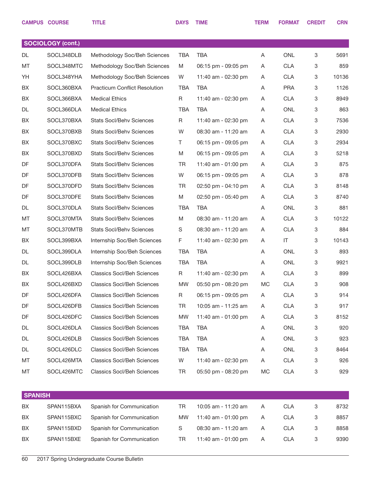|    | <b>CAMPUS COURSE</b>     | <b>TITLE</b>                         | <b>DAYS</b>  | <b>TIME</b>         | <b>TERM</b> | <b>FORMAT</b> | <b>CREDIT</b> | <b>CRN</b> |
|----|--------------------------|--------------------------------------|--------------|---------------------|-------------|---------------|---------------|------------|
|    |                          |                                      |              |                     |             |               |               |            |
|    | <b>SOCIOLOGY (cont.)</b> |                                      |              |                     |             |               |               |            |
| DL | SOCL348DLB               | Methodology Soc/Beh Sciences         | TBA          | <b>TBA</b>          | Α           | <b>ONL</b>    | 3             | 5691       |
| MT | SOCL348MTC               | Methodology Soc/Beh Sciences         | M            | 06:15 pm - 09:05 pm | A           | <b>CLA</b>    | 3             | 859        |
| YH | SOCL348YHA               | Methodology Soc/Beh Sciences         | W            | 11:40 am - 02:30 pm | Α           | <b>CLA</b>    | 3             | 10136      |
| BX | SOCL360BXA               | <b>Practicum Conflict Resolution</b> | TBA          | <b>TBA</b>          | A           | <b>PRA</b>    | 3             | 1126       |
| BX | SOCL366BXA               | <b>Medical Ethics</b>                | $\mathsf{R}$ | 11:40 am - 02:30 pm | Α           | <b>CLA</b>    | 3             | 8949       |
| DL | SOCL366DLA               | <b>Medical Ethics</b>                | TBA          | <b>TBA</b>          | Α           | <b>ONL</b>    | 3             | 863        |
| BX | SOCL370BXA               | <b>Stats Socl/Behv Sciences</b>      | R            | 11:40 am - 02:30 pm | Α           | <b>CLA</b>    | 3             | 7536       |
| BX | SOCL370BXB               | <b>Stats Socl/Behv Sciences</b>      | W            | 08:30 am - 11:20 am | A           | <b>CLA</b>    | 3             | 2930       |
| BX | SOCL370BXC               | <b>Stats Socl/Behy Sciences</b>      | T            | 06:15 pm - 09:05 pm | Α           | <b>CLA</b>    | 3             | 2934       |
| BX | SOCL370BXD               | <b>Stats Socl/Behy Sciences</b>      | M            | 06:15 pm - 09:05 pm | A           | <b>CLA</b>    | 3             | 5218       |
| DF | SOCL370DFA               | <b>Stats Socl/Behv Sciences</b>      | <b>TR</b>    | 11:40 am - 01:00 pm | Α           | <b>CLA</b>    | 3             | 875        |
| DF | SOCL370DFB               | <b>Stats Socl/Behv Sciences</b>      | W            | 06:15 pm - 09:05 pm | A           | <b>CLA</b>    | 3             | 878        |
| DF | SOCL370DFD               | <b>Stats Socl/Behy Sciences</b>      | <b>TR</b>    | 02:50 pm - 04:10 pm | Α           | <b>CLA</b>    | 3             | 8148       |
| DF | SOCL370DFE               | <b>Stats Socl/Behv Sciences</b>      | M            | 02:50 pm - 05:40 pm | A           | <b>CLA</b>    | 3             | 8740       |
| DL | SOCL370DLA               | <b>Stats Socl/Behv Sciences</b>      | TBA          | <b>TBA</b>          | Α           | <b>ONL</b>    | 3             | 881        |
| MT | SOCL370MTA               | <b>Stats Socl/Behv Sciences</b>      | M            | 08:30 am - 11:20 am | Α           | <b>CLA</b>    | 3             | 10122      |
| MT | SOCL370MTB               | <b>Stats Socl/Behv Sciences</b>      | $\mathsf S$  | 08:30 am - 11:20 am | Α           | <b>CLA</b>    | 3             | 884        |
| BX | SOCL399BXA               | Internship Soc/Beh Sciences          | F            | 11:40 am - 02:30 pm | A           | IT            | 3             | 10143      |
| DL | SOCL399DLA               | Internship Soc/Beh Sciences          | TBA          | <b>TBA</b>          | Α           | <b>ONL</b>    | 3             | 893        |
| DL | SOCL399DLB               | Internship Soc/Beh Sciences          | TBA          | <b>TBA</b>          | A           | <b>ONL</b>    | 3             | 9921       |
| BX | SOCL426BXA               | <b>Classics Socl/Beh Sciences</b>    | R            | 11:40 am - 02:30 pm | A           | <b>CLA</b>    | 3             | 899        |
| BX | SOCL426BXD               | <b>Classics Socl/Beh Sciences</b>    | <b>MW</b>    | 05:50 pm - 08:20 pm | MC          | <b>CLA</b>    | 3             | 908        |
| DF | SOCL426DFA               | <b>Classics Socl/Beh Sciences</b>    | R            | 06:15 pm - 09:05 pm | A           | <b>CLA</b>    | 3             | 914        |
| DF | SOCL426DFB               | <b>Classics Socl/Beh Sciences</b>    | TR           | 10:05 am - 11:25 am | A           | <b>CLA</b>    | 3             | 917        |
| DF | SOCL426DFC               | <b>Classics Socl/Beh Sciences</b>    | MW           | 11:40 am - 01:00 pm | A           | <b>CLA</b>    | 3             | 8152       |
| DL | SOCL426DLA               | <b>Classics Socl/Beh Sciences</b>    | TBA          | TBA                 | A           | ONL           | 3             | 920        |
| DL | SOCL426DLB               | <b>Classics Socl/Beh Sciences</b>    | TBA          | TBA                 | A           | ONL           | 3             | 923        |
| DL | SOCL426DLC               | <b>Classics Socl/Beh Sciences</b>    | TBA          | <b>TBA</b>          | A           | ONL           | 3             | 8464       |
| МT | SOCL426MTA               | <b>Classics Socl/Beh Sciences</b>    | W            | 11:40 am - 02:30 pm | A           | CLA           | 3             | 926        |
| МT | SOCL426MTC               | <b>Classics Socl/Beh Sciences</b>    | TR           | 05:50 pm - 08:20 pm | МC          | CLA           | 3             | 929        |
|    |                          |                                      |              |                     |             |               |               |            |

|           | <b>SPANISH</b> |                           |              |                     |   |            |  |      |  |  |
|-----------|----------------|---------------------------|--------------|---------------------|---|------------|--|------|--|--|
| BX.       | SPAN115BXA     | Spanish for Communication | <b>TR</b>    | 10:05 am - 11:20 am | A | CLA        |  | 8732 |  |  |
| <b>BX</b> | SPAN115BXC     | Spanish for Communication | MW.          | 11:40 am - 01:00 pm | A | CLA        |  | 8857 |  |  |
| BX        | SPAN115BXD     | Spanish for Communication | <sub>S</sub> | 08:30 am - 11:20 am | A | <b>CLA</b> |  | 8858 |  |  |
| <b>BX</b> | SPAN115BXE     | Spanish for Communication | TR.          | 11:40 am - 01:00 pm | A | <b>CLA</b> |  | 9390 |  |  |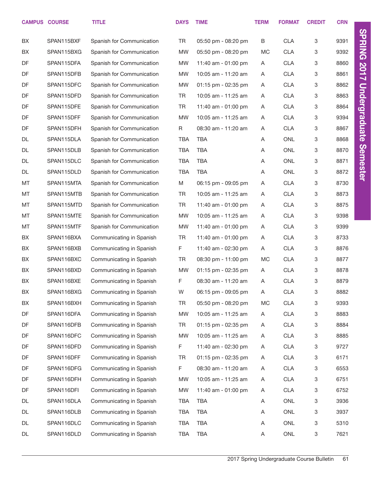|    | <b>CAMPUS COURSE</b> | <b>TITLE</b>              | <b>DAYS</b> | <b>TIME</b>         | <b>TERM</b> | <b>FORMAT</b> | <b>CREDIT</b> | <b>CRN</b> |
|----|----------------------|---------------------------|-------------|---------------------|-------------|---------------|---------------|------------|
| BX | SPAN115BXF           | Spanish for Communication | TR          | 05:50 pm - 08:20 pm | B           | <b>CLA</b>    | 3             | 9391       |
| BX | SPAN115BXG           | Spanish for Communication | <b>MW</b>   | 05:50 pm - 08:20 pm | <b>MC</b>   | <b>CLA</b>    | 3             | 9392       |
| DF | SPAN115DFA           | Spanish for Communication | <b>MW</b>   | 11:40 am - 01:00 pm | A           | <b>CLA</b>    | 3             | 8860       |
| DF | SPAN115DFB           | Spanish for Communication | <b>MW</b>   | 10:05 am - 11:20 am | A           | <b>CLA</b>    | 3             | 8861       |
| DF | SPAN115DFC           | Spanish for Communication | <b>MW</b>   | 01:15 pm - 02:35 pm | A           | <b>CLA</b>    | 3             | 8862       |
| DF | SPAN115DFD           | Spanish for Communication | TR          | 10:05 am - 11:25 am | A           | <b>CLA</b>    | 3             | 8863       |
| DF | SPAN115DFE           | Spanish for Communication | <b>TR</b>   | 11:40 am - 01:00 pm | A           | <b>CLA</b>    | 3             | 8864       |
| DF | SPAN115DFF           | Spanish for Communication | <b>MW</b>   | 10:05 am - 11:25 am | A           | <b>CLA</b>    | 3             | 9394       |
| DF | SPAN115DFH           | Spanish for Communication | R           | 08:30 am - 11:20 am | A           | <b>CLA</b>    | 3             | 8867       |
| DL | SPAN115DLA           | Spanish for Communication | TBA         | <b>TBA</b>          | Α           | <b>ONL</b>    | 3             | 8868       |
| DL | SPAN115DLB           | Spanish for Communication | <b>TBA</b>  | <b>TBA</b>          | Α           | <b>ONL</b>    | 3             | 8870       |
| DL | SPAN115DLC           | Spanish for Communication | <b>TBA</b>  | <b>TBA</b>          | Α           | <b>ONL</b>    | 3             | 8871       |
| DL | SPAN115DLD           | Spanish for Communication | <b>TBA</b>  | <b>TBA</b>          | A           | <b>ONL</b>    | 3             | 8872       |
| MT | SPAN115MTA           | Spanish for Communication | M           | 06:15 pm - 09:05 pm | Α           | <b>CLA</b>    | 3             | 8730       |
| MT | SPAN115MTB           | Spanish for Communication | TR          | 10:05 am - 11:25 am | A           | <b>CLA</b>    | 3             | 8873       |
| MT | SPAN115MTD           | Spanish for Communication | <b>TR</b>   | 11:40 am - 01:00 pm | Α           | <b>CLA</b>    | 3             | 8875       |
| MT | SPAN115MTE           | Spanish for Communication | <b>MW</b>   | 10:05 am - 11:25 am | A           | <b>CLA</b>    | 3             | 9398       |
| MT | SPAN115MTF           | Spanish for Communication | <b>MW</b>   | 11:40 am - 01:00 pm | Α           | <b>CLA</b>    | 3             | 9399       |
| BX | SPAN116BXA           | Communicating in Spanish  | <b>TR</b>   | 11:40 am - 01:00 pm | A           | <b>CLA</b>    | 3             | 8733       |
| BX | SPAN116BXB           | Communicating in Spanish  | F           | 11:40 am - 02:30 pm | A           | <b>CLA</b>    | 3             | 8876       |
| BX | SPAN116BXC           | Communicating in Spanish  | <b>TR</b>   | 08:30 pm - 11:00 pm | <b>MC</b>   | <b>CLA</b>    | 3             | 8877       |
| BX | SPAN116BXD           | Communicating in Spanish  | <b>MW</b>   | 01:15 pm - 02:35 pm | A           | <b>CLA</b>    | 3             | 8878       |
| BX | SPAN116BXE           | Communicating in Spanish  | F           | 08:30 am - 11:20 am | A           | <b>CLA</b>    | 3             | 8879       |
| BX | SPAN116BXG           | Communicating in Spanish  | W           | 06:15 pm - 09:05 pm | Α           | <b>CLA</b>    | 3             | 8882       |
| BX | SPAN116BXH           | Communicating in Spanish  | TR          | 05:50 pm - 08:20 pm | МC          | <b>CLA</b>    | 3             | 9393       |
| DF | SPAN116DFA           | Communicating in Spanish  | <b>MW</b>   | 10:05 am - 11:25 am | A           | <b>CLA</b>    | 3             | 8883       |
| DF | SPAN116DFB           | Communicating in Spanish  | TR          | 01:15 pm - 02:35 pm | A           | <b>CLA</b>    | 3             | 8884       |
| DF | SPAN116DFC           | Communicating in Spanish  | <b>MW</b>   | 10:05 am - 11:25 am | A           | <b>CLA</b>    | 3             | 8885       |
| DF | SPAN116DFD           | Communicating in Spanish  | F           | 11:40 am - 02:30 pm | A           | <b>CLA</b>    | 3             | 9727       |
| DF | SPAN116DFF           | Communicating in Spanish  | TR          | 01:15 pm - 02:35 pm | A           | <b>CLA</b>    | 3             | 6171       |
| DF | SPAN116DFG           | Communicating in Spanish  | F.          | 08:30 am - 11:20 am | A           | <b>CLA</b>    | 3             | 6553       |
| DF | SPAN116DFH           | Communicating in Spanish  | <b>MW</b>   | 10:05 am - 11:25 am | A           | <b>CLA</b>    | 3             | 6751       |
| DF | SPAN116DFI           | Communicating in Spanish  | <b>MW</b>   | 11:40 am - 01:00 pm | A           | <b>CLA</b>    | 3             | 6752       |
| DL | SPAN116DLA           | Communicating in Spanish  | TBA         | TBA                 | A           | ONL           | 3             | 3936       |
| DL | SPAN116DLB           | Communicating in Spanish  | TBA         | TBA                 | Α           | ONL           | 3             | 3937       |
| DL | SPAN116DLC           | Communicating in Spanish  | TBA         | TBA                 | Α           | ONL           | 3             | 5310       |
| DL | SPAN116DLD           | Communicating in Spanish  | <b>TBA</b>  | <b>TBA</b>          | A           | ONL           | 3             | 7621       |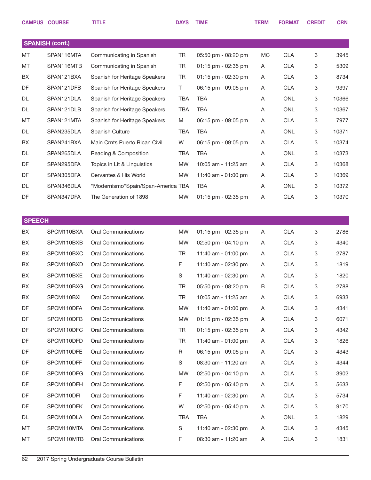|               | <b>CAMPUS COURSE</b>   | <b>TITLE</b>                       | <b>DAYS</b> | <b>TIME</b>         | <b>TERM</b> | <b>FORMAT</b> | <b>CREDIT</b> | <b>CRN</b> |
|---------------|------------------------|------------------------------------|-------------|---------------------|-------------|---------------|---------------|------------|
|               | <b>SPANISH (cont.)</b> |                                    |             |                     |             |               |               |            |
| MT            | SPAN116MTA             | Communicating in Spanish           | TR          | 05:50 pm - 08:20 pm | MC          | <b>CLA</b>    | 3             | 3945       |
| MT            | SPAN116MTB             | Communicating in Spanish           | TR          | 01:15 pm - 02:35 pm | Α           | <b>CLA</b>    | 3             | 5309       |
| BX            | SPAN121BXA             | Spanish for Heritage Speakers      | TR          | 01:15 pm - 02:30 pm | Α           | <b>CLA</b>    | 3             | 8734       |
| DF            | SPAN121DFB             | Spanish for Heritage Speakers      | T           | 06:15 pm - 09:05 pm | Α           | <b>CLA</b>    | 3             | 9397       |
| DL            | SPAN121DLA             | Spanish for Heritage Speakers      | <b>TBA</b>  | <b>TBA</b>          | Α           | <b>ONL</b>    | 3             | 10366      |
| DL            | SPAN121DLB             | Spanish for Heritage Speakers      | <b>TBA</b>  | <b>TBA</b>          | Α           | <b>ONL</b>    | 3             | 10367      |
| MT            | SPAN121MTA             | Spanish for Heritage Speakers      | M           | 06:15 pm - 09:05 pm | A           | <b>CLA</b>    | 3             | 7977       |
| DL            | SPAN235DLA             | Spanish Culture                    | <b>TBA</b>  | <b>TBA</b>          | Α           | <b>ONL</b>    | 3             | 10371      |
| BX            | SPAN241BXA             | Main Crnts Puerto Rican Civil      | W           | 06:15 pm - 09:05 pm | A           | <b>CLA</b>    | 3             | 10374      |
| DL            | SPAN265DLA             | Reading & Composition              | <b>TBA</b>  | <b>TBA</b>          | Α           | <b>ONL</b>    | 3             | 10373      |
| DF            | SPAN295DFA             | Topics in Lit & Linguistics        | MW          | 10:05 am - 11:25 am | Α           | <b>CLA</b>    | 3             | 10368      |
| DF            | SPAN305DFA             | Cervantes & His World              | <b>MW</b>   | 11:40 am - 01:00 pm | Α           | <b>CLA</b>    | 3             | 10369      |
| DL            | SPAN346DLA             | "Modernismo"Spain/Span-America TBA |             | <b>TBA</b>          | Α           | <b>ONL</b>    | 3             | 10372      |
| DF            | SPAN347DFA             | The Generation of 1898             | <b>MW</b>   | 01:15 pm - 02:35 pm | Α           | <b>CLA</b>    | 3             | 10370      |
|               |                        |                                    |             |                     |             |               |               |            |
| <b>SPEECH</b> |                        |                                    |             |                     |             |               |               |            |
| BX            | SPCM110BXA             | <b>Oral Communications</b>         | <b>MW</b>   | 01:15 pm - 02:35 pm | Α           | <b>CLA</b>    | 3             | 2786       |
| BX            | SPCM110BXB             | <b>Oral Communications</b>         | <b>MW</b>   | 02:50 pm - 04:10 pm | A           | <b>CLA</b>    | 3             | 4340       |
| BX            | SPCM110BXC             | Oral Communications                | TR          | 11:40 am - 01:00 pm | A           | <b>CLA</b>    | 3             | 2787       |
| BX            | SPCM110BXD             | <b>Oral Communications</b>         | F           | 11:40 am - 02:30 pm | A           | <b>CLA</b>    | 3             | 1819       |
| BX            | SPCM110BXE             | <b>Oral Communications</b>         | S           | 11:40 am - 02:30 pm | A           | <b>CLA</b>    | 3             | 1820       |
| BX            | SPCM110BXG             | <b>Oral Communications</b>         | <b>TR</b>   | 05:50 pm - 08:20 pm | В           | <b>CLA</b>    | 3             | 2788       |
| BX            | SPCM110BXI             | <b>Oral Communications</b>         | TR          | 10:05 am - 11:25 am | A           | <b>CLA</b>    | 3             | 6933       |
| DF            | SPCM110DFA             | <b>Oral Communications</b>         | MW          | 11:40 am - 01:00 pm | A           | <b>CLA</b>    | 3             | 4341       |
| DF            | SPCM110DFB             | <b>Oral Communications</b>         | <b>MW</b>   | 01:15 pm - 02:35 pm | A           | <b>CLA</b>    | 3             | 6071       |
| DF            | SPCM110DFC             | <b>Oral Communications</b>         | <b>TR</b>   | 01:15 pm - 02:35 pm | A           | <b>CLA</b>    | 3             | 4342       |
| DF            | SPCM110DFD             | <b>Oral Communications</b>         | TR          | 11:40 am - 01:00 pm | A           | <b>CLA</b>    | 3             | 1826       |
| DF            | SPCM110DFE             | <b>Oral Communications</b>         | R           | 06:15 pm - 09:05 pm | A           | <b>CLA</b>    | 3             | 4343       |
| DF            | SPCM110DFF             | <b>Oral Communications</b>         | S           | 08:30 am - 11:20 am | A           | <b>CLA</b>    | 3             | 4344       |
| DF            | SPCM110DFG             | <b>Oral Communications</b>         | MW          | 02:50 pm - 04:10 pm | A           | <b>CLA</b>    | 3             | 3902       |
| DF            | SPCM110DFH             | <b>Oral Communications</b>         | F.          | 02:50 pm - 05:40 pm | A           | <b>CLA</b>    | 3             | 5633       |
| DF            | SPCM110DFI             | <b>Oral Communications</b>         | F           | 11:40 am - 02:30 pm | A           | <b>CLA</b>    | 3             | 5734       |
| DF            | SPCM110DFK             | <b>Oral Communications</b>         | W           | 02:50 pm - 05:40 pm | A           | <b>CLA</b>    | 3             | 9170       |
| DL            | SPCM110DLA             | <b>Oral Communications</b>         | <b>TBA</b>  | <b>TBA</b>          | A           | ONL           | 3             | 1829       |
| MT            | SPCM110MTA             | <b>Oral Communications</b>         | S           | 11:40 am - 02:30 pm | A           | <b>CLA</b>    | 3             | 4345       |
| MT            | SPCM110MTB             | <b>Oral Communications</b>         | F           | 08:30 am - 11:20 am | Α           | <b>CLA</b>    | 3             | 1831       |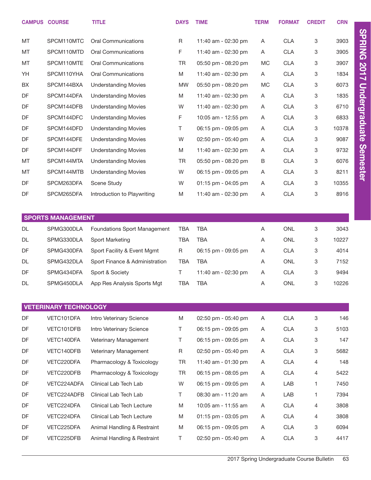|           | <b>CAMPUS COURSE</b>         | <b>TITLE</b>                   | <b>DAYS</b> | <b>TIME</b>         | <b>TERM</b> | <b>FORMAT</b> | <b>CREDIT</b> | <b>CRN</b> |
|-----------|------------------------------|--------------------------------|-------------|---------------------|-------------|---------------|---------------|------------|
| MT        | SPCM110MTC                   | <b>Oral Communications</b>     | R           | 11:40 am - 02:30 pm | A           | <b>CLA</b>    | 3             | 3903       |
| MT        | SPCM110MTD                   | <b>Oral Communications</b>     | F           | 11:40 am - 02:30 pm | A           | <b>CLA</b>    | 3             | 3905       |
| MT        | SPCM110MTE                   | <b>Oral Communications</b>     | TR          | 05:50 pm - 08:20 pm | <b>MC</b>   | <b>CLA</b>    | 3             | 3907       |
| YH        | SPCM110YHA                   | <b>Oral Communications</b>     | M           | 11:40 am - 02:30 pm | A           | <b>CLA</b>    | 3             | 1834       |
| BX        | SPCM144BXA                   | <b>Understanding Movies</b>    | <b>MW</b>   | 05:50 pm - 08:20 pm | <b>MC</b>   | <b>CLA</b>    | 3             | 6073       |
| DF        | SPCM144DFA                   | <b>Understanding Movies</b>    | M           | 11:40 am - 02:30 pm | Α           | <b>CLA</b>    | 3             | 1835       |
| DF        | SPCM144DFB                   | <b>Understanding Movies</b>    | W           | 11:40 am - 02:30 pm | A           | <b>CLA</b>    | 3             | 6710       |
| DF        | SPCM144DFC                   | <b>Understanding Movies</b>    | F           | 10:05 am - 12:55 pm | A           | <b>CLA</b>    | 3             | 6833       |
| DF        | SPCM144DFD                   | <b>Understanding Movies</b>    | T           | 06:15 pm - 09:05 pm | A           | <b>CLA</b>    | 3             | 10378      |
| DF        | SPCM144DFE                   | <b>Understanding Movies</b>    | W           | 02:50 pm - 05:40 pm | Α           | <b>CLA</b>    | 3             | 9087       |
| DF        | SPCM144DFF                   | <b>Understanding Movies</b>    | M           | 11:40 am - 02:30 pm | A           | <b>CLA</b>    | 3             | 9732       |
| MT        | SPCM144MTA                   | <b>Understanding Movies</b>    | <b>TR</b>   | 05:50 pm - 08:20 pm | B           | <b>CLA</b>    | 3             | 6076       |
| MT        | SPCM144MTB                   | <b>Understanding Movies</b>    | W           | 06:15 pm - 09:05 pm | A           | <b>CLA</b>    | 3             | 8211       |
| DF        | SPCM263DFA                   | <b>Scene Study</b>             | W           | 01:15 pm - 04:05 pm | A           | <b>CLA</b>    | 3             | 10355      |
| DF        | SPCM265DFA                   | Introduction to Playwriting    | M           | 11:40 am - 02:30 pm | A           | <b>CLA</b>    | 3             | 8916       |
|           |                              |                                |             |                     |             |               |               |            |
|           | <b>SPORTS MANAGEMENT</b>     |                                |             |                     |             |               |               |            |
| <b>DL</b> | SPMG300DLA                   | Foundations Sport Management   | <b>TBA</b>  | <b>TBA</b>          | Α           | <b>ONL</b>    | 3             | 3043       |
| <b>DL</b> | SPMG330DLA                   | Sport Marketing                | <b>TBA</b>  | <b>TBA</b>          | Α           | <b>ONL</b>    | 3             | 10227      |
| DF        | SPMG430DFA                   | Sport Facility & Event Mgmt    | R           | 06:15 pm - 09:05 pm | A           | <b>CLA</b>    | 3             | 4014       |
| DL        | SPMG432DLA                   | Sport Finance & Administration | TBA         | <b>TBA</b>          | Α           | <b>ONL</b>    | 3             | 7152       |
| DF        | SPMG434DFA                   | Sport & Society                | Τ           | 11:40 am - 02:30 pm | A           | <b>CLA</b>    | 3             | 9494       |
| DL        | SPMG450DLA                   | App Res Analysis Sports Mgt    | <b>TBA</b>  | <b>TBA</b>          | Α           | <b>ONL</b>    | 3             | 10226      |
|           |                              |                                |             |                     |             |               |               |            |
|           | <b>VETERINARY TECHNOLOGY</b> |                                |             |                     |             |               |               |            |
| DF        | VETC101DFA                   | Intro Veterinary Science       | M           | 02:50 pm - 05:40 pm | Α           | <b>CLA</b>    | 3             | 146        |
| DF        | VETC101DFB                   | Intro Veterinary Science       | Τ           | 06:15 pm - 09:05 pm | A           | <b>CLA</b>    | 3             | 5103       |
| DF        | VETC140DFA                   | Veterinary Management          | T.          | 06:15 pm - 09:05 pm | A           | <b>CLA</b>    | 3             | 147        |
| DF        | VETC140DFB                   | Veterinary Management          | R           | 02:50 pm - 05:40 pm | A           | <b>CLA</b>    | 3             | 5682       |
| DF        | VETC220DFA                   | Pharmacology & Toxicology      | <b>TR</b>   | 11:40 am - 01:30 pm | A           | <b>CLA</b>    | 4             | 148        |
| DF        | VETC220DFB                   | Pharmacology & Toxicology      | <b>TR</b>   | 06:15 pm - 08:05 pm | A           | <b>CLA</b>    | 4             | 5422       |
| DF        | VETC224ADFA                  | Clinical Lab Tech Lab          | W           | 06:15 pm - 09:05 pm | A           | LAB           | 1.            | 7450       |
| DF        | VETC224ADFB                  | Clinical Lab Tech Lab          | T.          | 08:30 am - 11:20 am | A           | LAB           | 1.            | 7394       |
| DF        | VETC224DFA                   | Clinical Lab Tech Lecture      | M           | 10:05 am - 11:55 am | A           | <b>CLA</b>    | 4             | 3808       |
| DF        | VETC224DFA                   | Clinical Lab Tech Lecture      | M           | 01:15 pm - 03:05 pm | A           | <b>CLA</b>    | 4             | 3808       |
| DF        | VETC225DFA                   | Animal Handling & Restraint    | M           | 06:15 pm - 09:05 pm | A           | <b>CLA</b>    | 3             | 6094       |
| DF        | VETC225DFB                   | Animal Handling & Restraint    | T.          | 02:50 pm - 05:40 pm | A           | <b>CLA</b>    | 3             | 4417       |

2017 Spring Undergraduate Course Bulletin 63

SPRING 2017 Undergraduate Semester